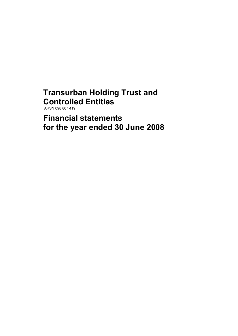# **Transurban Holding Trust and Controlled Entities**

ARSN 098 807 419

**Financial statements for the year ended 30 June 2008**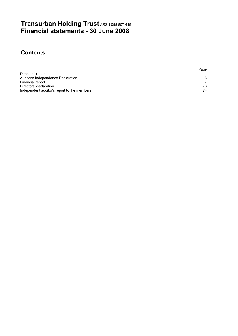# **Transurban Holding Trust** ARSN 098 807 419 **Financial statements - 30 June 2008**

# **Contents**

|                                             | Page |
|---------------------------------------------|------|
| Directors' report                           |      |
| Auditor's Independence Declaration          | 6    |
| Financial report                            |      |
| Directors' declaration                      | 73   |
| Independent auditor's report to the members | 74   |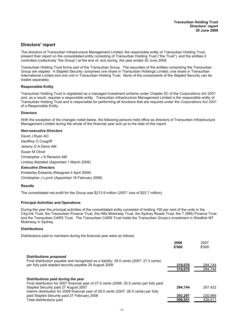# **Directors' report**

The directors of Transurban Infrastructure Management Limited, the responsible entity of Transurban Holding Trust, present their report on the consolidated entity consisting of Transurban Holding Trust ("the Trust"), and the entities it controlled (collectively "the Group") at the end of, and during, the year ended 30 June 2008.

Transurban Holding Trust forms part of the Transurban Group. The securities of the entities comprising the Transurban Group are stapled. A Stapled Security comprises one share in Transurban Holdings Limited, one share in Transurban International Limited and one unit in Transurban Holding Trust. None of the components of the Stapled Security can be traded separately.

#### **Responsible Entity**

Transurban Holding Trust is registered as a managed investment scheme under Chapter 5C of the *Corporations Act 2001* and, as a result, requires a responsible entity. Transurban Infrastructure Management Limited is the responsible entity of Transurban Holding Trust and is responsible for performing all functions that are required under the *Corporations Act 2001*  of a Responsible Entity.

#### **Directors**

With the exception of the changes noted below, the following persons held office as directors of Transurban Infrastructure Management Limited during the whole of the financial year and up to the date of this report:

#### *Non-executive Directors*

David J Ryan AO Geoffrey O Cosgriff Jeremy G A Davis AM Susan M Oliver Christopher J S Renwick AM Lindsay Maxsted (Appointed 1 March 2008) *Executive Directors* Kimberley Edwards (Resigned 4 April 2008) Christopher J Lynch (Appointed 18 February 2008)

#### **Results**

The consolidated net profit for the Group was \$213.9 million (2007: loss of \$22.7 million).

#### **Principal Activities and Operations**

During the year the principal activities of the consolidated entity consisted of holding 100 per cent of the units in the CityLink Trust, the Transurban Finance Trust, the Hills Motorway Trust, the Sydney Roads Trust, the T (895) Finance Trust and the Transurban CARS Trust. The Transurban CARS Trust holds the Transurban Group's investment in Westlink M7 Motorway in Sydney.

#### **Distributions**

Distributions paid to members during the financial year were as follows:

|                                                                                                                                    | 2008<br>\$'000     | 2007<br>\$'000     |
|------------------------------------------------------------------------------------------------------------------------------------|--------------------|--------------------|
| Distributions proposed<br>Final distribution payable and recognised as a liability: 29.0 cents (2007: 27.5 cents)                  |                    |                    |
| per fully paid stapled security payable 29 August 2008                                                                             | 319.076<br>319.076 | 294.744<br>294,744 |
|                                                                                                                                    |                    |                    |
| Distributions paid during the year                                                                                                 |                    |                    |
| Final distribution for 2007 financial year of 27.5 cents (2006: 25.5 cents) per fully paid<br>Stapled Security paid 27 August 2007 | 294.744            | 207.422            |
| Interim distribution for 2008 financial year of 28.0 cents (2007: 26.5 cents) per fully                                            |                    |                    |
| paid Stapled Security paid 27 February 2008                                                                                        | 303.297            | 220.989            |
| Total distributions paid                                                                                                           | 598.041            | 428.411            |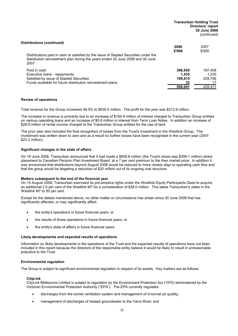|                                                                                                                                                                                                             |                                              | <b>Transurban Holding Trust</b><br>Directors' report<br>30 June 2008<br>(continued) |
|-------------------------------------------------------------------------------------------------------------------------------------------------------------------------------------------------------------|----------------------------------------------|-------------------------------------------------------------------------------------|
| Distributions (continued)<br>Distributions paid in cash or satisfied by the issue of Stapled Securities under the<br>distribution reinvestment plan during the years ended 30 June 2008 and 30 June<br>2007 | 2008<br>\$'000                               | 2007<br>\$'000                                                                      |
| Paid in cash<br>Executive loans - repayments<br>Satisfied by issue of Stapled Securities<br>Funds available for future distribution reinvestment plans                                                      | 396,858<br>1.535<br>199,615<br>33<br>598.041 | 197.408<br>1.230<br>229.756<br>17<br>428.411                                        |

#### **Review of operations**

Total revenue for the Group increased 46.5% to \$630.0 million. The profit for the year was \$213.9 million.

The increase in revenue is primarily due to an increase of \$164.9 million of interest charged to Transurban Group entities on various operating loans and an increase of \$5.8 million in interest from Term Loan Notes. In addition an increase of \$28.9 million of rental income charged to the Transurban Group entities for the use of land.

The prior year also included the final recognition of losses from the Trust's investment in the Westlink Group. The investment was written down to zero and as a result no further losses have been recognised in the current year (2007: \$23.2 million).

#### **Significant changes in the state of affairs**

On 19 June 2008, Transurban announced that it had made a \$658.8 million (the Trust's share was \$399.1 million) share placement to Canadian Pension Plan Investment Board, at a 7 per cent premium to the then market price. In addition it was announced that distributions beyond August 2008 would be reduced to more closely align to operating cash flow and that the group would be targeting a reduction of \$20 million out of its ongoing cost structure.

#### **Matters subsequent to the end of the financial year**

On 14 August 2008, Transurban exercised its pre-emptive rights under the Westlink Equity Participants Deed to acquire an additional 2.5 per cent of the Westlink M7 for a consideration of \$38.0 million. This takes Transurban's stake in the Westlink M7 to 50 per cent.

Except for the details mentioned above, no other matter or circumstance has arisen since 30 June 2008 that has significantly affected, or may significantly affect:

- the entity's operations in future financial years, or
- the results of those operations in future financial years, or
- · the entity's state of affairs in future financial years.

#### **Likely developments and expected results of operations**

Information on likely developments in the operations of the Trust and the expected results of operations have not been included in this report because the directors of the responsible entity believe it would be likely to result in unreasonable prejudice to the Trust.

#### **Environmental regulation**

The Group is subject to significant environmental regulation in respect of its assets. Key matters are as follows:

#### **CityLink**

CityLink Melbourne Limited is subject to regulation by the Environment Protection Act (1970) administered by the Victorian Environmental Protection Authority ("EPA"). The EPA currently regulates:

- · discharges from the tunnel ventilation system and management of in-tunnel air quality;
- management of discharges of treated groundwater to the Yarra River; and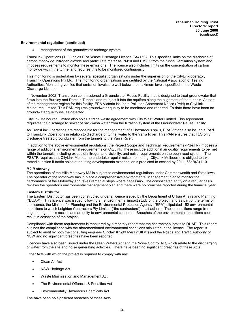#### **Environmental regulation (continued)**

management of the groundwater recharge system.

TransLink Operations (TLO) holds EPA Waste Discharge Licence EA41502. This specifies limits on the discharge of carbon monoxide, nitrogen dioxide and particulate mater as PM10 and PM2.5 from the tunnel ventilation system and imposes requirements to monitor these emissions. The licence also includes limits on the concentration of carbon monoxide within the tunnel and requires this to be monitored continuously.

This monitoring is undertaken by several specialist organisations under the supervision of the CityLink operator, Translink Operations Pty Ltd. The monitoring organisations are certified by the National Association of Testing Authorities. Monitoring verifies that emission levels are well below the maximum levels specified in the Waste Discharge Licence.

In November 2002, Transurban commissioned a Groundwater Reuse Facility that is designed to treat groundwater that flows into the Burnley and Domain Tunnels and re-inject it into the aquifers along the alignment of the tunnels. As part of the management regime for this facility, EPA Victoria issued a Pollution Abatement Notice (PAN) to CityLink Melbourne Limited. This PAN requires groundwater quality to be monitored and reported. To date there have been no groundwater quality issues detected.

CityLink Melbourne Limited also holds a trade waste agreement with City West Water Limited. This agreement regulates the discharge to sewer of backwash water from the filtration system of the Groundwater Reuse Facility.

As TransLink Operations are responsible for the management of all hazardous spills, EPA Victoria also issued a PAN to TransLink Operations in relation to discharge of tunnel water to the Yarra River. This PAN ensures that TLO only discharge treated groundwater from the tunnels to the Yarra River.

In addition to the above environmental regulations, the Project Scope and Technical Requirements (PS&TR) imposes a range of additional environmental requirements on CityLink. These include additional air quality requirements to be met within the tunnels, including oxides of nitrogen and visibility, and noise requirements on the open road system. The PS&TR requires that CityLink Melbourne undertake regular noise monitoring. CityLink Melbourne is obliged to take remedial action if traffic noise at abutting developments exceeds, or is predicted to exceed by 2011, 63dB(A) L10.

#### **M2 Motorway**

The operations of the Hills Motorway M2 is subject to environmental regulations under Commonwealth and State laws. The operator of the Motorway has in place a comprehensive environmental Management plan to monitor the performance of the Motorway and takes remedial steps where necessary. The consolidated entity on a regular basis reviews the operator's environmental management plan and there were no breaches reported during the financial year.

#### **Eastern Distributor**

The Eastern Distributor has been constructed under a licence issued by the Department of Urban Affairs and Planning ("DUAP"). This licence was issued following an environmental impact study of the project, and as part of the terms of the licence, the Minister for Planning and the Environmental Protection Agency ("EPA") stipulated 152 environmental conditions to which Leighton Contractors Pty Limited ("the contractors") must adhere. These conditions range from engineering, public access and amenity to environmental concerns. Breaches of the environmental conditions could result in cessation of the project.

Compliance with these requirements is monitored by a monthly report that the contractor submits to DUAP. This report outlines the compliance with the aforementioned environmental conditions stipulated in the licence. The report is subject to audit by both the consulting engineer Sinclair Knight Merz ("SKM") and the Roads and Traffic Authority of NSW and no significant breaches have been reported.

Licences have also been issued under the Clean Waters Act and the Noise Control Act, which relate to the discharging of water from the site and noise generating activities. There have been no significant breaches of these Acts.

Other Acts with which the project is required to comply with are:

- **Clean Air Act**
- **NSW Heritage Act**
- · Waste Minimisation and Management Act
- The Environmental Offences & Penalties Act
- · Environmentally Hazardous Chemicals Act

The have been no significant breaches of these Acts.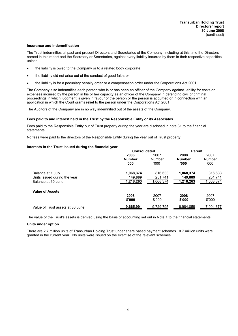#### **Insurance and Indemnification**

The Trust indemnifies all past and present Directors and Secretaries of the Company, including at this time the Directors named in this report and the Secretary or Secretaries, against every liability incurred by them in their respective capacities unless:

- the liability is owed to the Company or to a related body corporate;
- the liability did not arise out of the conduct of good faith; or
- · the liability is for a pecuniary penalty order or a compensation order under the Corporations Act 2001.

The Company also indemnifies each person who is or has been an officer of the Company against liability for costs or expenses incurred by the person in his or her capacity as an officer of the Company in defending civil or criminal proceedings in which judgment is given in favour of the person or the person is acquitted or in connection with an application in which the Court grants relief to the person under the Corporations Act 2001.

The Auditors of the Company are in no way indemnified out of the assets of the Company.

#### **Fees paid to and interest held in the Trust by the Responsible Entity or its Associates**

Fees paid to the Responsible Entity out of Trust property during the year are disclosed in note 31 to the financial statements.

No fees were paid to the directors of the Responsible Entity during the year out of Trust property.

#### **Interests in the Trust issued during the financial year**

|                                  | Consolidated  | <b>Parent</b> |               |           |
|----------------------------------|---------------|---------------|---------------|-----------|
|                                  | 2008          | 2007          |               | 2007      |
|                                  | <b>Number</b> | Number        | <b>Number</b> | Number    |
|                                  | '000          | '000'         | '000          | '000'     |
| Balance at 1 July                | 1,068,374     | 816,633       | 1,068,374     | 816,633   |
| Units issued during the year     | 149.889       | 251.741       | 149,889       | 251,741   |
| Balance at 30 June               | 1,218,263     | 1.068.374     | 1,218,263     | 1,068,374 |
| <b>Value of Assets</b>           |               |               |               |           |
|                                  | 2008          | 2007          | 2008          | 2007      |
|                                  | \$'000        | \$'000        | \$'000        | \$'000    |
| Value of Trust assets at 30 June | 9,665,991     | 9.729.795     | 6.984.059     | 7,004,677 |

The value of the Trust's assets is derived using the basis of accounting set out in Note 1 to the financial statements.

#### **Units under option**

There are 2.7 million units of Transurban Holding Trust under share based payment schemes. 0.7 million units were granted in the current year. No units were issued on the exercise of the relevant schemes.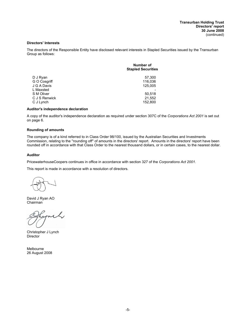#### **Directors' Interests**

The directors of the Responsible Entity have disclosed relevant interests in Stapled Securities issued by the Transurban Group as follows:

| Number of<br><b>Stapled Securities</b> |
|----------------------------------------|
| 57,300                                 |
| 116,036                                |
| 125,005                                |
|                                        |
| 50,518                                 |
| 21,552                                 |
| 152,800                                |
|                                        |

#### **Auditor's independence declaration**

A copy of the auditor's independence declaration as required under section 307C of the *Corporations Act 2001* is set out on page 6.

#### **Rounding of amounts**

The company is of a kind referred to in Class Order 98/100, issued by the Australian Securities and Investments Commission, relating to the ''rounding off'' of amounts in the directors' report. Amounts in the directors' report have been rounded off in accordance with that Class Order to the nearest thousand dollars, or in certain cases, to the nearest dollar.

#### **Auditor**

PricewaterhouseCoopers continues in office in accordance with section 327 of the *Corporations Act 2001.*

This report is made in accordance with a resolution of directors.

David J Ryan AO Chairman

Christopher J Lynch **Director** 

Melbourne 26 August 2008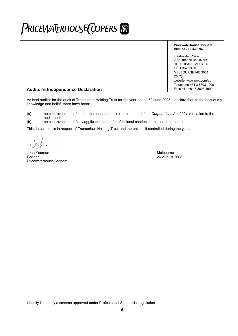# PRICEWATERHOUSE COPERS FO

#### **PricewaterhouseCoopers ABN 52 780 433 757**

Freshwater Place 2 Southbank Boulevard SOUTHBANK VIC 3006 GPO Box 1331L MELBOURNE VIC 3001 DX 77 website: www.pwc.com/au Telephone +61 3 8603 1000

# **Auditor's Independence Declaration**

As lead auditor for the audit of Transurban Holding Trust for the year ended 30 June 2008, I declare that, to the best of my knowledge and belief, there have been:

(a) no contraventions of the auditor independence requirements of the *Corporations Act 2001* in relation to the

audit; and (b) no contraventions of any applicable code of professional conduct in relation to the audit.

This declaration is in respect of Transurban Holding Trust and the entities it controlled during the year.

John Yeoman Melbourne (1999) and the state of the state of the state of the Melbourne Melbourne (1999) and the Melbourne of the Melbourne (1999) and the Melbourne of the Melbourne of the Melbourne of the Melbourne of the M PricewaterhouseCoopers

26 August 2008

Liability limited by a scheme approved under Professional Standards Legislation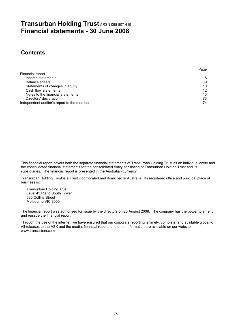# **Transurban Holding Trust** ARSN 098 807 419 **Financial statements - 30 June 2008**

# **Contents**

|                                             | Page |
|---------------------------------------------|------|
| Financial report                            |      |
| Income statements                           | 8    |
| Balance sheets                              | 9    |
| Statements of changes in equity             | 10   |
| Cash flow statements                        | 12   |
| Notes to the financial statements           | 13   |
| Directors' declaration                      | 73   |
| Independent auditor's report to the members | 74   |

This financial report covers both the separate financial statements of Transurban Holding Trust as an individual entity and the consolidated financial statements for the consolidated entity consisting of Transurban Holding Trust and its subsidiaries. The financial report is presented in the Australian currency.

Transurban Holding Trust is a Trust incorporated and domiciled in Australia. Its registered office and principal place of business is:

Transurban Holding Trust Level 43 Rialto South Tower 525 Collins Street Melbourne VIC 3000

The financial report was authorised for issue by the directors on 26 August 2008. The company has the power to amend and reissue the financial report.

Through the use of the internet, we have ensured that our corporate reporting is timely, complete, and available globally. All releases to the ASX and the media, financial reports and other information are available on our website: www.transurban.com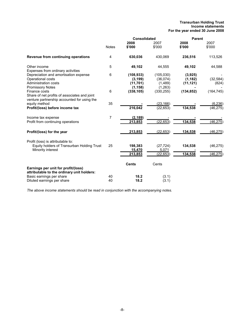#### **Transurban Holding Trust Income statements For the year ended 30 June 2008**

|                                                                                                               | <b>Consolidated</b> |                                                 |                                              | <b>Parent</b>                    |                        |
|---------------------------------------------------------------------------------------------------------------|---------------------|-------------------------------------------------|----------------------------------------------|----------------------------------|------------------------|
|                                                                                                               | <b>Notes</b>        | 2008<br>\$'000                                  | 2007<br>\$'000                               | 2008<br>\$'000                   | 2007<br>\$'000         |
| Revenue from continuing operations                                                                            | 4                   | 630,036                                         | 430,069                                      | 236,516                          | 113,526                |
| Other income<br>Expenses from ordinary activities                                                             | 5                   | 49,102                                          | 44,555                                       | 49,102                           | 44,588                 |
| Depreciation and amortisation expense<br>Operational costs<br>Administration costs<br><b>Promissory Notes</b> | 6                   | (108, 933)<br>(3, 199)<br>(11, 701)<br>(1, 158) | (105, 030)<br>(36,074)<br>(1,489)<br>(1,263) | (3,925)<br>(1, 182)<br>(11, 121) | (32, 584)<br>(824)     |
| Finance costs<br>Share of net profits of associates and joint<br>venture partnership accounted for using the  | 6                   | (338, 105)                                      | (330, 255)                                   | (134, 852)                       | (164, 745)             |
| equity method<br>Profit/(loss) before income tax                                                              | 35                  | 216,042                                         | (23.166)<br>(22, 653)                        | 134,538                          | (6, 236)<br>(46, 275)  |
| Income tax expense<br>Profit from continuing operations                                                       | 7                   | (2, 189)<br>213,853                             | (22, 653)                                    | 134,538                          | (46, 275)              |
| Profit/(loss) for the year                                                                                    |                     | 213,853                                         | (22, 653)                                    | 134,538                          | (46, 275)              |
| Profit (loss) is attributable to:<br>Equity holders of Transurban Holding Trust<br>Minority interest          | 25                  | 198,383<br>15,470<br>213,853                    | (27, 724)<br>5,071<br>(22, 653)              | 134,538<br>134,538               | (46, 275)<br>(46, 275) |
| Earnings per unit for profit/(loss)                                                                           |                     | <b>Cents</b>                                    | Cents                                        |                                  |                        |
| attributable to the ordinary unit holders:<br>Basic earnings per share<br>Diluted earnings per share          | 40<br>40            | 18.2<br>18.2                                    | (3.1)<br>(3.1)                               |                                  |                        |

*The above income statements should be read in conjunction with the accompanying notes.*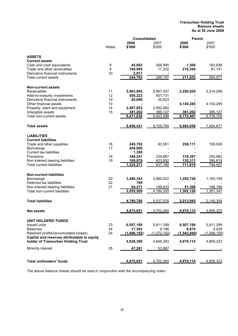#### **Transurban Holding Trust Balance sheets As at 30 June 2008**

|                                                  |              | <b>Consolidated</b> |                | <b>Parent</b> |             |  |
|--------------------------------------------------|--------------|---------------------|----------------|---------------|-------------|--|
|                                                  |              | 2008                | 2007           | 2008          | 2007        |  |
|                                                  | <b>Notes</b> | \$'000              | \$'000         | \$'000        | \$'000      |  |
| <b>ASSETS</b>                                    |              |                     |                |               |             |  |
| <b>Current assets</b>                            |              |                     |                |               |             |  |
| Cash and cash equivalents                        | 8            | 45,882              | 268,995        | 1,308         | 183,836     |  |
| Trade and other receivables                      | 9            | 195,994             | 17,202         | 210,344       | 81,141      |  |
| Derivative financial instruments                 | 10           | 2,917               |                |               |             |  |
| Total current assets                             |              | 244,793             | 286,197        | 211,652       | 264,977     |  |
|                                                  |              |                     |                |               |             |  |
| <b>Non-current assets</b>                        |              |                     |                |               |             |  |
| Receivables                                      | 11           | 5,963,892           | 5,887,457      | 2,250,920     | 2,214,288   |  |
| Held-to-maturity investments                     | 12           | 558,223             | 557,731        |               |             |  |
| Derivative financial instruments                 | 10           | 20,669              | 20,623         |               |             |  |
| Other financial assets                           | 13           |                     |                | 4,140,285     | 4,140,285   |  |
| Property, plant and equipment                    | 14           | 2,487,652           | 2,592,660      |               |             |  |
| Intangible assets                                | 15           | 381,202             | 385,127        | 381,202       | 385,127     |  |
| Total non-current assets                         |              | 9,411,638           | 9,443,598      | 6,772,407     | 6,739,700   |  |
| <b>Total assets</b>                              |              | 9,656,431           | 9,729,795      | 6,984,059     | 7,004,677   |  |
|                                                  |              |                     |                |               |             |  |
| <b>LIABILITIES</b><br><b>Current liabilities</b> |              |                     |                |               |             |  |
|                                                  | 16           | 245,702             | 83,561         | 258,111       |             |  |
| Trade and other payables<br>Borrowings           | 17           |                     |                |               | 109,526     |  |
| <b>Current tax liabilities</b>                   |              | 459,000             |                |               |             |  |
|                                                  |              | 1,350               |                |               |             |  |
| Provisions                                       | 18           | 349,241             | 329,667        | 318,397       | 293,862     |  |
| Non-interest bearing liabilities                 | 19           | 169,978             | 423,952        | 135,311       | 390,619     |  |
| <b>Total current liabilities</b>                 |              | 1,225,271           | 837,180        | 711,819       | 794,007     |  |
| <b>Non-current liabilities</b>                   |              |                     |                |               |             |  |
| Borrowings                                       | 20           | 3,490,343           | 3,990,522      | 1,250,728     | 1,163,159   |  |
| Deferred tax liabilities                         | 22           | 795                 |                |               |             |  |
| Non-interest bearing liabilities                 | 21           | 64,371              | <u>199,833</u> | 51,398        | 188,188     |  |
| Total non-current liabilities                    |              | 3,555,509           | 4,190,355      | 1,302,126     | 1,351,347   |  |
|                                                  |              |                     |                |               |             |  |
| <b>Total liabilities</b>                         |              | 4,780,780           | 5,027,535      | 2,013,945     | 2,145,354   |  |
| <b>Net assets</b>                                |              | 4,875,651           | 4,702,260      | 4,970,114     | 4,859,323   |  |
| <b>UNIT HOLDERS' FUNDS</b>                       |              |                     |                |               |             |  |
| <b>Issued units</b>                              | 23           | 6,507,180           | 5,911,399      | 6,507,180     | 5,911,399   |  |
| Reserves                                         | 24           | 17,392              | 9,186          | 6,874         | 4,029       |  |
| Retained profits/(accumulated losses)            | 24           | (1,696,182)         | (1, 272, 192)  | (1,543,940)   | (1,056,105) |  |
| Capital and reserves attributable to equity      |              |                     |                |               |             |  |
| holder of Transurban Holding Trust               |              | 4,828,390           | 4,648,393      | 4,970,114     | 4,859,323   |  |
| Minority interest                                | 25           | 47,261              | 53,867         |               |             |  |
|                                                  |              |                     |                |               |             |  |
| <b>Total unitholders' funds</b>                  |              | 4,875,651           | 4,702,260      | 4,970,114     | 4,859,323   |  |

*The above balance sheets should be read in conjunction with the accompanying notes.*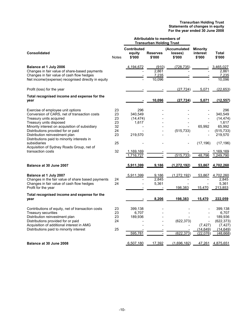|                                                                                            |              |                                        | <b>Attributable to members of</b><br><b>Transurban Holding Trust</b> |                                   |                                       |                        |
|--------------------------------------------------------------------------------------------|--------------|----------------------------------------|----------------------------------------------------------------------|-----------------------------------|---------------------------------------|------------------------|
| <b>Consolidated</b>                                                                        | <b>Notes</b> | <b>Contributed</b><br>equity<br>\$'000 | <b>Reserves</b><br>\$'000                                            | (Accumulated<br>losses)<br>\$'000 | <b>Minority</b><br>interest<br>\$'000 | Total<br>\$'000        |
| Balance at 1 July 2006                                                                     |              | 4,194,672                              | (910)                                                                | (728, 735)                        |                                       | 3,465,027              |
| Changes in fair value of share-based payments<br>Changes in fair value of cash flow hedges |              |                                        | 2.861<br>7,235                                                       |                                   |                                       | 2,861<br>7,235         |
| Net income/(expense) recognised directly in equity                                         |              |                                        | 10,096                                                               |                                   |                                       | 10,096                 |
| Profit (loss) for the year                                                                 |              |                                        |                                                                      | (27, 724)                         | 5,071                                 | (22, 653)              |
| Total recognised income and expense for the<br>year                                        |              |                                        | 10,096                                                               | (27, 724)                         | 5,071                                 | (12, 557)              |
| Exercise of employee unit options                                                          | 23           | 296                                    |                                                                      |                                   |                                       | 296                    |
| Conversion of CARS, net of transaction costs                                               | 23           | 340,549                                |                                                                      |                                   |                                       | 340,549                |
| Treasury units acquired                                                                    | 23           | (14, 474)                              |                                                                      |                                   |                                       | (14, 474)              |
| Treasury units disposed<br>Minority interest on acquisition of subsidiary                  | 23<br>32     | 1,617                                  |                                                                      |                                   | 65,992                                | 1.617<br>65,992        |
| Distributions provided for or paid                                                         | 24           |                                        |                                                                      | (515, 733)                        |                                       | (515, 733)             |
| Distribution reinvestment plan<br>Distributions paid to minority interests in              | 23           | 219,570                                |                                                                      |                                   |                                       | 219,570                |
| subsidiaries<br>Acquisition of Sydney Roads Group, net of                                  | 25           |                                        |                                                                      |                                   | (17, 196)                             | (17, 196)              |
| transaction costs                                                                          | 32           | 1,169,169<br>1,716,727                 |                                                                      | (515, 733)                        | 48,796                                | 1,169,169<br>1.249.790 |
|                                                                                            |              |                                        |                                                                      |                                   |                                       |                        |
| Balance at 30 June 2007                                                                    |              | 5,911,399                              | 9,186                                                                | (1, 272, 192)                     | 53,867                                | 4,702,260              |
| Balance at 1 July 2007<br>Changes in the fair value of share based payments                | 24           | 5,911,399                              | 9,186<br>2,845                                                       | (1, 272, 192)                     | 53,867                                | 4,702,260<br>2,845     |
| Changes in fair value of cash flow hedges                                                  | 24           |                                        | 5,361                                                                |                                   |                                       | 5,361                  |
| Profit for the year                                                                        |              |                                        |                                                                      | 198,383                           | 15,470                                | 213,853                |
| Total recognised income and expense for the<br>year                                        |              |                                        | 8,206                                                                | 198,383                           | 15,470                                | 222,059                |
| Contributions of equity, net of transaction costs                                          | 23           | 399,138                                |                                                                      |                                   |                                       | 399,138                |
| Treasury securities                                                                        | 23           | 6,707                                  |                                                                      |                                   |                                       | 6,707                  |
| Distribution reinvestment plan<br>Distributions provided for or paid                       | 23<br>24     | 189,936                                |                                                                      | (622, 373)                        |                                       | 189,936<br>(622, 373)  |
| Acquisition of additional interest in AMG                                                  |              |                                        |                                                                      |                                   | (7, 427)                              | (7, 427)               |
| Distributions paid to minority interest                                                    | 25           |                                        |                                                                      |                                   | (14, 649)                             | (14, 649)              |
|                                                                                            |              | 595.781                                |                                                                      | (622.373)                         | (22,076)                              | (48, 668)              |
| Balance at 30 June 2008                                                                    |              | 6,507,180                              | 17.392                                                               | (1,696,182)                       | 47,261                                | 4,875,651              |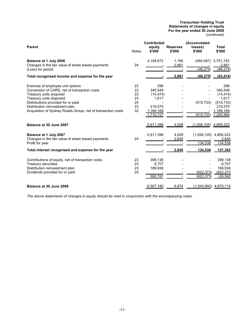#### **Transurban Holding Trust Statements of changes in equity For the year ended 30 June 2008** (continued)

| <b>Parent</b>                                                                                                                                                                                                                                                                  | <b>Notes</b>                           | <b>Contributed</b><br>equity<br>\$'000                                    | <b>Reserves</b><br>\$'000 | (Accumulated<br>losses)<br>\$'000 | <b>Total</b><br>\$'000                                                                  |
|--------------------------------------------------------------------------------------------------------------------------------------------------------------------------------------------------------------------------------------------------------------------------------|----------------------------------------|---------------------------------------------------------------------------|---------------------------|-----------------------------------|-----------------------------------------------------------------------------------------|
| Balance at 1 July 2006<br>Changes in the fair value of share based payments<br>(Loss) for period                                                                                                                                                                               | 24                                     | 4,194,672                                                                 | 1,168<br>2,861            | (494, 097)<br>(46, 275)           | 3,701,743<br>2,861<br>(46, 275)                                                         |
| Total recognised income and expense for the year                                                                                                                                                                                                                               |                                        |                                                                           | 2,861                     | (46, 275)                         | (43, 414)                                                                               |
| Exercise of employee unit options<br>Conversion of CARS, net of transaction costs<br>Treasury units acquired<br>Treasury units disposed<br>Distributions provided for or paid<br>Distribution reinvestment plan<br>Acquisition of Sydney Roads Group, net of transaction costs | 23<br>23<br>23<br>23<br>24<br>23<br>32 | 296<br>340,549<br>(14, 474)<br>1,617<br>219,570<br>1,169,169<br>1,716,727 |                           | (515, 733)<br>(515, 733)          | 296<br>340,549<br>(14, 474)<br>1,617<br>(515, 733)<br>219,570<br>1,169,169<br>1,200,994 |
| Balance at 30 June 2007                                                                                                                                                                                                                                                        |                                        | 5,911,399                                                                 | 4,029                     | $(1,056,105)$ 4,859,323           |                                                                                         |
| Balance at 1 July 2007<br>Changes in the fair value of share based payments<br>Profit for year<br>Total interest recognised and expense for the year                                                                                                                           | 24                                     | 5,911,399                                                                 | 4,029<br>2,845<br>2,845   | (1,056,105)<br>134,538<br>134,538 | 4,859,323<br>2,845<br>134,538<br>137,383                                                |
| Contributions of equity, net of transaction costs<br>Treasury securities<br>Distribution reinvestment plan<br>Dividends provided for or paid                                                                                                                                   | 23<br>23<br>23<br>24                   | 399,138<br>6,707<br>189,936<br>595,781                                    |                           | (622, 373)<br>(622, 373)          | 399,138<br>6,707<br>189,936<br>(622, 373)<br>(26, 592)                                  |
| Balance at 30 June 2008                                                                                                                                                                                                                                                        |                                        | 6,507,180                                                                 | 6,874                     |                                   | $(1,543,940)$ 4,970,114                                                                 |

*The above statements of changes in equity should be read in conjunction with the accompanying notes.*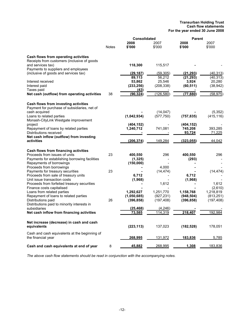#### **Transurban Holding Trust Cash flow statements For the year ended 30 June 2008**

|                                                |       | <b>Consolidated</b> |            | <b>Parent</b> |              |  |
|------------------------------------------------|-------|---------------------|------------|---------------|--------------|--|
|                                                |       | 2008                | 2007       | 2008          | 2007         |  |
|                                                | Notes | \$'000              | \$'000     | \$'000        | \$'000       |  |
| Cash flows from operating activities           |       |                     |            |               |              |  |
| Receipts from customers (inclusive of goods    |       |                     |            |               |              |  |
| and services tax)                              |       | 118,300             | 115,517    |               |              |  |
| Payments to suppliers and employees            |       |                     |            |               |              |  |
| (inclusive of goods and services tax)          |       | (29, 187)           | (59, 305)  | (21, 293)     | (40, 313)    |  |
|                                                |       | 89,113              | 56,212     | (21, 293)     | (40, 313)    |  |
| Interest received                              |       | 53,862              | 25,546     | 3,924         | 20,280       |  |
| Interest paid                                  |       | (233, 256)          | (208, 338) | (60, 511)     | (38, 942)    |  |
| Taxes paid                                     |       | (43)                |            |               |              |  |
| Net cash (outflow) from operating activities   | 38    | (90, 324)           | (126, 580) | (77, 880)     | (58, 975)    |  |
| Cash flows from investing activities           |       |                     |            |               |              |  |
| Payment for purchase of subsidiaries, net of   |       |                     |            |               |              |  |
| cash acquired                                  |       |                     | (14, 047)  |               | (5, 352)     |  |
| Loans to related parties                       |       | (1,042,934)         | (577, 750) | (757, 835)    | (415, 116)   |  |
| Monash-CityLink Westgate improvement           |       |                     |            |               |              |  |
| project                                        |       | (404, 152)          |            | (404, 152)    |              |  |
| Repayment of loans by related parties          |       | 1,240,712           | 741,081    | 745,208       | 393,285      |  |
| Distributions received                         |       |                     |            | 93,724        | 71,225       |  |
| Net cash inflow (outflow) from investing       |       |                     |            |               |              |  |
| activities                                     |       | (206, 374)          | 149,284    | (323, 055)    | 44,042       |  |
| Cash flows from financing activities           |       |                     |            |               |              |  |
| Proceeds from issues of units                  | 23    | 400,550             | 296        | 400,550       | 296          |  |
| Payments for establishing borrowing facilities |       | (1, 325)            |            | (293)         |              |  |
| Repayments of borrowings                       |       | (150,000)           |            |               |              |  |
| Proceeds from borrowings                       |       |                     | 4,000      |               |              |  |
| Payments for treasury securities               | 23    |                     | (14, 474)  |               | (14, 474)    |  |
| Proceeds from sale of treasury units           |       | 6,712               |            | 6,712         |              |  |
| Unit issue transaction costs                   |       | (1,968)             |            | (1,968)       |              |  |
| Proceeds from forfeited treasury securities    |       |                     | 1,612      |               | 1,612        |  |
| Finance costs capitalised                      |       |                     |            |               | (2,610)      |  |
| Loans from related parties                     |       | 1,292,627           | 1,251,770  | 1,158,768     | 1,218,819    |  |
| Repayment of loans to related parties          |       | (1,050,685)         | (927, 231) | (948, 504)    | (813, 251)   |  |
| Distributions paid                             | 26    | (396, 858)          | (197, 408) | (396, 858)    | (197, 408)   |  |
| Distributions paid to minority interests in    |       |                     |            |               |              |  |
| subsidiaries                                   |       | (25, 468)           | (4, 246)   |               |              |  |
| Net cash inflow from financing activities      |       | <u>73,585</u>       | 114,319    | 218,407       | 192,984      |  |
| Net increase (decrease) in cash and cash       |       |                     |            |               |              |  |
| equivalents                                    |       | (223, 113)          | 137,023    | (182, 528)    | 178,051      |  |
| Cash and cash equivalents at the beginning of  |       |                     |            |               |              |  |
| the financial year                             |       | <u>268,995</u>      | 131,972    | 183,836       | <u>5,785</u> |  |
| Cash and cash equivalents at end of year       | 8     | <u>45,882</u>       | 268,995    | 1,308         | 183,836      |  |

*The above cash flow statements should be read in conjunction with the accompanying notes.*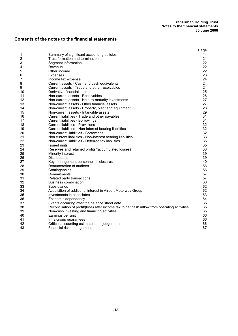# **Contents of the notes to the financial statements**

| Summary of significant accounting policies<br>1<br>2<br>Trust formation and termination<br>3<br>Segment information<br>Revenue<br>4<br>Other income | 14<br>21<br>22<br>22<br>22<br>23<br>24<br>24 |
|-----------------------------------------------------------------------------------------------------------------------------------------------------|----------------------------------------------|
|                                                                                                                                                     |                                              |
|                                                                                                                                                     |                                              |
|                                                                                                                                                     |                                              |
|                                                                                                                                                     |                                              |
| 5                                                                                                                                                   |                                              |
| 6<br>Expenses                                                                                                                                       |                                              |
| 7<br>Income tax expense                                                                                                                             |                                              |
| 8<br>Current assets - Cash and cash equivalents                                                                                                     |                                              |
| 9<br>Current assets - Trade and other receivables                                                                                                   | 24                                           |
| Derivative financial instruments<br>10                                                                                                              | 25                                           |
| 11<br>Non-current assets - Receivables                                                                                                              | 26                                           |
| 12<br>Non-current assets - Held-to-maturity investments                                                                                             | 27                                           |
| 13<br>Non-current assets - Other financial assets                                                                                                   | 27                                           |
| 14<br>Non-current assets - Property, plant and equipment                                                                                            | 28                                           |
| 15<br>Non-current assets - Intangible assets                                                                                                        | 29                                           |
| 16<br>Current liabilities - Trade and other payables                                                                                                | 31                                           |
| 17<br>Current liabilities - Borrowings                                                                                                              | 31                                           |
| 18<br><b>Current liabilities - Provisions</b>                                                                                                       | 32                                           |
| 19<br>Current liabilities - Non-interest bearing liabilities                                                                                        | 32                                           |
| 20<br>Non-current liabilities - Borrowings                                                                                                          | 32                                           |
| 21<br>Non current liabilities - Non-interest bearing liabilities                                                                                    | 33                                           |
| 22<br>Non-current liabilities - Deferred tax liabilities                                                                                            | 35                                           |
| 23<br><b>Issued units</b>                                                                                                                           | 35                                           |
| 24<br>Reserves and retained profits/(accumulated losses)                                                                                            | 38                                           |
| 25<br>Minority interest                                                                                                                             | 39                                           |
| 26<br><b>Distributions</b>                                                                                                                          | 39                                           |
| 27<br>Key management personnel disclosures                                                                                                          | 40                                           |
| 28<br>Remuneration of auditors                                                                                                                      | 56                                           |
| 29<br>Contingencies                                                                                                                                 | 56                                           |
| 30<br>Commitments                                                                                                                                   | 57                                           |
| 31<br>Related party transactions                                                                                                                    | 57                                           |
| 32<br><b>Business combination</b>                                                                                                                   | 60                                           |
| 33<br><b>Subsidiaries</b>                                                                                                                           | 62                                           |
| 34<br>Acquisition of additional interest in Airport Motorway Group                                                                                  | 62                                           |
| 35<br>Investments in associates                                                                                                                     | 63                                           |
| 36<br>Economic dependency                                                                                                                           | 64                                           |
| 37<br>Events occurring after the balance sheet date                                                                                                 | 65                                           |
| 38<br>Reconciliation of profit/(loss) after income tax to net cash inflow from operating activities                                                 | 65                                           |
| 39<br>Non-cash investing and financing activities                                                                                                   | 65                                           |
| Earnings per unit<br>40                                                                                                                             | 66                                           |
| Intra-group guarantees<br>41                                                                                                                        | 66                                           |
| 42<br>Critical accounting estimates and judgements                                                                                                  | 66                                           |
| 43<br>Financial risk management                                                                                                                     | 67                                           |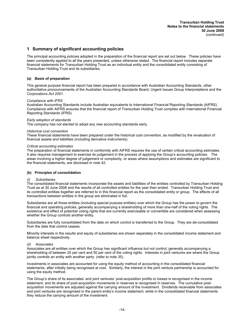# **1 Summary of significant accounting policies**

The principal accounting policies adopted in the preparation of the financial report are set out below. These policies have been consistently applied to all the years presented, unless otherwise stated. The financial report includes separate financial statements for Transurban Holding Trust as an individual entity and the consolidated entity consisting of Transurban Holding Trust and its subsidiaries.

#### **(a) Basis of preparation**

This general purpose financial report has been prepared in accordance with Australian Accounting Standards, other authoritative pronouncements of the Australian Accounting Standards Board, Urgent Issues Group Interpretations and the *Corporations Act 2001.*

#### *Compliance with IFRS*

Australian Accounting Standards include Australian equivalents to International Financial Reporting Standards (AIFRS). Compliance with AIFRS ensures that the financial report of Transurban Holding Trust complies with International Financial Reporting Standards (IFRS).

#### *Early adoption of standards*

The company has not elected to adopt any new accounting standards early.

#### *Historical cost convention*

These financial statements have been prepared under the historical cost convention, as modified by the revaluation of financial assets and liabilities (including derivative instruments).

#### *Critical accounting estimates*

The preparation of financial statements in conformity with AIFRS requires the use of certain critical accounting estimates. It also requires management to exercise its judgement in the process of applying the Group's accounting policies. The areas involving a higher degree of judgement or complexity, or areas where assumptions and estimates are significant to the financial statements, are disclosed in note 42.

#### **(b) Principles of consolidation**

#### *(i) Subsidiaries*

The consolidated financial statements incorporate the assets and liabilities of the entities controlled by Transurban Holding Trust as at 30 June 2008 and the results of all controlled entities for the year then ended. Transurban Holding Trust and its controlled entities together are referred to in this financial report as the consolidated entity or group. The effects of all transactions between entities in the group are eliminated in full.

Subsidiaries are all those entities (including special purpose entities) over which the Group has the power to govern the financial and operating policies, generally accompanying a shareholding of more than one-half of the voting rights. The existence and effect of potential voting rights that are currently exercisable or convertible are considered when assessing whether the Group controls another entity.

Subsidiaries are fully consolidated from the date on which control is transferred to the Group. They are de-consolidated from the date that control ceases.

Minority interests in the results and equity of subsidiaries are shown separately in the consolidated income statement and balance sheet respectively.

#### *(ii) Associates*

Associates are all entities over which the Group has significant influence but not control, generally accompanying a shareholding of between 20 per cent and 50 per cent of the voting rights. Interests in joint ventures are where the Group jointly controls an entity with another party (refer to note 35).

Investments in associates are accounted for using the equity method of accounting in the consolidated financial statements, after initially being recognised at cost. Similarly, the interest in the joint venture partnership is accounted for using the equity method.

The Group's share of its associates' and joint ventures' post-acquisition profits or losses is recognised in the income statement, and its share of post-acquisition movements in reserves is recognised in reserves. The cumulative postacquisition movements are adjusted against the carrying amount of the investment. Dividends receivable from associates and joint ventures are recognised in the parent entity's income statement, while in the consolidated financial statements they reduce the carrying amount of the investment.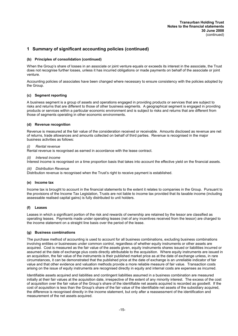#### **(b) Principles of consolidation (continued)**

When the Group's share of losses in an associate or joint venture equals or exceeds its interest in the associate, the Trust does not recognise further losses, unless it has incurred obligations or made payments on behalf of the associate or joint venture.

Accounting policies of associates have been changed where necessary to ensure consistency with the policies adopted by the Group.

#### **(c) Segment reporting**

A business segment is a group of assets and operations engaged in providing products or services that are subject to risks and returns that are different to those of other business segments. A geographical segment is engaged in providing products or services within a particular economic environment and is subject to risks and returns that are different from those of segments operating in other economic environments.

#### **(d) Revenue recognition**

Revenue is measured at the fair value of the consideration received or receivable. Amounts disclosed as revenue are net of returns, trade allowances and amounts collected on behalf of third parties. Revenue is recognised in the major business activities as follows:

#### *(i) Rental revenue*

Rental revenue is recognised as earned in accordance with the lease contract.

#### *(ii) Interest income*

Interest income is recognised on a time proportion basis that takes into account the effective yield on the financial assets.

#### *(iii) Distribution Revenue*

Distribution revenue is recognised when the Trust's right to receive payment is established.

#### **(e) Income tax**

Income tax is brought to account in the financial statements to the extent it relates to companies in the Group. Pursuant to the provisions of the Income Tax Legislation, Trusts are not liable to income tax provided that its taxable income (including assessable realised capital gains) is fully distributed to unit holders.

#### **(f) Leases**

Leases in which a significant portion of the risk and rewards of ownership are retained by the lessor are classified as operating leases. Payments made under operating leases (net of any incentives received from the lessor) are charged to the income statement on a straight line basis over the period of the lease.

#### **(g) Business combinations**

The purchase method of accounting is used to account for all business combinations, excluding business combinations involving entities or businesses under common control, regardless of whether equity instruments or other assets are acquired. Cost is measured as the fair value of the assets given, equity instruments shares issued or liabilities incurred or assumed at the date of exchange plus costs directly attributable to the acquisition. Where equity instruments are issued in an acquisition, the fair value of the instruments is their published market price as at the date of exchange unless, in rare circumstances, it can be demonstrated that the published price at the date of exchange is an unreliable indicator of fair value and that other evidence and valuation methods provide a more reliable measure of fair value. Transaction costs arising on the issue of equity instruments are recognised directly in equity and internal costs are expenses as incurred.

Identifiable assets acquired and liabilities and contingent liabilities assumed in a business combination are measured initially at their fair values at the acquisition date, irrespective of the extent of any minority interest. The excess of the cost of acquisition over the fair value of the Group's share of the identifiable net assets acquired is recorded as goodwill. If the cost of acquisition is less than the Group's share of the fair value of the identifiable net assets of the subsidiary acquired, the difference is recognised directly in the income statement, but only after a reassessment of the identification and measurement of the net assets acquired.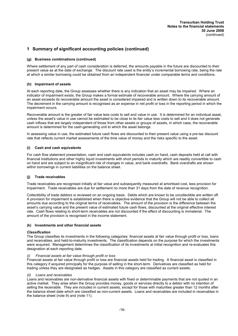#### **(g) Business combinations (continued)**

Where settlement of any part of cash consideration is deferred, the amounts payable in the future are discounted to their present value as at the date of exchange. The discount rate used is the entity's incremental borrowing rate, being the rate at which a similar borrowing could be obtained from an independent financier under comparable terms and conditions.

#### **(h) Impairment of assets**

At each reporting date, the Group assesses whether there is any indication that an asset may be impaired. Where an indicator of impairment exists, the Group makes a formal estimate of recoverable amount. Where the carrying amount of an asset exceeds its recoverable amount the asset is considered impaired and is written down to its recoverable amount. The decrement in the carrying amount is recognised as an expense in net profit or loss in the reporting period in which the impairment occurs.

Recoverable amount is the greater of fair value less costs to sell and value in use. It is determined for an individual asset, unless the asset's value in use cannot be estimated to be close to its fair value less costs to sell and it does not generate cash inflows that are largely independent of those from other assets or groups of assets, in which case, the recoverable amount is determined for the cash-generating unit to which the asset belongs.

In assessing value in use, the estimated future cash flows are discounted to their present value using a pre-tax discount rate that reflects current market assessments of the time value of money and the risks specific to the asset.

#### **(i) Cash and cash equivalents**

For cash flow statement presentation, cash and cash equivalents includes cash on hand, cash deposits held at call with financial institutions and other highly liquid investments with short periods to maturity which are readily convertible to cash on hand and are subject to an insignificant risk of changes in value, and bank overdrafts. Bank overdrafts are shown within borrowings in current liabilities on the balance sheet.

#### **(j) Trade receivables**

Trade receivables are recognised initially at fair value and subsequently measured at amortised cost, less provision for impairment. Trade receivables are due for settlement no more than 31 days from the date of revenue recognition.

Collectibility of trade debtors is reviewed on an ongoing basis. Debts which are known to be uncollectible are written off. A provision for impairment is established when there is objective evidence that the Group will not be able to collect all amounts due according to the original terms of receivables. The amount of the provision is the difference between the asset's carrying value and the present value of estimated future cash flows, discounted at the original effective interest rate. Cash flows relating to short-term receivables are not discounted if the effect of discounting is immaterial. The amount of the provision is recognised in the income statement.

#### **(k) Investments and other financial assets**

#### *Classification*

The Group classifies its investments in the following categories: financial assets at fair value through profit or loss, loans and receivables, and held-to-maturity investments. The classification depends on the purpose for which the investments were acquired. Management determines the classification of its investments at initial recognition and re-evaluates this designation at each reporting date.

#### *(i) Financial assets at fair value through profit or loss*

Financial assets at fair value through profit or loss are financial assets held for trading. A financial asset is classified in this category if acquired principally for the purpose of selling in the short-term. Derivatives are classified as held for trading unless they are designated as hedges. Assets in this category are classified as current assets.

#### *(ii) Loans and receivables*

Loans and receivables are non-derivative financial assets with fixed or determinable payments that are not quoted in an active market. They arise when the Group provides money, goods or services directly to a debtor with no intention of selling the receivable. They are included in current assets, except for those with maturities greater than 12 months after the balance sheet date which are classified as non-current assets. Loans and receivables are included in receivables in the balance sheet (note 9) and (note 11).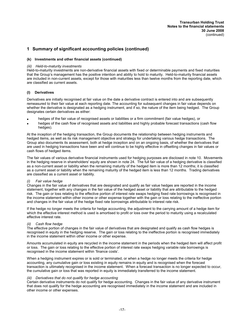#### **(k) Investments and other financial assets (continued)**

#### *(iii) Held-to-maturity investments*

Held-to-maturity investments are non-derivative financial assets with fixed or determinable payments and fixed maturities that the Group's management has the positive intention and ability to hold to maturity. Held-to-maturity financial assets are included in non-current assets, except for those with maturities less than twelve months from the reporting date, which are classified as current assets.

#### **(l) Derivatives**

Derivatives are initially recognised at fair value on the date a derivative contract is entered into and are subsequently remeasured to their fair value at each reporting date. The accounting for subsequent changes in fair value depends on whether the derivative is designated as a hedging instrument, and if so, the nature of the item being hedged. The Group designates certain derivatives as either:

- hedges of the fair value of recognised assets or liabilities or a firm commitment (fair value hedges), or
- hedges of the cash flow of recognised assets and liabilities and highly probable forecast transactions (cash flow hedges).

At the inception of the hedging transaction, the Group documents the relationship between hedging instruments and hedged items, as well as its risk management objective and strategy for undertaking various hedge transactions. The Group also documents its assessment, both at hedge inception and on an ongoing basis, of whether the derivatives that are used in hedging transactions have been and will continue to be highly effective in offsetting changes in fair values or cash flows of hedged items.

The fair values of various derivative financial instruments used for hedging purposes are disclosed in note 10. Movements in the hedging reserve in shareholders' equity are shown in note 24. The full fair value of a hedging derivative is classified as a non-current asset or liability when the remaining maturity of the hedged item is more than 12 months; it is classified as a current asset or liability when the remaining maturity of the hedged item is less than 12 months. Trading derivatives are classified as a current asset or liability.

#### **Fair value hedge**

Changes in the fair value of derivatives that are designated and qualify as fair value hedges are reported in the income statement, together with any changes in the fair value of the hedged asset or liability that are attributable to the hedged risk. The gain or loss relating to the effective portion of interest rate swaps hedging fixed rate borrowings is recognised in the income statement within other income or other expense together with the gain or loss relating to the ineffective portion and changes in the fair value of the hedge fixed rate borrowings attributable to interest rate risk.

If the hedge no longer meets the criteria for hedge accounting, the adjustment to the carrying amount of a hedge item for which the effective interest method is used is amortised to profit or loss over the period to maturity using a recalculated effective interest rate.

#### *(ii) Cash flow hedge*

The effective portion of changes in the fair value of derivatives that are designated and qualify as cash flow hedges is recognised in equity in the hedging reserve. The gain or loss relating to the ineffective portion is recognised immediately in the income statement within other income or other expense.

Amounts accumulated in equity are recycled in the income statement in the periods when the hedged item will affect profit or loss. The gain or loss relating to the effective portion of interest rate swaps hedging variable rate borrowings is recognised in the income statement within 'finance costs'.

When a hedging instrument expires or is sold or terminated, or when a hedge no longer meets the criteria for hedge accounting, any cumulative gain or loss existing in equity remains in equity and is recognised when the forecast transaction is ultimately recognised in the income statement. When a forecast transaction is no longer expected to occur, the cumulative gain or loss that was reported in equity is immediately transferred to the income statement.

#### *(iii) Derivatives that do not qualify for hedge accounting*

Certain derivative instruments do not qualify for hedge accounting. Changes in the fair value of any derivative instrument that does not qualify for the hedge accounting are recognised immediately in the income statement and are included in other income or other expenses.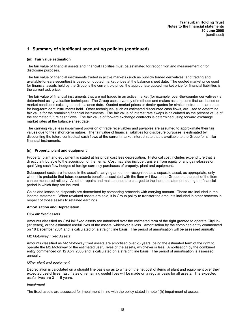#### **(m) Fair value estimation**

The fair value of financial assets and financial liabilities must be estimated for recognition and measurement or for disclosure purposes.

The fair value of financial instruments traded in active markets (such as publicly traded derivatives, and trading and available-for-sale securities) is based on quoted market prices at the balance sheet date. The quoted market price used for financial assets held by the Group is the current bid price; the appropriate quoted market price for financial liabilities is the current ask price.

The fair value of financial instruments that are not traded in an active market (for example, over-the-counter derivatives) is determined using valuation techniques. The Group uses a variety of methods and makes assumptions that are based on market conditions existing at each balance date. Quoted market prices or dealer quotes for similar instruments are used for long-term debt instruments held. Other techniques, such as estimated discounted cash flows, are used to determine fair value for the remaining financial instruments. The fair value of interest rate swaps is calculated as the present value of the estimated future cash flows. The fair value of forward exchange contracts is determined using forward exchange market rates at the balance sheet date.

The carrying value less impairment provision of trade receivables and payables are assumed to approximate their fair values due to their short-term nature. The fair value of financial liabilities for disclosure purposes is estimated by discounting the future contractual cash flows at the current market interest rate that is available to the Group for similar financial instruments.

#### **(n) Property, plant and equipment**

Property, plant and equipment is stated at historical cost less depreciation. Historical cost includes expenditure that is directly attributable to the acquisition of the items. Cost may also include transfers from equity of any gains/losses on qualifying cash flow hedges of foreign currency purchases of property, plant and equipment.

Subsequent costs are included in the asset's carrying amount or recognised as a separate asset, as appropriate, only when it is probable that future economic benefits associated with the item will flow to the Group and the cost of the item can be measured reliably. All other repairs and maintenance are charged to the income statement during the financial period in which they are incurred.

Gains and losses on disposals are determined by comparing proceeds with carrying amount. These are included in the income statement. When revalued assets are sold, it is Group policy to transfer the amounts included in other reserves in respect of those assets to retained earnings.

#### **Amortisation and Depreciation**

#### *CityLink fixed assets*

Amounts classified as CityLink fixed assets are amortised over the estimated term of the right granted to operate CityLink (32 years), or the estimated useful lives of the assets, whichever is less. Amortisation by the combined entity commenced on 18 December 2001 and is calculated on a straight line basis. The period of amortisation will be assessed annually.

#### *M2 Motorway Fixed Assets*

Amounts classified as M2 Motorway fixed assets are amortised over 28 years, being the estimated term of the right to operate the M2 Motorway or the estimated useful lives of the assets, whichever is less. Amortisation by the combined entity commenced on 12 April 2005 and is calculated on a straight line basis. The period of amortisation is assessed annually.

#### *Other plant and equipment*

Depreciation is calculated on a straight line basis so as to write off the net cost of items of plant and equipment over their expected useful lives. Estimates of remaining useful lives will be made on a regular basis for all assets. The expected useful lives are 3 – 15 years.

#### *Impairment*

The fixed assets are assessed for impairment in line with the policy stated in note 1(h) impairment of assets.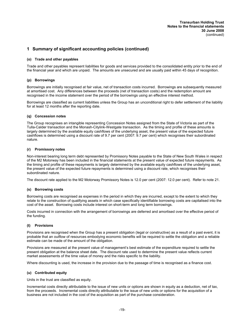#### **(o) Trade and other payables**

Trade and other payables represent liabilities for goods and services provided to the consolidated entity prior to the end of the financial year and which are unpaid. The amounts are unsecured and are usually paid within 45 days of recognition.

#### **(p) Borrowings**

Borrowings are initially recognised at fair value, net of transaction costs incurred. Borrowings are subsequently measured at amortised cost. Any differences between the proceeds (net of transaction costs) and the redemption amount are recognised in the income statement over the period of the borrowings using an effective interest method.

Borrowings are classified as current liabilities unless the Group has an unconditional right to defer settlement of the liability for at least 12 months after the reporting date.

#### **(q) Concession notes**

The Group recognises an intangible representing Concession Notes assigned from the State of Victoria as part of the Tulla-Calder transaction and the Monash-Citylink-Westgate transaction. As the timing and profile of these amounts is largely determined by the available equity cashflows of the underlying asset, the present value of the expected future cashflows is determined using a discount rate of 9.7 per cent (2007: 9.7 per cent) which recognises their subordinated nature.

#### **(r) Promissory notes**

Non-interest bearing long term debt represented by Promissory Notes payable to the State of New South Wales in respect of the M2 Motorway has been included in the financial statements at the present value of expected future repayments. As the timing and profile of these repayments is largely determined by the available equity cashflows of the underlying asset, the present value of the expected future repayments is determined using a discount rate, which recognises their subordinated nature.

The discount rate applied to the M2 Motorway Promissory Notes is 12.0 per cent (2007: 12.0 per cent). Refer to note 21.

#### **(s) Borrowing costs**

Borrowing costs are recognised as expenses in the period in which they are incurred, except to the extent to which they relate to the construction of qualifying assets in which case specifically identifiable borrowing costs are capitalised into the cost of the asset. Borrowing costs include interest on short-term and long term borrowings.

Costs incurred in connection with the arrangement of borrowings are deferred and amortised over the effective period of the funding.

#### **(t) Provisions**

Provisions are recognised when the Group has a present obligation (legal or constructive) as a result of a past event, it is probable that an outflow of resources embodying economic benefits will be required to settle the obligation and a reliable estimate can be made of the amount of the obligation.

Provisions are measured at the present value of management's best estimate of the expenditure required to settle the present obligation at the balance sheet date. The discount rate used to determine the present value reflects current market assessments of the time value of money and the risks specific to the liability.

Where discounting is used, the increase in the provision due to the passage of time is recognised as a finance cost.

#### **(u) Contributed equity**

Units in the trust are classified as equity.

Incremental costs directly attributable to the issue of new units or options are shown in equity as a deduction, net of tax, from the proceeds. Incremental costs directly attributable to the issue of new units or options for the acquisition of a business are not included in the cost of the acquisition as part of the purchase consideration.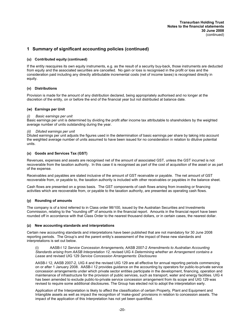#### **(u) Contributed equity (continued)**

If the entity reacquires its own equity instruments, e.g. as the result of a security buy-back, those instruments are deducted from equity and the associated securities are cancelled. No gain or loss is recognised in the profit or loss and the consideration paid including any directly attributable incremental costs (net of income taxes) is recognised directly in equity.

#### **(v) Distributions**

Provision is made for the amount of any distribution declared, being appropriately authorised and no longer at the discretion of the entity, on or before the end of the financial year but not distributed at balance date.

#### **(w) Earnings per Unit**

#### *(i) Basic earnings per unit*

Basic earnings per unit is determined by dividing the profit after income tax attributable to shareholders by the weighted average number of units outstanding during the year.

#### *(ii) Diluted earnings per unit*

Diluted earnings per unit adjusts the figures used in the determination of basic earnings per share by taking into account the weighted average number of units assumed to have been issued for no consideration in relation to dilutive potential units.

#### **(x) Goods and Services Tax (GST)**

Revenues, expenses and assets are recognised net of the amount of associated GST, unless the GST incurred is not recoverable from the taxation authority. In this case it is recognised as part of the cost of acquisition of the asset or as part of the expense.

Receivables and payables are stated inclusive of the amount of GST receivable or payable. The net amount of GST recoverable from, or payable to, the taxation authority is included with other receivables or payables in the balance sheet.

Cash flows are presented on a gross basis. The GST components of cash flows arising from investing or financing activities which are recoverable from, or payable to the taxation authority, are presented as operating cash flows.

#### **(y) Rounding of amounts**

The company is of a kind referred to in Class order 98/100, issued by the Australian Securities and Investments Commission, relating to the ''rounding off'' of amounts in the financial report. Amounts in the financial report have been rounded off in accordance with that Class Order to the nearest thousand dollars, or in certain cases, the nearest dollar.

#### **(z) New accounting standards and interpretations**

Certain new accounting standards and interpretations have been published that are not mandatory for 30 June 2008 reporting periods. The Group's and the parent entity's assessment of the impact of these new standards and interpretations is set out below.

(i) AASB-I 12 *Service Concession Arrangements,* AASB 2007-2 *Amendments to Australian Accounting Standards arising from AASB Interpretation 12,* revised UIG 4 *Determining whether an Arrangement contains a Lease* and revised UIG 129 *Service Concession Arrangements: Disclosures*

AASB-I 12, AASB 2007-2, UIG 4 and the revised UIG 129 are all effective for annual reporting periods commencing on or after 1 January 2008. AASB-I 12 provides guidance on the accounting by operators for public-to-private service concession arrangements under which private sector entities participate in the development, financing, operation and maintenance of infrastructure for the provision of public services, such as transport, water and energy facilities. UIG 4 has been amended to exclude public-to-private service concession arrangement from its scope and UIG 129 was revised to require some additional disclosures. The Group has elected not to adopt the interpretation early.

Application of the Interpretation is likely to affect the classification of certain Property, Plant and Equipment and Intangible assets as well as impact the recognition of 'make-good' provisions in relation to concession assets. The impact of the application of this Interpretation has not yet been quantified.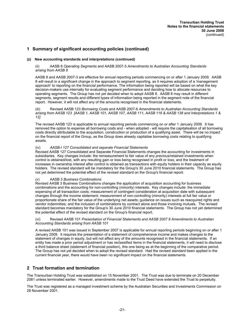#### **(z) New accounting standards and interpretations (continued)**

#### (ii) AASB 8 *Operating Segments* and AASB 2007-3 *Amendments to Australian Accounting Standards arising from AASB 8*

AASB 8 and AASB 2007-3 are effective for annual reporting periods commencing on or after 1 January 2009. AASB 8 will result in a significant change in the approach to segment reporting, as it requires adoption of a 'management approach' to reporting on the financial performance. The information being reported will be based on what the key decision-makers use internally for evaluating segment performance and deciding how to allocate resources to operating segments. The Group has not yet decided when to adopt AASB 8. AASB 8 may result in different segments, segment results and different types of information being reported in the segment note of the financial report. However, it will not affect any of the amounts recognised in the financial statements.

(iii) Revised AASB 123 *Borrowing Costs* and AASB 2007-6 *Amendments to Australian Accounting Standards arising from AASB 123 [AASB 1, AASB 101, AASB 107, AASB 111, AASB 116 & AASB 138 and Interpretations 1 & 12]*

The revised AASB 123 is applicable to annual reporting periods commencing on or after 1 January 2009. It has removed the option to expense all borrowing costs and - when adopted - will require the capitalisation of all borrowing costs directly attributable to the acquisition, construction or production of a qualifying asset. There will be no impact on the financial report of the Group, as the Group does already capitalise borrowing costs relating to qualifying assets.

#### (iv) *AASB-I 127 Consolidated and separate Financial Statements*

Revised AASB 127 Consolidated and Separate Financial Statements changes the accounting for investments in subsidiaries. Key changes include: the remeasurement to fair value of any previous/retained investments when control is obtained/lost, with any resulting gain or loss being recognised in profit or loss; and the treatment of increases in ownership interest after control is obtained as transactions with equity holders in their capacity as equity holders. The revised standard will be mandatory for the Group's 30 June 2010 financial statements. The Group has not yet determined the potential effect of the revised standard on the Group's financial report.

#### (v) AASB 3 *Business Combinations*

Revised AASB 3 Business Combinations changes the application of acquisition accounting for business combinations and the accounting for non-controlling (minority) interests. Key changes include: the immediate expensing of all transaction costs; measurement of contingent consideration at acquisition date with subsequent changes through the income statement; measurement of non-controlling (minority) interests at full fair value or proportionate share of the fair value of the underlying net assets; guidance on issues such as reacquired rights and vendor indemnities; and the inclusion of combinations by contract alone and those involving mutuals. The revised standard becomes mandatory for the Group's 30 June 2010 financial statements. The Group has not yet determined the potential effect of the revised standard on the Group's financial report.

#### (vi) Revised AASB 101 *Presentation of Financial Statements and AASB 2007 8 Amendments to Australian Accounting Standards arising from AASB 101*

A revised AASB 101 was issued in September 2007 is applicable for annual reporting periods beginning on or after 1 January 2009. It requires the presentation of a statement of comprehensive income and makes changes to the statement of changes in equity, but will not affect any of the amounts recognised in the financial statements. If an entity has made a prior period adjustment or has reclassified items in the financial statements, it will need to disclose a third balance sheet (statement of financial position), this one being as at the beginning of the comparative period. The Group has not yet decided when to adopt the revised standard. Had the revised standard been applied in the current financial year, there would have been no significant impact on the financial statements.

# **2 Trust formation and termination**

The Transurban Holding Trust was established on 15 November 2001. The Trust was due to terminate on 20 December 2081 unless terminated earlier. However, amendments made to the Trust Deed have extended the Trust to perpetuity.

The Trust was registered as a managed investment scheme by the Australian Securities and Investments Commission on 28 November 2001.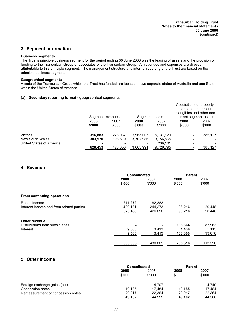# **3 Segment information**

#### **Business segments**

The Trust's principle business segment for the period ending 30 June 2008 was the leasing of assets and the provision of funding to the Transurban Group or associates of the Transurban Group. All revenues and expenses are directly attributable to this principle segment. The management structure and internal reporting of the Trust are based on the principle business segment.

#### **Geographical segments**

Assets of the Transurban Group which the Trust has funded are located in two separate states of Australia and one State within the United States of America.

#### **(a) Secondary reporting format - geographical segments**

|                          |                  |         |                |           | Acquisitions of property,<br>plant and equipment.<br>intangibles and other non- |         |
|--------------------------|------------------|---------|----------------|-----------|---------------------------------------------------------------------------------|---------|
|                          | Segment revenues |         | Segment assets |           | current segment assets                                                          |         |
|                          | 2008             | 2007    | 2008           | 2007      | 2008                                                                            | 2007    |
|                          | \$'000           | \$'000  | \$'000         | \$'000    | \$'000                                                                          | \$'000  |
| Victoria                 | 316,883          | 228.037 | 5,963,005      | 5,737,129 |                                                                                 | 385,127 |
| New South Wales          | 303.570          | 198.619 | 3,702,986      | 3,756,565 |                                                                                 |         |
| United States of America |                  |         | ٠              | 236.101   |                                                                                 |         |
|                          | 620.453          | 426.656 | 9.665.991      | 9,729,795 |                                                                                 | 385,127 |

# **4 Revenue**

|                                          | <b>Consolidated</b> |         | Parent  |         |
|------------------------------------------|---------------------|---------|---------|---------|
|                                          | 2008                | 2007    | 2008    | 2007    |
|                                          | \$'000              | \$'000  | \$'000  | \$'000  |
| From continuing operations               |                     |         |         |         |
| Rental income                            | 211,272             | 182,383 |         |         |
| Interest income and from related parties | 409.181             | 244.273 | 98,216  | 20,448  |
|                                          | 620,453             | 426,656 | 98,216  | 20,448  |
| Other revenue                            |                     |         |         |         |
| Distributions from subsidiaries          |                     |         | 136,864 | 87,963  |
| Interest                                 | 9,583               | 3,413   | 1,436   | 5,115   |
|                                          | 9,583               | 3,413   | 138,300 | 93,078  |
|                                          | 630,036             | 430.069 | 236,516 | 113,526 |
|                                          |                     |         |         |         |

# **5 Other income**

|                                   | <b>Consolidated</b> |                | <b>Parent</b>  |                |
|-----------------------------------|---------------------|----------------|----------------|----------------|
|                                   | 2008<br>\$'000      | 2007<br>\$'000 | 2008<br>\$'000 | 2007<br>\$'000 |
| Foreign exchange gains (net)      | ۰                   | 4.707          | ٠              | 4.740          |
| Concession notes                  | 19.185              | 17.484         | 19.185         | 17.484         |
| Remeasurement of concession notes | 29,917              | 22,364         | 29,917         | 22,364         |
|                                   | 49,102              | 44,555         | 49,102         | 44,588         |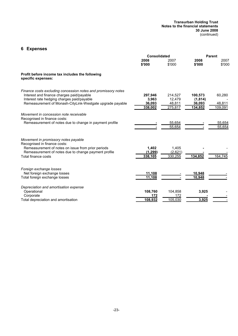#### **Transurban Holding Trust Notes to the financial statements 30 June 2008** (continued)

# **6 Expenses**

|                                                                                                                                                                                                                       | <b>Consolidated</b>                   |                                        |                                         | <b>Parent</b>               |
|-----------------------------------------------------------------------------------------------------------------------------------------------------------------------------------------------------------------------|---------------------------------------|----------------------------------------|-----------------------------------------|-----------------------------|
|                                                                                                                                                                                                                       | 2008<br>\$'000                        | 2007<br>\$'000                         | 2008<br>\$'000                          | 2007<br>\$'000              |
| Profit before income tax includes the following<br>specific expenses:                                                                                                                                                 |                                       |                                        |                                         |                             |
| Finance costs excluding concession notes and promissory notes<br>Interest and finance charges paid/payable<br>Interest rate hedging charges paid/payable<br>Remeasurement of Monash-CityLink-Westgate upgrade payable | 297,946<br>3,963<br>36,093<br>338,002 | 214,527<br>12,479<br>48,811<br>275,817 | 100,573<br>(1,814)<br>36,093<br>134,852 | 60,280<br>48,811<br>109,091 |
| Movement in concession note receivable<br>Recognised in finance costs:<br>Remeasurement of notes due to change in payment profile                                                                                     |                                       | 55,654<br>55,654                       |                                         | 55,654<br>55,654            |
| Movement in promissory notes payable<br>Recognised in finance costs:<br>Remeasurement of notes on issue from prior periods<br>Remeasurement of notes due to change payment profile<br>Total finance costs             | 1,402<br>(1, 299)<br>338,105          | 1,405<br>(2,621)<br>330,255            | 134,852                                 | 164,745                     |
| Foreign exchange losses<br>Net foreign exchange losses<br>Total foreign exchange losses                                                                                                                               | 11,108<br>11,108                      |                                        | 10,948<br>10.948                        |                             |
| Depreciation and amortisation expense<br>Operational<br>Corporate<br>Total depreciation and amortisation                                                                                                              | 108,760<br>172<br>108,932             | 104,858<br>172<br>105,030              | 3,925<br>3,925                          |                             |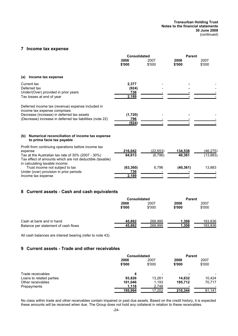**Transurban Holding Trust Notes to the financial statements 30 June 2008** (continued)

# **7 Income tax expense**

|                                                                    |                | <b>Parent</b>       |                 |
|--------------------------------------------------------------------|----------------|---------------------|-----------------|
| 2008<br>\$'000                                                     | 2007<br>\$'000 | 2008<br>\$'000      | 2007<br>\$'000  |
|                                                                    |                |                     |                 |
| 2,377<br>(924)<br>736<br>2,189                                     |                |                     |                 |
| (1,720)<br>796<br>(924)                                            |                |                     |                 |
| Numerical reconciliation of income tax expense                     |                |                     |                 |
| 216,042                                                            | (22,653)       | 134,538             | <u>(46,275)</u> |
| 64,813<br>Tax effect of amounts which are not deductible (taxable) | (6,796)        | 40,361              | (13, 883)       |
| (63, 360)<br>736<br>2,189                                          | 6,796          | (40, 361)           | 13,883          |
|                                                                    |                | <b>Consolidated</b> |                 |

# **8 Current assets - Cash and cash equivalents**

|                                     | <b>Consolidated</b> |                | <b>Parent</b>  |                |
|-------------------------------------|---------------------|----------------|----------------|----------------|
|                                     | 2008<br>\$'000      | 2007<br>\$'000 | 2008<br>\$'000 | 2007<br>\$'000 |
| Cash at bank and in hand            | 45,882              | 268.995        | 1,308          | 183,836        |
| Balance per statement of cash flows | 45,882              | 268,995        | 1,308          | 183,836        |

All cash balances are interest bearing (refer to note 43).

# **9 Current assets - Trade and other receivables**

|                          | <b>Consolidated</b> |        | <b>Parent</b> |        |
|--------------------------|---------------------|--------|---------------|--------|
|                          | 2008                | 2007   | 2008          | 2007   |
|                          | \$'000              | \$'000 | \$'000        | \$'000 |
| Trade receivables        | 4                   |        |               | -      |
| Loans to related parties | 93.826              | 13.261 | 14.632        | 10,424 |
| Other receivables        | 101.046             | 1.193  | 195.712       | 70,717 |
| Prepayments              | 1.118               | 2,748  |               |        |
|                          | 195,994             | 17,202 | 210,344       | 81,141 |

No class within trade and other receivables contain impaired or past due assets. Based on the credit history, it is expected these amounts will be received when due. The Group does not hold any collateral in relation to these receivables.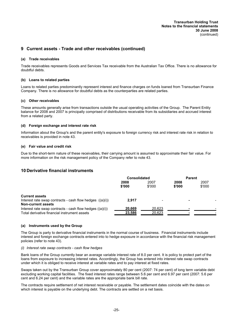# **9 Current assets - Trade and other receivables (continued)**

#### **(a) Trade receivables**

Trade receivables represents Goods and Services Tax receivable from the Australian Tax Office. There is no allowance for doubtful debts.

#### **(b) Loans to related parties**

Loans to related parties predominantly represent interest and finance charges on funds loaned from Transurban Finance Company. There is no allowance for doubtful debts as the counterparties are related parties.

#### **(c) Other receivables**

These amounts generally arise from transactions outside the usual operating activities of the Group. The Parent Entity balance for 2008 and 2007 is principally comprised of distributions receivable from its subsidiaries and accrued interest from a related party.

#### **(d) Foreign exchange and interest rate risk**

Information about the Group's and the parent entity's exposure to foreign currency risk and interest rate risk in relation to receivables is provided in note 43.

#### **(e) Fair value and credit risk**

Due to the short-term nature of these receivables, their carrying amount is assumed to approximate their fair value. For more information on the risk management policy of the Company refer to note 43.

# **10 Derivative financial instruments**

|                                                            | <b>Consolidated</b> |              | <b>Parent</b> |        |
|------------------------------------------------------------|---------------------|--------------|---------------|--------|
|                                                            | 2008                | 2008<br>2007 |               | 2007   |
|                                                            | \$'000              | \$'000       | \$'000        | \$'000 |
| <b>Current assets</b>                                      |                     |              |               |        |
| Interest rate swap contracts - cash flow hedges $((a)(i))$ | 2.917               |              |               |        |
| <b>Non-current assets</b>                                  |                     |              |               |        |
| Interest rate swap contracts - cash flow hedges $((a)(i))$ | 20,669              | 20,623       |               |        |
| Total derivative financial instrument assets               | 23,586              | 20,623       |               |        |

#### **(a) Instruments used by the Group**

The Group is party to derivative financial instruments in the normal course of business. Financial instruments include interest and foreign exchange contracts entered into to hedge exposure in accordance with the financial risk management policies (refer to note 43).

#### *(i) Interest rate swap contracts - cash flow hedges*

Bank loans of the Group currently bear an average variable interest rate of 8.0 per cent. It is policy to protect part of the loans from exposure to increasing interest rates. Accordingly, the Group has entered into interest rate swap contracts under which it is obliged to receive interest at variable rates and to pay interest at fixed rates.

Swaps taken out by the Transurban Group cover approximately 80 per cent (2007: 74 per cent) of long term variable debt excluding working capital facilities. The fixed interest rates range between 5.6 per cent and 6.97 per cent (2007: 5.6 per cent and 6.24 per cent) and the variable rates are the appropriate bank bill rate.

The contracts require settlement of net interest receivable or payable. The settlement dates coincide with the dates on which interest is payable on the underlying debt. The contracts are settled on a net basis.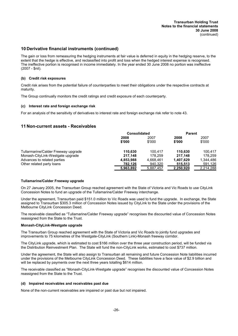# **10 Derivative financial instruments (continued)**

The gain or loss from remeasuring the hedging instruments at fair value is deferred in equity in the hedging reserve, to the extent that the hedge is effective, and reclassified into profit and loss when the hedged interest expense is recognised. The ineffective portion is recognised in income immediately. In the year ended 30 June 2008 no portion was ineffective (2007 - \$nil).

#### **(b) Credit risk exposures**

Credit risk arises from the potential failure of counterparties to meet their obligations under the respective contracts at maturity.

The Group continually monitors the credit ratings and credit exposure of each counterparty.

#### **(c) Interest rate and foreign exchange risk**

For an analysis of the sensitivity of derivatives to interest rate and foreign exchange risk refer to note 43.

### **11 Non-current assets - Receivables**

|                                     | <b>Consolidated</b> |           | <b>Parent</b> |           |
|-------------------------------------|---------------------|-----------|---------------|-----------|
|                                     | 2008                | 2007      | 2008          | 2007      |
|                                     | \$'000              | \$'000    | \$'000        | \$'000    |
| Tullarmarine/Calder Freeway upgrade | 110.630             | 100.417   | 110.630       | 100.417   |
| Monash-CityLink-Westgate upgrade    | 217.148             | 178.259   | 217.148       | 178.259   |
| Advances to related parties         | 4,853,988           | 4.668.461 | 1,407,629     | 1.344.486 |
| Other related party loans           | 782,126             | 940,320   | 515,513       | 591,126   |
|                                     | 5,963,892           | 5,887,457 | 2,250,920     | 2,214,288 |

#### **Tullamarine/Calder Freeway upgrade**

On 27 January 2005, the Transurban Group reached agreement with the State of Victoria and Vic Roads to use CityLink Concession Notes to fund an upgrade of the Tullamarine/Calder Freeway interchange.

Under the agreement, Transurban paid \$151.0 million to Vic Roads was used to fund the upgrade. In exchange, the State assigned to Transurban \$305.3 million of Concession Notes issued by CityLink to the State under the provisions of the Melbourne CityLink Concession Deed.

The receivable classified as "Tullamarine/Calder Freeway upgrade" recognises the discounted value of Concession Notes reassigned from the State to the Trust.

#### **Monash-CityLink-Westgate upgrade**

The Transurban Group reached agreement with the State of Victoria and Vic Roads to jointly fund upgrades and improvements to 75 kilometres of the Westgate-CityLink (Southern Link)-Monash freeway corridor.

The CityLink upgrade, which is estimated to cost \$166 million over the three year construction period, will be funded via the Distribution Reinvestment Plan. The State will fund the non-CityLink works, estimated to cost \$737 million.

Under the agreement, the State will also assign to Transurban all remaining and future Concession Note liabilities incurred under the provisions of the Melbourne CityLink Concession Deed. These liabilities have a face value of \$2.9 billion and will be replaced by payments over the next three years totalling \$614 million.

The receivable classified as "Monash-CityLink-Westgate upgrade" recognises the discounted value of Concession Notes reassigned from the State to the Trust.

#### **(d) Impaired receivables and receivables past due**

None of the non-current receivables are impaired or past due but not impaired.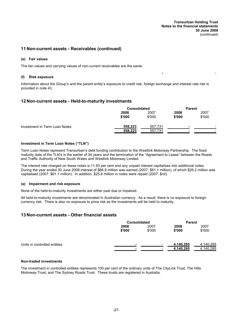**-** -

## **11 Non-current assets - Receivables (continued)**

#### **(e) Fair values**

The fair values and carrying values of non-current receivables are the same.

#### **(f) Risk exposure**

Information about the Group's and the parent entity's exposure to credit risk, foreign exchange and interest rate risk is provided in note 43.

# **12 Non-current assets - Held-to-maturity investments**

|                               | <b>Consolidated</b> |         | <b>Parent</b> |        |                          |
|-------------------------------|---------------------|---------|---------------|--------|--------------------------|
|                               | 2008                | 2007    | 2008          | 2007   |                          |
|                               | \$'000              | \$'000  | \$'000        | \$'000 |                          |
| Investment in Term Loan Notes | 558,223             | 557,731 |               |        | $\overline{\phantom{a}}$ |
|                               | 558,223             | 557,731 |               |        | -                        |

#### **Investment in Term Loan Notes ("TLN")**

Term Loan Notes represent Transurban's debt funding contribution to the Westlink Motorway Partnership. The fixed maturity date of the TLN's is the earlier of 34 years and the termination of the "Agreement to Lease" between the Roads and Traffic Authority of New South Wales and Westlink Motorway Limited.

The interest rate charged on these notes is 11.93 per cent and any unpaid interest capitalises into additional notes. During the year ended 30 June 2008 interest of \$66.9 million was earned (2007: \$61.1 million), of which \$26.2 million was capitalised (2007: \$61.1 million). In addition, \$25.8 million in notes were repaid (2007: \$nil).

#### **(a) Impairment and risk exposure**

None of the held-to-maturity investments are either past due or impaired.

All held-to-maturity investments are denominated in Australian currency. As a result, there is no exposure to foreign currency risk. There is also no exposure to price risk as the investments will be held to maturity.

#### **13 Non-current assets - Other financial assets**

|                              | <b>Consolidated</b> |                |                        | <b>Parent</b>          |  |
|------------------------------|---------------------|----------------|------------------------|------------------------|--|
|                              | 2008<br>\$'000      | 2007<br>\$'000 | 2008<br>\$'000         | 2007<br>\$'000         |  |
| Units in controlled entities | ۰                   |                | 4,140,285<br>4,140,285 | 4,140,285<br>4,140,285 |  |

#### **Non-traded investments**

The investment in controlled entities represents 100 per cent of the ordinary units of The CityLink Trust, The Hills Motorway Trust, and The Sydney Roads Trust. These trusts are registered in Australia.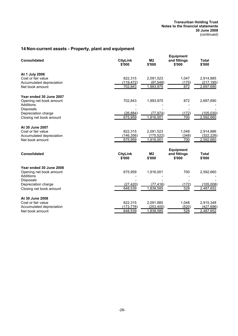#### **Transurban Holding Trust Notes to the financial statements 30 June 2008** (continued)

# **14 Non-current assets - Property, plant and equipment**

| <b>Consolidated</b>                     | <b>CityLink</b><br>\$'000 | M <sub>2</sub><br>\$'000 | <b>Equipment</b><br>and fittings<br>\$'000 | <b>Total</b><br>\$'000 |
|-----------------------------------------|---------------------------|--------------------------|--------------------------------------------|------------------------|
| At 1 July 2006                          |                           |                          |                                            |                        |
| Cost or fair value                      | 822,315                   | 2,091,523                | 1,047                                      | 2,914,885              |
| Accumulated depreciation                | (119, 472)                | (97, 548)<br>1,993,975   | (175)<br>872                               | (217, 195)             |
| Net book amount                         | 702,843                   |                          |                                            | 2,697,690              |
| Year ended 30 June 2007                 |                           |                          |                                            |                        |
| Opening net book amount                 | 702,843                   | 1,993,975                | 872                                        | 2,697,690              |
| Additions                               |                           |                          |                                            |                        |
| <b>Disposals</b><br>Depreciation charge | (26, 884)                 | (77, 974)                | (172)                                      | (105, 030)             |
| Closing net book amount                 | 675,959                   | 1.916.001                | 700                                        | 2,592,660              |
|                                         |                           |                          |                                            |                        |
| At 30 June 2007                         |                           |                          |                                            |                        |
| Cost or fair value                      | 822,315                   | 2,091,523                | 1,048                                      | 2,914,886              |
| Accumulated depreciation                | (146, 356)                | (175, 522)               | (348)                                      | (322, 226)             |
| Net book amount                         | 675,959                   | 1,916,001                | 700                                        | 2,592,660              |
|                                         |                           |                          | <b>Equipment</b>                           |                        |
| <b>Consolidated</b>                     | <b>CityLink</b><br>\$'000 | M <sub>2</sub><br>\$'000 | and fittings<br>\$'000                     | <b>Total</b><br>\$'000 |
|                                         |                           |                          |                                            |                        |
| Year ended 30 June 2008                 |                           |                          |                                            |                        |
| Opening net book amount                 | 675,959                   | 1,916,001                | 700                                        | 2,592,660              |
| Additions<br>Disposals                  |                           |                          |                                            |                        |
| Depreciation charge                     | (27, 420)                 | (77, 416)                | (172)                                      | (105,008)              |
| Closing net book amount                 | 648,539                   | 1,838,585                | 528                                        | 2,487,652              |
|                                         |                           |                          |                                            |                        |
| At 30 June 2008                         |                           |                          |                                            |                        |
| Cost or fair value                      | 822,315                   | 2,091,985                | 1,048                                      | 2,915,348              |
| Accumulated depreciation                | (173, 776)                | (253,400)                | (520)                                      | (427, 696)             |
| Net book amount                         | 648,539                   | 1,838,585                | 528                                        | 2,487,652              |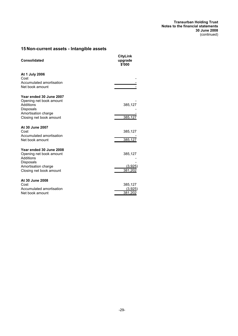# **15 Non-current assets - Intangible assets**

| <b>Consolidated</b>                                                                 | CityLink<br>upgrade<br>\$'000 |
|-------------------------------------------------------------------------------------|-------------------------------|
| At 1 July 2006<br>Cost<br>Accumulated amortisation                                  |                               |
| Net book amount                                                                     |                               |
| Year ended 30 June 2007<br>Opening net book amount<br>Additions<br><b>Disposals</b> | 385,127                       |
| Amortisation charge<br>Closing net book amount                                      | 385,127                       |
| At 30 June 2007<br>Cost                                                             | 385,127                       |
| Accumulated amortisation<br>Net book amount                                         | 385,127                       |
| Year ended 30 June 2008<br>Opening net book amount<br>Additions                     | 385,127                       |
| Disposals<br>Amortisation charge<br>Closing net book amount                         | (3,925)<br>381,202            |
| At 30 June 2008<br>Cost                                                             | 385,127                       |
| Accumulated amortisation<br>Net book amount                                         | (3,925)<br>381,202            |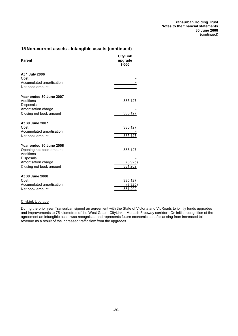# **15 Non-current assets - Intangible assets (continued)**

| <b>Parent</b>                                                                                                                  | <b>CityLink</b><br>upgrade<br>\$'000 |
|--------------------------------------------------------------------------------------------------------------------------------|--------------------------------------|
| At 1 July 2006<br>Cost<br>Accumulated amortisation<br>Net book amount                                                          |                                      |
| Year ended 30 June 2007<br>Additions<br>Disposals<br>Amortisation charge<br>Closing net book amount                            | 385,127<br>385, 127                  |
| At 30 June 2007<br>Cost<br>Accumulated amortisation<br>Net book amount                                                         | 385,127<br>385,127                   |
| Year ended 30 June 2008<br>Opening net book amount<br>Additions<br>Disposals<br>Amortisation charge<br>Closing net book amount | 385,127<br><u>(3,925)</u><br>381,202 |
| At 30 June 2008<br>Cost<br>Accumulated amortisation<br>Net book amount                                                         | 385,127<br>(3,925)<br>381,202        |

# CityLink Upgrade

During the prior year Transurban signed an agreement with the State of Victoria and VicRoads to jointly funds upgrades and improvements to 75 kilometres of the West Gate – CityLink – Monash Freeway corridor. On initial recognition of the agreement an intangible asset was recognised and represents future economic benefits arising from increased toll revenue as a result of the increased traffic flow from the upgrades.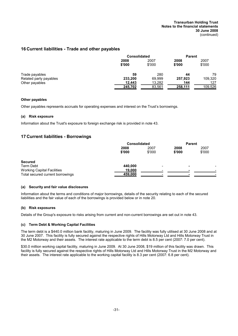#### **Transurban Holding Trust Notes to the financial statements 30 June 2008** (continued)

# **16 Current liabilities - Trade and other payables**

|                        | <b>Consolidated</b> |                | <b>Parent</b>  |                |
|------------------------|---------------------|----------------|----------------|----------------|
|                        | 2008<br>\$'000      | 2007<br>\$'000 | 2008<br>\$'000 | 2007<br>\$'000 |
| Trade payables         | 59                  | 280            | 44             | 79             |
| Related party payables | 233,200             | 69.999         | 257,923        | 109,320        |
| Other payables         | 12,443              | 13,282         | 144            | 127            |
|                        | 245,702             | 83,561         | 258,111        | 109,526        |

#### **Other payables**

Other payables represents accruals for operating expenses and interest on the Trust's borrowings.

#### **(a) Risk exposure**

Information about the Trust's exposure to foreign exchange risk is provided in note 43.

# **17 Current liabilities - Borrowings**

|                                   | <b>Consolidated</b> |                | <b>Parent</b>  |                |
|-----------------------------------|---------------------|----------------|----------------|----------------|
|                                   | 2008<br>\$'000      | 2007<br>\$'000 | 2008<br>\$'000 | 2007<br>\$'000 |
| <b>Secured</b>                    |                     |                |                |                |
| Term Debt                         | 440.000             | -              |                |                |
| <b>Working Capital Facilities</b> | 19,000              |                |                |                |
| Total secured current borrowings  | 459,000             |                |                |                |

#### **(a) Security and fair value disclosures**

Information about the terms and conditions of major borrowings, details of the security relating to each of the secured liabilities and the fair value of each of the borrowings is provided below or in note 20.

#### **(b) Risk exposures**

Details of the Group's exposure to risks arising from current and non-current borrowings are set out in note 43.

#### **(c) Term Debt & Working Capital Facilities**

The term debt is a \$440.0 million bank facility, maturing in June 2009. The facility was fully utilised at 30 June 2008 and at 30 June 2007. This facility is fully secured against the respective rights of Hills Motorway Ltd and Hills Motorway Trust in the M2 Motorway and their assets. The interest rate applicable to the term debt is 8.5 per cent (2007: 7.0 per cent).

\$30.0 million working capital facility, maturing in June 2009. At 30 June 2008, \$19 million of this facility was drawn. This facility is fully secured against the respective rights of Hills Motorway Ltd and Hills Motorway Trust in the M2 Motorway and their assets. The interest rate applicable to the working capital facility is 8.3 per cent (2007: 6.8 per cent).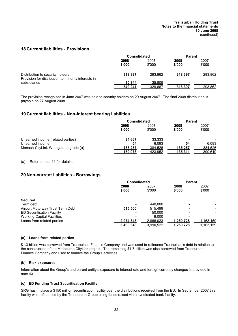# **18 Current liabilities - Provisions**

|                                                                                         | <b>Consolidated</b> |                | <b>Parent</b>  |                |
|-----------------------------------------------------------------------------------------|---------------------|----------------|----------------|----------------|
|                                                                                         | 2008<br>\$'000      | 2007<br>\$'000 | 2008<br>\$'000 | 2007<br>\$'000 |
| Distribution to security holders<br>Provision for distribution to minority interests in | 318.397             | 293.862        | 318.397        | 293.862        |
| subsidiaries                                                                            | 30.844              | 35,805         |                |                |
|                                                                                         | 349,241             | 329,667        | 318,397        | 293,862        |

The provision recognised in June 2007 was paid to security holders on 29 August 2007. The final 2008 distribution is payable on 27 August 2008.

# **19 Current liabilities - Non-interest bearing liabilities**

|                                      | <b>Consolidated</b> |         | <b>Parent</b> |         |  |      |  |      |  |      |
|--------------------------------------|---------------------|---------|---------------|---------|--|------|--|------|--|------|
|                                      | 2008                |         |               |         |  | 2007 |  | 2008 |  | 2007 |
|                                      | \$'000              | \$'000  | \$'000        | \$'000  |  |      |  |      |  |      |
| Unearned income (related parties)    | 34.667              | 33.333  | -             |         |  |      |  |      |  |      |
| Unearned income                      | 54                  | 6.093   | 54            | 6.093   |  |      |  |      |  |      |
| Monash-CityLink-Westgate upgrade (a) | 135.257             | 384,526 | 135.257       | 384,526 |  |      |  |      |  |      |
|                                      | 169,978             | 423,952 | 135,311       | 390,619 |  |      |  |      |  |      |

(a) Refer to note 11 for details.

# **20 Non-current liabilities - Borrowings**

|                                   | <b>Consolidated</b> |           | Parent    |                          |
|-----------------------------------|---------------------|-----------|-----------|--------------------------|
|                                   | 2008                | 2007      | 2008      | 2007                     |
|                                   | \$'000              | \$'000    | \$'000    | \$'000                   |
| <b>Secured</b>                    |                     |           |           |                          |
| Term debt                         |                     | 440.000   |           |                          |
| Airport Motorway Trust Term Debt  | 515,500             | 515.499   |           | $\overline{\phantom{0}}$ |
| <b>ED Securitisation Facility</b> |                     | 150,000   |           |                          |
| <b>Working Capital Facilities</b> |                     | 19.000    |           |                          |
| Loans from related parties        | 2,974,843           | 2.866.023 | 1.250.728 | 1,163,159                |
|                                   | 3,490,343           | 3,990,522 | 1,250,728 | 1.163.159                |

#### **(a) Loans from related parties**

\$1.3 billion was borrowed from Transurban Finance Company and was used to refinance Transurban's debt in relation to the construction of the Melbourne CityLink project. The remaining \$1.7 billion was also borrowed from Transurban Finance Company and used to finance the Group's activities.

#### **(b) Risk exposures**

Information about the Group's and parent entity's exposure to interest rate and foreign currency changes is provided in note 43.

#### **(c) ED Funding Trust Securitisation Facility**

SRG has in place a \$150 million securitisation facility over the distributions received from the ED. In September 2007 this facility was refinanced by the Transurban Group using funds raised via a syndicated bank facility.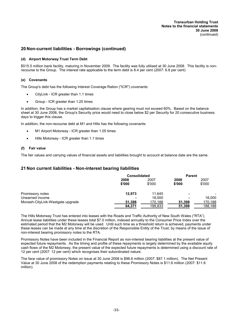**Transurban Holding Trust Notes to the financial statements 30 June 2008** (continued)

# **20 Non-current liabilities - Borrowings (continued)**

#### **(d) Airport Motorway Trust Term Debt**

\$515.5 million bank facility, maturing in November 2009. The facility was fully utilised at 30 June 2008. This facility is nonrecourse to the Group. The interest rate applicable to the term debt is 8.4 per cent (2007: 6.8 per cent)

#### **(e) Covenants**

The Group's debt has the following Interest Coverage Ration ("ICR") covenants:

- · CityLink ICR greater than 1.1 times
- · Group ICR greater than 1.25 times

In addition, the Group has a market capitalisation clause where gearing must not exceed 60%. Based on the balance sheet at 30 June 2008, the Group's Security price would need to close below \$2 per Security for 20 consecutive business days to trigger this clause.

In addition, the non-recourse debt at M1 and Hills has the following covenants:

- M1 Airport Motorway ICR greater than 1.05 times
- · Hills Motorway ICR greater than 1.1 times

#### **(f) Fair value**

The fair values and carrying values of financial assets and liabilities brought to account at balance date are the same.

## **21 Non current liabilities - Non-interest bearing liabilities**

|                                  | <b>Consolidated</b> |         | <b>Parent</b> |         |
|----------------------------------|---------------------|---------|---------------|---------|
|                                  | 2008                | 2007    | 2008          | 2007    |
|                                  | \$'000              | \$'000  | \$'000        | \$'000  |
| Promissory notes                 | 12,973              | 11.645  |               |         |
| Unearned income                  |                     | 18.000  |               | 18.000  |
| Monash-CityLink-Westgate upgrade | 51,398              | 170,188 | 51,398        | 170,188 |
|                                  | 64,371              | 199,833 | 51,398        | 188,188 |

The Hills Motorway Trust has entered into leases with the Roads and Traffic Authority of New South Wales ("RTA"). Annual lease liabilities under these leases total \$7.0 million, indexed annually to the Consumer Price Index over the estimated period that the M2 Motorway will be used. Until such time as a threshold return is achieved, payments under these leases can be made at any time at the discretion of the Responsible Entity of the Trust, by means of the issue of non-interest bearing promissory notes to the RTA.

Promissory Notes have been included in the Financial Report as non-interest bearing liabilities at the present value of expected future repayments. As the timing and profile of these repayments is largely determined by the available equity cash flows of the M2 Motorway, the present value of the expected future repayments is determined using a discount rate of 12 per cent (2007: 12 per cent) which recognises their subordinated nature.

The face value of promissory Notes on issue at 30 June 2008 is \$96.6 million (2007: \$87.1 million). The Net Present Value at 30 June 2008 of the redemption payments relating to these Promissory Notes is \$11.6 million (2007: \$11.6 million).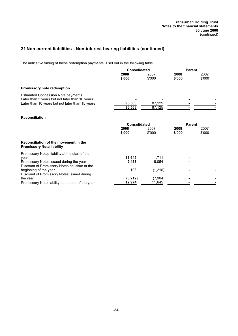# **21 Non current liabilities - Non-interest bearing liabilities (continued)**

The indicative timing of these redemption payments is set out in the following table.

|                                                                                                                                                | <b>Consolidated</b> |                  | <b>Parent</b>  |                |
|------------------------------------------------------------------------------------------------------------------------------------------------|---------------------|------------------|----------------|----------------|
|                                                                                                                                                | 2008<br>\$'000      | 2007<br>\$'000   | 2008<br>\$'000 | 2007<br>\$'000 |
| <b>Promissory note redemption</b>                                                                                                              |                     |                  |                |                |
| <b>Estimated Concession Note payments</b><br>Later than 5 years but not later than 10 years<br>Later than 10 years but not later than 15 years | 96,563<br>96,563    | 87,125<br>87,125 |                |                |
| <b>Reconciliation</b>                                                                                                                          |                     |                  |                |                |
|                                                                                                                                                | <b>Consolidated</b> |                  | Parent         |                |
|                                                                                                                                                | 2008<br>\$'000      | 2007<br>\$'000   | 2008<br>\$'000 | 2007<br>\$'000 |
| Reconciliation of the movement in the<br><b>Promissory Note liability</b>                                                                      |                     |                  |                |                |
| Promissory Notes liability at the start of the                                                                                                 |                     |                  |                |                |
| year                                                                                                                                           | 11,645              | 11,711           |                |                |
| Promissory Notes issued during the year<br>Discount of Promissory Notes on issue at the                                                        | 9,438               | 9.054            |                |                |
| beginning of the year<br>Discount of Promissory Notes issued during                                                                            | 103                 | (1, 216)         |                |                |
| the year                                                                                                                                       | (8, 212)            | (7,904)          |                |                |
| Promissory Note liability at the end of the year                                                                                               | 12,974              | 11,645           |                |                |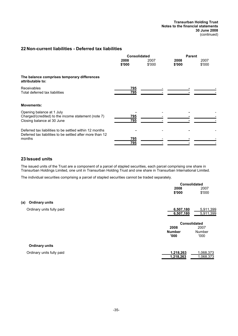**Transurban Holding Trust Notes to the financial statements 30 June 2008** (continued)

# **22 Non-current liabilities - Deferred tax liabilities**

|                                                                                                                                | <b>Consolidated</b> |                |                | Parent         |  |  |
|--------------------------------------------------------------------------------------------------------------------------------|---------------------|----------------|----------------|----------------|--|--|
|                                                                                                                                | 2008<br>\$'000      | 2007<br>\$'000 | 2008<br>\$'000 | 2007<br>\$'000 |  |  |
| The balance comprises temporary differences<br>attributable to:                                                                |                     |                |                |                |  |  |
| <b>Receivables</b><br>Total deferred tax liabilities                                                                           | 795<br>795          |                |                |                |  |  |
| <b>Movements:</b>                                                                                                              |                     |                |                |                |  |  |
| Opening balance at 1 July<br>Charged/(credited) to the income statement (note 7)<br>Closing balance at 30 June                 | 795<br>795          |                |                |                |  |  |
| Deferred tax liabilities to be settled within 12 months<br>Deferred tax liabilities to be settled after more than 12<br>months | <u>795</u><br>795   |                |                |                |  |  |

# **23 Issued units**

The issued units of the Trust are a component of a parcel of stapled securities, each parcel comprising one share in Transurban Holdings Limited, one unit in Transurban Holding Trust and one share in Transurban International Limited.

The individual securities comprising a parcel of stapled securities cannot be traded separately.

|                              |               | <b>Consolidated</b> |
|------------------------------|---------------|---------------------|
|                              | 2008          | 2007                |
|                              | \$'000        | \$'000              |
| <b>Ordinary units</b><br>(a) |               |                     |
| Ordinary units fully paid    | 6,507,180     | 5,911,399           |
|                              | 6,507,180     | 5,911,399           |
|                              |               | <b>Consolidated</b> |
|                              | 2008          | 2007                |
|                              | <b>Number</b> | <b>Number</b>       |
|                              | '000'         | '000'               |
| <b>Ordinary units</b>        |               |                     |
| Ordinary units fully paid    | 1,218,263     | 1,068,373           |
|                              | 1,218,263     | 1,068,373           |
|                              |               |                     |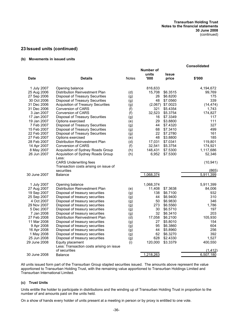# **23 Issued units (continued)**

## **(b) Movements in issued units**

|                           |                                                                           |              |                            |                       | <b>Consolidated</b>   |
|---------------------------|---------------------------------------------------------------------------|--------------|----------------------------|-----------------------|-----------------------|
| <b>Date</b>               | <b>Details</b>                                                            | <b>Notes</b> | Number of<br>units<br>'000 | <b>Issue</b><br>price | \$'000                |
|                           |                                                                           |              |                            |                       |                       |
| 1 July 2007               | Opening balance                                                           |              | 816,633                    |                       | 4,194,672             |
| 25 Aug 2006               | Distribution Reinvestment Plan                                            | (d)          | 15,708                     | \$6.3515              | 99,769                |
| 27 Sep 2006               | Disposal of Treasury Securities                                           | (g)          | 26                         | \$6.8200              | 175                   |
| 30 Oct 2006               | Disposal of Treasury Securities                                           | (g)          | 48                         | \$7.0560              | 339                   |
| 31 Dec 2006               | <b>Acquisition of Treasury Securities</b>                                 | (g)          | (2,067)                    | \$7.0023              | (14, 474)             |
| 31 Dec 2006               | <b>Conversion of CARS</b>                                                 | (f)          | 321                        | \$5.4354              | 1,743                 |
| 3 Jan 2007<br>17 Jan 2007 | <b>Conversion of CARS</b>                                                 | (f)          | 32,523                     | \$5.3754              | 174,827               |
| 19 Jan 2007               | Disposal of Treasury Securities                                           | (g)          | 16<br>29                   | \$7.3349<br>\$3.8800  | 117<br>111            |
| 7 Feb 2007                | Options exercised                                                         | (e)          | 44                         | \$7.4320              | 327                   |
| 15 Feb 2007               | <b>Disposal of Treasury Securities</b><br>Disposal of Treasury Securities | (g)          | 68                         | \$7.3410              | 499                   |
| 22 Feb 2007               | Disposal of Treasury Securities                                           | (g)          | 22                         | \$7.2780              | 161                   |
| 27 Feb 2007               | Options exercised                                                         | (g)<br>(e)   | 48                         | \$3.8800              | 185                   |
| 28 Feb 2007               | Distribution Reinvestment Plan                                            | (d)          | 17,031                     | \$7.0341              | 119,801               |
| 14 Apr 2007               | Conversion of CARS                                                        | (f)          | 32,541                     | \$5.3754              | 174,921               |
| 8 May 2007                | Acquisition of Sydney Roads Group                                         | (h)          | 148,431                    | \$7.5300              | 1,117,686             |
| 26 Jun 2007               | Acquisition of Sydney Roads Group                                         | (h)          | 6,952                      | \$7.5300              | 52,346                |
|                           | Less:                                                                     |              |                            |                       |                       |
|                           | <b>CARS Underwriting fees</b>                                             |              |                            |                       | (10, 941)             |
|                           | Transaction costs arising on issue of                                     |              |                            |                       |                       |
|                           | securities                                                                |              |                            |                       | (865)                 |
| 30 June 2007              | Balance                                                                   |              | 1,068,374                  |                       | 5,911,399             |
| 1 July 2007               | Opening balance                                                           |              | 1,068,374                  |                       | 5,911,399             |
| 27 Aug 2007               | Distribution Reinvestment Plan                                            | (e)          | 11,408                     | \$7.3638              | 84,006                |
| 19 Sep 2007               | Disposal of treasury securities                                           | (g)          | 138                        | \$6.7100              | 932                   |
| 25 Sep 2007               | Disposal of treasury securities                                           | (g)          | 44                         | \$6.9400              | 310                   |
| 4 Oct 2007                | Disposal of treasury securities                                           | (g)          | 50                         | \$6.9830              | 346                   |
| 29 Nov 2007               | Disposal of treasury securities                                           | (g)          | 273                        | \$6.5560              | 1,786                 |
| 5 Dec 2007                | Disposal of treasury securities                                           | (g)          | 30                         | \$6.5710              | 197                   |
| 7 Jan 2008                | Disposal of treasury securities                                           | (g)          | 32                         | \$6.3410              | 203                   |
| 27 Feb 2008               | Distribution Reinvestment Plan                                            | (d)          | 17,058                     | \$6.2100              | 105,930               |
| 11 Mar 2008               | Disposal of treasury securities                                           | (g)          | 27                         | \$5.8010              | 154                   |
| 9 Apr 2008                | Disposal of treasury securities                                           | (g)          | 95                         | \$6.3860              | 604                   |
| 16 Apr 2008               | Disposal of treasury securities                                           | (g)          | 44                         | \$5.8960              | 256                   |
| 1 May 2008                | Disposal of treasury securities                                           | (g)          | 62                         | \$6.3270              | 392                   |
| 25 Jun 2008               | Disposal of treasury securities                                           | (g)          | 628                        | \$2.4330              | 1,527                 |
| 29 June 2008              | Equity placement                                                          | (i)          | 120,000                    | \$3.3379              | 400,550               |
|                           | Less: Transaction costs arising on issue                                  |              |                            |                       |                       |
|                           | of securities                                                             |              | 1,218,263                  |                       | (1, 412)<br>6,507,180 |
| 30 June 2008              | <b>Balance</b>                                                            |              |                            |                       |                       |

All units issued form part of the Transurban Group stapled securities issued. The amounts above represent the value apportioned to Transurban Holding Trust, with the remaining value apportioned to Transurban Holdings Limited and Transurban International Limited.

# **(c) Trust Units**

Units entitle the holder to participate in distributions and the winding up of Transurban Holding Trust in proportion to the number of and amounts paid on the units held.

On a show of hands every holder of units present at a meeting in person or by proxy is entitled to one vote.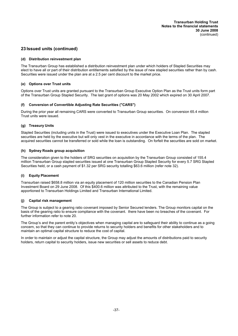# **23 Issued units (continued)**

## **(d) Distribution reinvestment plan**

The Transurban Group has established a distribution reinvestment plan under which holders of Stapled Securities may elect to have all or part of their distribution entitlements satisfied by the issue of new stapled securities rather than by cash. Securities were issued under the plan are at a 2.5 per cent discount to the market price.

## **(e) Options over Trust units**

Options over Trust units are granted pursuant to the Transurban Group Executive Option Plan as the Trust units form part of the Transurban Group Stapled Security. The last grant of options was 20 May 2002 which expired on 30 April 2007.

## **(f) Conversion of Convertible Adjusting Rate Securities ("CARS")**

During the prior year all remaining CARS were converted to Transurban Group securities. On conversion 65.4 million Trust units were issued.

## **(g) Treasury Units**

Stapled Securities (including units in the Trust) were issued to executives under the Executive Loan Plan. The stapled securities are held by the executive but will only vest in the executive in accordance with the terms of the plan. The acquired securities cannot be transferred or sold while the loan is outstanding. On forfeit the securities are sold on market.

## **(h) Sydney Roads group acquisition**

The consideration given to the holders of SRG securities on acquisition by the Transurban Group consisted of 155.4 million Transurban Group stapled securities issued at one Transurban Group Stapled Security for every 5.7 SRG Stapled Securities held, or a cash payment of \$1.32 per SRG security totalling \$63.6 million (refer note 32).

## **(i) Equity Placement**

Transurban raised \$658.8 million via an equity placement of 120 million securities to the Canadian Pension Plan Investment Board on 29 June 2008. Of this \$400.6 million was attributed to the Trust, with the remaining value apportioned to Transurban Holdings Limited and Transurban International Limited.

## **(j) Capital risk management**

The Group is subject to a gearing ratio covenant imposed by Senior Secured lenders. The Group monitors capital on the basis of the gearing ratio to ensure compliance with the covenant. there have been no breaches of the covenant. For further information refer to note 20.

The Group's and the parent entity's objectives when managing capital are to safeguard their ability to continue as a going concern, so that they can continue to provide returns to security holders and benefits for other stakeholders and to maintain an optimal capital structure to reduce the cost of capital.

In order to maintain or adjust the capital structure, the Group may adjust the amounts of distributions paid to security holders, return capital to security holders, issue new securities or sell assets to reduce debt.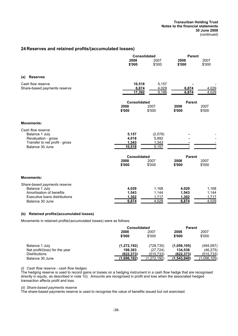### **Transurban Holding Trust Notes to the financial statements 30 June 2008** (continued)

# **24 Reserves and retained profits/(accumulated losses)**

|                                                   | Consolidated        |                  | <b>Parent</b>  |                |  |
|---------------------------------------------------|---------------------|------------------|----------------|----------------|--|
|                                                   | 2008<br>\$'000      | 2007<br>\$'000   | 2008<br>\$'000 | 2007<br>\$'000 |  |
|                                                   |                     |                  |                |                |  |
| <b>Reserves</b><br>(a)                            |                     |                  |                |                |  |
| Cash flow reserve                                 | 10,518              | 5,157            |                |                |  |
| Share-based payments reserve                      | 6,874<br>17,392     | 4,029<br>9,186   | 6,874<br>6,874 | 4,029<br>4,029 |  |
|                                                   | <b>Consolidated</b> |                  | <b>Parent</b>  |                |  |
|                                                   | 2008<br>\$'000      | 2007<br>\$'000   | 2008<br>\$'000 | 2007<br>\$'000 |  |
| <b>Movements:</b>                                 |                     |                  |                |                |  |
| Cash flow reserve                                 |                     |                  |                |                |  |
| Balance 1 July<br>Revaluation - gross             | 5,157<br>4,018      | (2,078)<br>5,892 |                |                |  |
| Transfer to net profit - gross<br>Balance 30 June | 1,343<br>10,518     | 1,343<br>5,157   |                |                |  |
|                                                   |                     |                  |                |                |  |
|                                                   | <b>Consolidated</b> |                  | <b>Parent</b>  |                |  |
|                                                   | 2008<br>\$'000      | 2007<br>\$'000   | 2008<br>\$'000 | 2007<br>\$'000 |  |
| <b>Movements:</b>                                 |                     |                  |                |                |  |
| Share-based payments reserve                      |                     |                  |                |                |  |
| Balance 1 July<br>Amortisation of benefits        | 4,029<br>1,543      | 1,168<br>1,144   | 4,029<br>1,543 | 1,168<br>1,144 |  |
| Executive loans distributions                     | 1,302<br>6,874      | 1,717<br>4,029   | 1,302<br>6,874 | 1,717<br>4,029 |  |
| Balance 30 June                                   |                     |                  |                |                |  |

## **(b) Retained profits/(accumulated losses)**

Movements in retained profits/(accumulated losses) were as follows:

|                                | <b>Consolidated</b> |             | <b>Parent</b> |             |  |
|--------------------------------|---------------------|-------------|---------------|-------------|--|
|                                | 2008<br>2007        |             | 2008          | 2007        |  |
|                                | \$'000              | \$'000      | \$'000        | \$'000      |  |
| Balance 1 July                 | (1, 272, 192)       | (728,735)   | (1,056,105)   | (494,097)   |  |
| Net profit/(loss) for the year | 198.383             | (27, 724)   | 134.538       | (46, 275)   |  |
| <b>Distributions</b>           | (622, 373)          | (515, 733)  | (622, 373)    | (515, 733)  |  |
| Balance 30 June                | (1,696,182)         | (1,272,192) | (1.543.940)   | (1.056.105) |  |

### *(i) Cash flow reserve - cash flow hedges*

The hedging reserve is used to record gains or losses on a hedging instrument in a cash flow hedge that are recognised directly in equity, as described in note 1(l). Amounts are recognised in profit and loss when the associated hedged transaction affects profit and loss.

*(ii) Share-based payments reserve*

The share-based payments reserve is used to recognise the value of benefits issued but not exercised.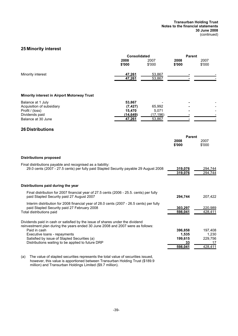# **25 Minority interest**

| 2008<br>\$'000                                      | 2007<br>\$'000                         | 2008<br>\$'000                                                                                                                                                                                                                                                                                                                                                                                                                                                          | 2007<br>\$'000                               |
|-----------------------------------------------------|----------------------------------------|-------------------------------------------------------------------------------------------------------------------------------------------------------------------------------------------------------------------------------------------------------------------------------------------------------------------------------------------------------------------------------------------------------------------------------------------------------------------------|----------------------------------------------|
| 47,261<br>47,261                                    | 53,867<br>53,867                       |                                                                                                                                                                                                                                                                                                                                                                                                                                                                         |                                              |
|                                                     |                                        |                                                                                                                                                                                                                                                                                                                                                                                                                                                                         |                                              |
| 53,867<br>(7, 427)<br>15,470<br>(14, 649)<br>47,261 | 65,992<br>5,071<br>(17, 196)<br>53,867 |                                                                                                                                                                                                                                                                                                                                                                                                                                                                         |                                              |
|                                                     |                                        |                                                                                                                                                                                                                                                                                                                                                                                                                                                                         |                                              |
|                                                     |                                        | 2008<br>\$'000                                                                                                                                                                                                                                                                                                                                                                                                                                                          | 2007<br>\$'000                               |
|                                                     |                                        |                                                                                                                                                                                                                                                                                                                                                                                                                                                                         |                                              |
|                                                     |                                        | 319,076<br>319,076                                                                                                                                                                                                                                                                                                                                                                                                                                                      | 294,744<br>294,744                           |
|                                                     |                                        |                                                                                                                                                                                                                                                                                                                                                                                                                                                                         |                                              |
|                                                     |                                        | 294,744                                                                                                                                                                                                                                                                                                                                                                                                                                                                 | 207,422                                      |
|                                                     |                                        | 303,297<br>598,041                                                                                                                                                                                                                                                                                                                                                                                                                                                      | 220,989<br>428.411                           |
|                                                     |                                        | 396,858<br>1,535<br>199,615<br>33<br>598.041                                                                                                                                                                                                                                                                                                                                                                                                                            | 197,408<br>1,230<br>229.756<br>17<br>428.411 |
|                                                     |                                        | <b>Consolidated</b><br>29.0 cents (2007 - 27.5 cents) per fully paid Stapled Security payable 29 August 2008<br>Final distribution for 2007 financial year of 27.5 cents (2006 - 25.5. cents) per fully<br>Interim distribution for 2008 financial year of 28.0 cents (2007 - 26.5 cents) per fully<br>Dividends paid in cash or satisfied by the issue of shares under the dividend<br>reinvestment plan during the years ended 30 June 2008 and 2007 were as follows: | <b>Parent</b><br><b>Parent</b>               |

(a) The value of stapled securities represents the total value of securities issued, however, this value is apportioned between Transurban Holding Trust (\$189.9 million) and Transurban Holdings Limited (\$9.7 million).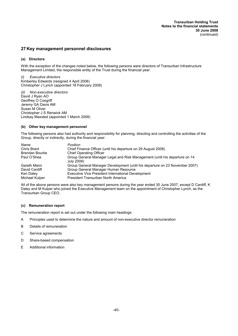## **27 Key management personnel disclosures**

## **(a) Directors**

With the exception of the changes noted below, the following persons were directors of Transurban Infrastructure Management Limited, the responsible entity of the Trust during the financial year:

**Executive directors** Kimberley Edwards (resigned 4 April 2008) Christopher J Lynch (appointed 18 February 2008)

*(ii) Non-executive directors* David J Ryan AO Geoffrey O Cosgriff Jeremy GA Davis AM Susan M Oliver Christopher J S Renwick AM Lindsay Maxsted (appointed 1 March 2008)

## **(b) Other key management personnel**

The following persons also had authority and responsibility for planning, directing and controlling the activities of the Group, directly or indirectly, during the financial year:

| Name           | Position                                                                                 |
|----------------|------------------------------------------------------------------------------------------|
| Chris Brant    | Chief Finance Officer (until his departure on 29 August 2008)                            |
| Brendan Bourke | <b>Chief Operating Officer</b>                                                           |
| Paul O'Shea    | Group General Manager Legal and Risk Management (until his departure on 14<br>July 2008) |
| Gareth Mann    | Group General Manager Development (until his departure on 23 November 2007)              |
| David Cardiff  | Group General Manager Human Resource                                                     |
| Ken Daley      | Executive Vice President International Development                                       |
| Michael Kulper | President Transurban North America                                                       |

All of the above persons were also key management persons during the year ended 30 June 2007, except D Cardiff, K Daley and M Kulper who joined the Executive Management team on the appointment of Christopher Lynch, as the Transurban Group CEO.

### **(c) Remuneration report**

The remuneration report is set out under the following main headings:

- A Principles used to determine the nature and amount of non-executive director remuneration
- B Details of remuneration
- C Service agreements
- D Share-based compensation
- E Additional information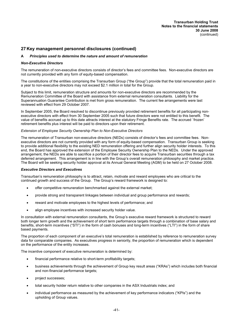## **A** *Principles used to determine the nature and amount of remuneration*

### *Non-Executive Directors*

The remuneration of non-executive directors consists of director's fees and committee fees. Non-executive directors are not currently provided with any form of equity-based compensation.

The constitutions of the entities comprising the Transurban Group ("the Group") provide that the total remuneration paid in a year to non-executive directors may not exceed \$2.1 million in total for the Group.

Subject to this limit, remuneration structure and amounts for non-executive directors are recommended by the Remuneration Committee of the Board with assistance from external remuneration consultants. Liability for the Superannuation Guarantee Contribution is met from gross remuneration. The current fee arrangements were last reviewed with effect from 29 October 2007.

In September 2005, the Board resolved to discontinue previously provided retirement benefits for all participating nonexecutive directors with effect from 30 September 2005 such that future directors were not entitled to this benefit. The value of benefits accrued up to this date attracts interest at the statutory Fringe Benefits rate. The accrued `frozen' retirement benefits plus interest will be paid to directors upon their retirement.

### *Extension of Employee Security Ownership Plan to Non-Executive Directors*

The remuneration of Transurban non-executive directors (NEDs) consists of director's fees and committee fees. Nonexecutive directors are not currently provided with any form of equity-based compensation. Transurban Group is seeking to provide additional flexibility to the existing NED remuneration offering and further align security holder interests. To this end, the Board has approved the extension of the Employee Security Ownership Plan to the NEDs. Under the approved arrangement, the NEDs are able to sacrifice a portion of their director fees to acquire Transurban securities through a tax deferred arrangement. This arrangement is in line with the Group's overall remuneration philosophy and market practice. The Board will be seeking security holder approval at its Annual General Meeting (AGM) to be held on 27 October 2008.

### *Executive Directors and Executives*

Transurban's remuneration philosophy is to attract, retain, motivate and reward employees who are critical to the continued growth and success of the Group. The Group's reward framework is designed to:

- · offer competitive remuneration benchmarked against the external market;
- · provide strong and transparent linkages between individual and group performance and rewards;
- reward and motivate employees to the highest levels of performance; and
- align employee incentives with increased security holder value.

In consultation with external remuneration consultants, the Group's executive reward framework is structured to reward both longer term growth and the achievement of short term performance targets through a combination of base salary and benefits, short-term incentives ("STI") in the form of cash bonuses and long-term incentives ("LTI") in the form of share based payments.

The proportion of each component of an executive's total remuneration is established by reference to remuneration survey data for comparable companies. As executives progress in seniority, the proportion of remuneration which is dependent on the performance of the entity increases.

The incentive component of executive remuneration is determined by:

- financial performance relative to short-term profitability targets;
- · business achievements through the achievement of Group key result areas ("KRAs") which includes both financial and non-financial performance targets;
- project successes;
- total security holder return relative to other companies in the ASX Industrials index; and
- individual performance as measured by the achievement of key performance indicators ("KPIs") and the upholding of Group values.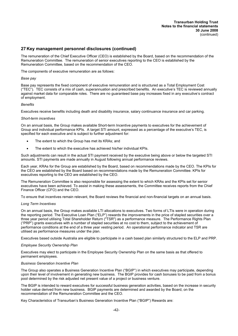The remuneration of the Chief Executive Officer (CEO) is established by the Board, based on the recommendation of the Remuneration Committee. The remuneration of senior executives reporting to the CEO is established by the Remuneration Committee, based on the recommendation of the CEO.

The components of executive remuneration are as follows:

### *Base pay*

Base pay represents the fixed component of executive remuneration and is structured as a Total Employment Cost ("TEC"). TEC consists of a mix of cash, superannuation and prescribed benefits. An executive's TEC is reviewed annually against market data for comparable roles. There are no guaranteed base pay increases fixed in any executive's contract of employment.

### *Benefits*

Executives receive benefits including death and disability insurance, salary continuance insurance and car parking.

### *Short-term incentives*

On an annual basis, the Group makes available Short-term Incentive payments to executives for the achievement of Group and individual performance KPIs. A target STI amount, expressed as a percentage of the executive's TEC, is specified for each executive and is subject to further adjustment for:

- The extent to which the Group has met its KRAs; and
- The extent to which the executive has achieved his/her individual KPIs.

Such adjustments can result in the actual STI payment received by the executive being above or below the targeted STI amounts. STI payments are made annually in August following annual performance reviews.

Each year, KRAs for the Group are established by the Board, based on recommendations made by the CEO. The KPIs for the CEO are established by the Board based on recommendations made by the Remuneration Committee. KPIs for executives reporting to the CEO are established by the CEO.

The Remuneration Committee is also responsible for assessing the extent to which KRAs and the KPIs set for senior executives have been achieved. To assist in making these assessments, the Committee receives reports from the Chief Finance Officer (CFO) and the CEO.

To ensure that incentives remain relevant, the Board reviews the financial and non-financial targets on an annual basis.

### *Long Term Incentives*

On an annual basis, the Group makes available LTI allocations to executives. Two forms of LTIs were in operation during the reporting period. The Executive Loan Plan ("ELP") rewards the improvements in the price of stapled securities over a three year period utilising Total Shareholder Return ("TSR") as a performance measure. The Performance Rights Plan ("PRP") grants executives with a number of stapled securities at no cost to them, subject to the achievement of performance conditions at the end of a three year vesting period. An operational performance indicator and TSR are utilised as performance measures under the plan.

Executives based outside Australia are eligible to participate in a cash based plan similarly structured to the ELP and PRP.

### *Employee Security Ownership Plan*

Executives may elect to participate in the Employee Security Ownership Plan on the same basis as that offered to permanent employees.

### *Business Generation Incentive Plan*

The Group also operates a Business Generation Incentive Plan ("BGIP") in which executives may participate, depending upon their level of involvement in generating new business. The BGIP provides for cash bonuses to be paid from a bonus pool determined by the risk adjusted net present value of a project or business venture.

The BGIP is intended to reward executives for successful business generation activities, based on the increase in security holder value derived from new business. BGIP payments are determined and awarded by the Board, on the recommendation of the Remuneration Committee and the CEO.

Key Characteristics of Transurban's Business Generation Incentive Plan ("BGIP") Rewards are: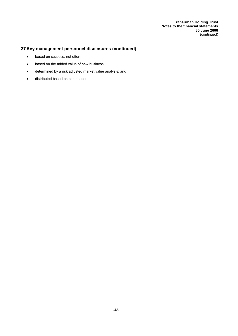- · based on success, not effort;
- based on the added value of new business;
- determined by a risk adjusted market value analysis; and
- · distributed based on contribution.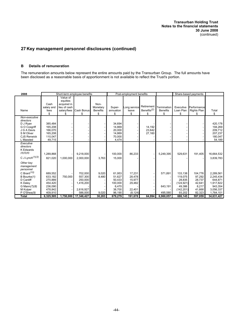## **B Details of remuneration**

The remuneration amounts below represent the entire amounts paid by the Transurban Group. The full amounts have been disclosed as a reasonable basis of apportionment is not available to reflect the Trust's portion.

| 2008                                                                                                                                                           |                                                                           |                                                                    | Short-term employee benefits                                       |                                           |                                                                    | Post-employment benefits                                   |                                             |                                      |                                                                              | Share-based payments                                               |                                                                                     |
|----------------------------------------------------------------------------------------------------------------------------------------------------------------|---------------------------------------------------------------------------|--------------------------------------------------------------------|--------------------------------------------------------------------|-------------------------------------------|--------------------------------------------------------------------|------------------------------------------------------------|---------------------------------------------|--------------------------------------|------------------------------------------------------------------------------|--------------------------------------------------------------------|-------------------------------------------------------------------------------------|
| Name                                                                                                                                                           | Cash<br>salary and<br>fees<br>\$                                          | Value of<br>equities<br>acquired in<br>lieu of cash<br>salary/fees | Cash Bonus<br>\$                                                   | Non-<br>Monetary<br><b>Benefits</b><br>\$ | Super-<br>annuation<br>\$                                          | Long service<br>leave<br>\$                                | Retirement<br>Benefits <sup>(2)</sup><br>\$ | Termination<br><b>Benefits</b><br>\$ | Executive<br>Loan Plan<br>\$                                                 | Performance<br>Rights Plan<br>\$                                   | Total<br>\$                                                                         |
| Non-executive<br>directors<br>D J Ryan<br>G O Cosgriff<br>J G A Davis<br>S M Oliver<br><b>CJS Renwick</b><br>L Maxsted                                         | 385,484<br>165,208<br>166,070<br>165,208<br>110,047<br>49,715             |                                                                    |                                                                    |                                           | 34,694<br>14,869<br>20,000<br>14,869<br>70,000<br>4,474            |                                                            | 14,192<br>23,642<br>27,160                  |                                      |                                                                              |                                                                    | 420,178<br>194,269<br>209,712<br>207,237<br>180,047<br>54,189                       |
| Executive<br>directors<br><b>K</b> Edwards<br>(4)(5)(6)<br>C J Lynch $(1)(3)$                                                                                  | 1,289,868<br>821,020                                                      | 1,000,000                                                          | 9,218,000<br>2,000,000                                             | 3,763                                     | 100.000<br>15,000                                                  | 86,233                                                     |                                             | 5,249,395                            | 529,631                                                                      | 191,405                                                            | 16,664,532<br>3,839,783                                                             |
| Other key<br>management<br>personnel<br>C Brant <sup><math>(10)</math></sup><br>B Bourke(1)<br>D Cardiff<br>K Daley<br>G Mann(7)(8)<br>M Kulper<br>P O'Shea(9) | 689.552<br>633.182<br>270,889<br>454.420<br>236,090<br>478,842<br>409,910 | 750,000                                                            | 702.000<br>557.300<br>250,000<br>1,416,200<br>2,616,927<br>586.000 | 9,020<br>8,480<br>9,020                   | 61,953<br>51,627<br>50,433<br>100.000<br>6,470<br>38,700<br>96,190 | 17,231<br>28.478<br>15,977<br>29,482<br>22.401<br>(8, 124) |                                             | 571.891<br>643,191<br>495,580        | 133.138<br>119.075<br>28.835<br>(124, 921)<br>49.386<br>(142, 201)<br>93,202 | 104.776<br>97.292<br>28.737<br>42.641<br>8.217<br>41,668<br>82,323 | 2,289,561<br>2,245,434<br>644.871<br>1,917,822<br>943,354<br>3,056,337<br>1,764,101 |
| <b>Total</b>                                                                                                                                                   | 6,325,505                                                                 |                                                                    | 1,750,000 17,346,427                                               | 30,283                                    | 679,279                                                            | 191,678                                                    | 64,994                                      | 6,960,057                            | 686,145                                                                      | 597,059                                                            | 34,631,427                                                                          |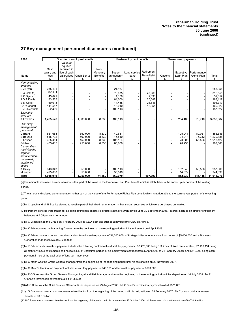| 2007                                                       |                            |                                                                    | Short-term employee benefits |                                     |                       | Post-employment benefits |                                       |         | Share-based payments   |                            |                      |
|------------------------------------------------------------|----------------------------|--------------------------------------------------------------------|------------------------------|-------------------------------------|-----------------------|--------------------------|---------------------------------------|---------|------------------------|----------------------------|----------------------|
| Name                                                       | Cash<br>salary and<br>fees | Value of<br>equities<br>acquired in<br>lieu of cash<br>salary/fees | Cash Bonus                   | Non-<br>Monetary<br><b>Benefits</b> | Super-<br>annuation** | Long service<br>leave    | Retirement<br>Benefits <sup>(2)</sup> | Options | Executive<br>Loan Plan | Performance<br>Rights Plan | Total                |
|                                                            | \$                         | \$                                                                 | \$                           | \$                                  | \$                    | \$                       | \$                                    | \$      | \$                     | \$                         | \$                   |
| Non-executive<br>directors<br>D J Ryan                     | 235,191                    |                                                                    |                              |                                     | 21,167                |                          |                                       |         |                        |                            | 256,358              |
| L G Cox $(11)$                                             | 204,511                    |                                                                    |                              |                                     | 70,075                |                          | 40.969                                |         |                        |                            | 315,555              |
| P C Byers                                                  | 45.891                     |                                                                    |                              |                                     | 4,130                 |                          | 9,838                                 |         |                        |                            | 59.859               |
| J G A Davis                                                | 83,535                     |                                                                    |                              |                                     | 84,000                |                          | 20,582                                |         |                        |                            | 188,117              |
| S M Oliver                                                 | 160,618                    |                                                                    |                              |                                     | 14,455                |                          | 23,646                                |         |                        |                            | 198,719              |
| G O Cosqriff                                               | 144,557                    |                                                                    |                              |                                     | 13,010                |                          | 12,355                                |         |                        |                            | 169,922              |
| C JS Renwick                                               | 52,409                     |                                                                    |                              |                                     | 105,113               |                          |                                       |         |                        |                            | 157,522              |
| Executive<br>directors<br><b>K</b> Edwards                 | 1.495.520                  |                                                                    | 1,600,000                    | 8,330                               | 105,113               |                          |                                       |         | 264,409                | 376,710                    | 3,850,082            |
| Other key<br>management<br>personnel<br>C Brant            | 561,683                    |                                                                    | 550,000                      | 8,330                               | 49,641                |                          |                                       |         | 105,941                | 80,051                     | 1,355,646            |
| <b>B</b> Bourke                                            | 515,792                    |                                                                    | 500,000                      | 8,330                               | 45,510                |                          |                                       |         | 94,214                 | 75,342                     | 1,239,188            |
| P O'Shea<br>G Mann                                         | 325.454<br>465,415         |                                                                    | 450.000<br>250,000           | 8,330<br>8,330                      | 105,124<br>85,000     |                          |                                       |         | 73,008<br>98,935       | 56,506                     | 1,018,422<br>907,680 |
| 5 executives<br>receiving the<br>highest<br>remuneration - |                            |                                                                    |                              |                                     |                       |                          |                                       |         |                        |                            |                      |
| not already                                                |                            |                                                                    |                              |                                     |                       |                          |                                       |         |                        |                            |                      |
| mentioned                                                  |                            |                                                                    |                              |                                     |                       |                          |                                       |         |                        |                            |                      |
| above                                                      |                            |                                                                    |                              |                                     |                       |                          |                                       |         |                        |                            |                      |
| K Daley                                                    | 343,343                    |                                                                    | 350,000                      |                                     | 105,113               |                          |                                       |         | 102,046                | 56,506                     | 957,008              |
| M Kulper                                                   | 425,000                    |                                                                    | 350,000                      |                                     | 55,519                |                          |                                       |         | 114,379                |                            | 944,898              |
| <b>Total</b>                                               | 5,058,919                  |                                                                    | 4,050,000                    | 41,650                              | 862,970               |                          | 107,390                               |         | 852,932                | 645,115                    | 11,618,976           |

(a)The amounts disclosed as remuneration is that part of the value of the Executive Loan Plan benefit which is attributable to the current year portion of the vesting period.

(b)The amounts disclosed as remuneration is that part of the value of the Performance Rights Plan benefit which is attributable to the current year portion of the vesting period.

(1)Mr C Lynch and Mr B Bourke elected to receive part of their fixed remuneration in Transurban securities which were purchased on market.

(2)Retirement benefits were frozen for all participating non-executive directors at their current levels up to 30 September 2005. Interest accrues on director entitlement balances at 7.05 per cent per annum.

(3)Mr C Lynch joined the Group on 4 February 2008 as CEO elect and subsequently became CEO on April 5.

(4)Mr K Edwards was the Managing Director from the beginning of the reporting period until his retirement on 4 April 2008.

- (5)Mr K Edwards's cash bonus comprises a short term incentive payment of \$1,000,000, a Strategic Milestone Incentive Plan bonus of \$5,000,000 and a Business Generation Plan Incentive of \$3,218,000.
- (6)Mr K Edwards's termination payment includes the following contractual and statutory payments: \$2,470,000 being 1.3 times of fixed remuneration, \$2,139,194 being all statutory leave entitlements and notice in lieu of unexpired portion of his employment contract (from 5 April 2008 to 21 February 2009), and \$640,200 being cash payment in lieu of the expiration of long term incentives.
- (7)Mr G Mann was the Group General Manager from the beginning of the reporting period until his resignation on 23 November 2007.
- (8)Mr G Mann's termination payment includes a statutory payment of \$43,191 and termination payment of \$600,000.
- (9)Mr P O'Shea was the Group General Manager Legal and Risk Management from the beginning of the reporting period until his departure on 14 July 2008. Mr P O'Shea's termination payment totalled \$495,580.

(10)Mr C Brant was the Chief Finance Officer until his departure on 29 August 2008. Mr C Brant's termination payment totalled \$571,891.

- (11)L G Cox was chairman and a non-executive director from the beginning of the period until his resignation on 28 February 2007. Mr Cox was paid a retirement benefit of \$0.9 million.
- (12)P C Byers was a non-executive director from the beginning of the period until his retirement on 23 October 2006. Mr Byers was paid a retirement benefit of \$0.3 million.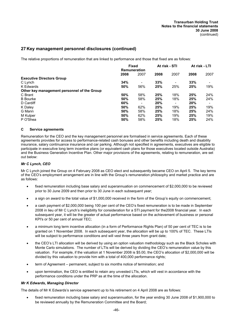The relative proportions of remuneration that are linked to performance and those that fixed are as follows:

|                                             | <b>Fixed</b> |      | At risk - STI<br>Remuneration |      | At risk - LTI |      |
|---------------------------------------------|--------------|------|-------------------------------|------|---------------|------|
|                                             |              |      |                               |      |               |      |
|                                             | 2008         | 2007 | 2008                          | 2007 | 2008          | 2007 |
| <b>Executive Directors Group</b>            |              |      |                               |      |               |      |
| C Lynch                                     | 34%          |      | 33%                           |      | 33%           |      |
| K Edwards                                   | 50%          | 56%  | 25%                           | 25%  | 25%           | 19%  |
| Other key management personnel of the Group |              |      |                               |      |               |      |
| C Brant                                     | 50%          | 58%  | 25%                           | 18%  | 25%           | 24%  |
| <b>B</b> Bourke                             | 50%          | 58%  | 25%                           | 18%  | 25%           | 24%  |
| D Cardiff                                   | 60%          |      | 20%                           |      | 20%           |      |
| K Daley                                     | 50%          | 62%  | 25%                           | 19%  | 25%           | 19%  |
| G Mann                                      | 50%          | 58%  | 25%                           | 18%  | 25%           | 24%  |
| M Kulper                                    | 50%          | 62%  | 25%                           | 19%  | 25%           | 19%  |
| P O'Shea                                    | 50%          | 58%  | 25%                           | 18%  | 25%           | 24%  |

## **C Service agreements**

Remuneration for the CEO and the key management personnel are formalised in service agreements. Each of these agreements provides for access to performance-related cash bonuses and other benefits including death and disability insurance, salary continuance insurance and car parking. Although not specified in agreements, executives are eligible to participate in executive long term incentive plans (or equivalent cash plans for those executives located outside Australia) and the Business Generation Incentive Plan. Other major provisions of the agreements, relating to remuneration, are set out below:

## *Mr C Lynch, CEO*

Mr C Lynch joined the Group on 4 February 2008 as CEO elect and subsequently became CEO on April 5. The key terms of the CEO's employment arrangement are in line with the Group's remuneration philosophy and market practice and are as follows:

- fixed remuneration including base salary and superannuation on commencement of \$2,000,000 to be reviewed prior to 30 June 2009 and then prior to 30 June in each subsequent year;
- a sign on award to the total value of \$1,000,000 received in the form of the Group's equity on commencement;
- a cash payment of \$2,000,000 being 100 per cent of the CEO's fixed remuneration is to be made in September 2008 in lieu of Mr C Lynch's ineligibility for consideration for a STI payment for the2008 financial year. In each subsequent year, it will be the greater of actual performance based on the achievement of business or personal KPI's or 50 per cent of annual TEC;
- a minimum long term incentive allocation (in a form of Performance Rights Plan) of 50 per cent of TEC is to be granted on 1 November 2008. In each subsequent year, the allocation will be up to 100% of TEC. These LTIs will be subject to performance conditions and will vest three years from grant date;
- · the CEO's LTI allocation will be derived by using an option valuation methodology such as the Black Scholes with Monte Carlo simulations. The number of LTIs will be derived by dividing the CEO's remuneration value by this valuation. For example, if the valuation at 1 November 2008 is \$5.00, the CEO's allocation of \$2,000,000 will be divided by this valuation to provide him with a total of 400,000 performance rights;
- term of Agreement permanent, subject to six months notice of termination; and
- · upon termination, the CEO is entitled to retain any unvested LTIs, which will vest in accordance with the performance conditions under the PRP as at the time of the allocation.

### *Mr K Edwards, Managing Director*

The details of Mr K Edwards's service agreement up to his retirement on 4 April 2008 are as follows:

fixed remuneration including base salary and superannuation, for the year ending 30 June 2008 of \$1,900,000 to be reviewed annually by the Remuneration Committee and the Board;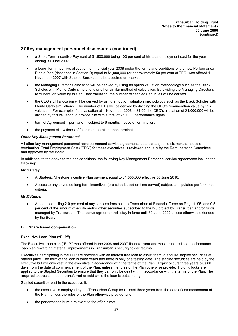- a Short Term Incentive Payment of \$1,600,000 being 100 per cent of his total employment cost for the year ending 30 June 2007.
- a Long Term Incentive allocation for financial year 2008 under the terms and conditions of the new Performance Rights Plan (described in Section D) equal to \$1,000,000 (or approximately 50 per cent of TEC) was offered 1 November 2007 with Stapled Securities to be acquired on market.
- · the Managing Director's allocation will be derived by using an option valuation methodology such as the Black Scholes with Monte Carlo simulations or other similar method of calculation. By dividing the Managing Director's remuneration value by this adjusted valuation, the number of Stapled Securities will be derived.
- · the CEO's LTI allocation will be derived by using an option valuation methodology such as the Black Scholes with Monte Carlo simulations. The number of LTIs will be derived by dividing the CEO's remuneration value by this valuation. For example, if the valuation at 1 November 2008 is \$4.00, the CEO's allocation of \$1,000,000 will be divided by this valuation to provide him with a total of 250,000 performance rights;
- term of Agreement permanent, subject to 6 months' notice of termination;
- the payment of 1.3 times of fixed remuneration upon termination

## *Other Key Management Personnel*

All other key management personnel have permanent service agreements that are subject to six months notice of termination. Total Employment Cost ("TEC") for these executives is reviewed annually by the Remuneration Committee and approved by the Board.

In additional to the above terms and conditions, the following Key Management Personnel service agreements include the following:

## *Mr K Daley*

- · A Strategic Milestone Incentive Plan payment equal to \$1,000,000 effective 30 June 2010.
- Access to any unvested long term incentives (pro-rated based on time served) subject to stipulated performance criteria.

## *Mr M Kulper*

· A bonus equalling 2.0 per cent of any success fees paid to Transurban at Financial Close on Project I95, and 0.5 per cent of the amount of equity and/or other securities subscribed to the I95 project by Transurban and/or funds managed by Transurban. This bonus agreement will stay in force until 30 June 2009 unless otherwise extended by the Board.

### **D Share based compensation**

## **Executive Loan Plan ("ELP")**

The Executive Loan plan ("ELP") was offered in the 2006 and 2007 financial year and was structured as a performance loan plan rewarding material improvements in Transurban's securityholder returns.

Executives participating in the ELP are provided with an interest free loan to assist them to acquire stapled securities at market price. The term of the loan is three years and there is only one testing date. The stapled securities are held by the executive but will only vest in the executive in accordance with the terms of the Plan. Expiry occurs three years plus 60 days from the date of commencement of the Plan, unless the rules of the Plan otherwise provide. Holding locks are applied to the Stapled Securities to ensure that they can only be dealt with in accordance with the terms of the Plan. The acquired shares cannot be transferred or sold while the loan is outstanding.

Stapled securities vest in the executive if:

- the executive is employed by the Transurban Group for at least three years from the date of commencement of the Plan, unless the rules of the Plan otherwise provide; and
- the performance hurdle relevant to the offer is met.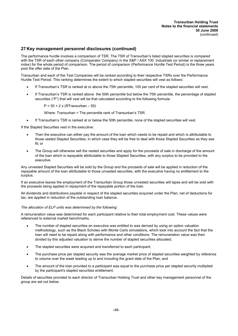The performance hurdle involves a comparison of TSR. The TSR of Transurban's listed stapled securities is compared with the TSR of each other company (Comparator Company) in the S&P / ASX 100 Industrials (or similar or replacement index) for the whole period of comparison. The period of comparison (Performance Hurdle Test Period) is the three years post the offer date of the Plan.

Transurban and each of the Test Companies will be ranked according to their respective TSRs over the Performance Hurdle Test Period. This ranking determines the extent to which stapled securities will vest as follows:

- If Transurban's TSR is ranked at or above the 75th percentile, 100 per cent of the stapled securities will vest.
- If Transurban's TSR is ranked above the 50th percentile but below the 75th percentile, the percentage of stapled securities ("P") that will vest will be that calculated according to the following formula:

 $P = 50 + 2 \times (RTransurban - 50)$ 

Where: Transurban = The percentile rank of Transurban's TSR.

· If Transurban's TSR is ranked at or below the 50th percentile, none of the stapled securities will vest.

If the Stapled Securities vest in the executive:

- Then the executive can either pay the amount of the loan which needs to be repaid and which is attributable to those vested Stapled Securities, in which case they will be free to deal with those Stapled Securities as they see fit; or
- The Group will otherwise sell the vested securities and apply for the proceeds of sale in discharge of the amount of the loan which is repayable attributable to those Stapled Securities, with any surplus to be provided to the executive.

Any unvested Stapled Securities will be sold by the Group and the proceeds of sale will be applied in reduction of the repayable amount of the loan attributable to those unvested securities, with the executive having no entitlement to the surplus.

If an executive leaves the employment of the Transurban Group those unvested securities will lapse and will be sold with the proceeds being applied in repayment of the repayable portion of the loan.

All dividends and distributions payable in respect of the stapled securities acquired under the Plan, net of deductions for tax, are applied in reduction of the outstanding loan balance.

### *The allocation of ELP units was determined by the following:*

A remuneration value was determined for each participant relative to their total employment cost. These values were referenced to external market benchmarks.

- · The number of stapled securities an executive was entitled to was derived by using an option valuation methodology, such as the Black Scholes with Monte Carlo simulations, which took into account the fact that the loan will need to be repaid along with performance and other conditions. The remuneration value was then divided by this adjusted valuation to derive the number of stapled securities allocated;
- The stapled securities were acquired and transferred to each participant;
- The purchase price per stapled security was the average market price of stapled securities weighted by reference to volume over the week leading up to and including the grant date of the Plan; and
- The amount of the loan provided to a participant was equal to the purchase price per stapled security multiplied by the participant's stapled securities entitlement.

Details of securities provided to each director of Transurban Holding Trust and other key management personnel of the group are set out below.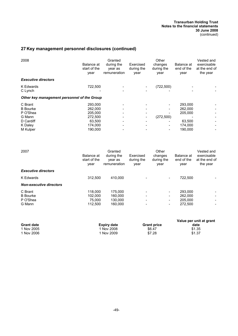| 2008                                                                                 | Balance at<br>start of the<br>year                                       | Granted<br>during the<br>year as<br>remuneration | Exercised<br>during the<br>year | Other<br>changes<br>during the<br>year | Balance at<br>end of the<br>year                              | Vested and<br>exercisable<br>at the end of<br>the year |
|--------------------------------------------------------------------------------------|--------------------------------------------------------------------------|--------------------------------------------------|---------------------------------|----------------------------------------|---------------------------------------------------------------|--------------------------------------------------------|
| <b>Executive directors</b>                                                           |                                                                          |                                                  |                                 |                                        |                                                               |                                                        |
| K Edwards<br>C Lynch                                                                 | 722,500                                                                  |                                                  |                                 | (722, 500)                             |                                                               |                                                        |
| Other key management personnel of the Group                                          |                                                                          |                                                  |                                 |                                        |                                                               |                                                        |
| C Brant<br><b>B</b> Bourke<br>P O'Shea<br>G Mann<br>D Cardiff<br>K Daley<br>M Kulper | 293,000<br>262.000<br>205,000<br>272,500<br>63,500<br>174,000<br>190,000 |                                                  |                                 | (272, 500)<br>-                        | 293,000<br>262,000<br>205,000<br>63,500<br>174,000<br>190,000 |                                                        |

| 2007                                             | Balance at<br>start of the<br>year      | Granted<br>during the<br>year as<br>remuneration | Exercised<br>during the<br>year | Other<br>changes<br>during the<br>year                                                                               | Balance at<br>end of the<br>year         | Vested and<br>exercisable<br>at the end of<br>the year |
|--------------------------------------------------|-----------------------------------------|--------------------------------------------------|---------------------------------|----------------------------------------------------------------------------------------------------------------------|------------------------------------------|--------------------------------------------------------|
| <b>Executive directors</b>                       |                                         |                                                  |                                 |                                                                                                                      |                                          |                                                        |
| K Edwards                                        | 312,500                                 | 410.000                                          |                                 | $\overline{\phantom{a}}$                                                                                             | 722,500                                  |                                                        |
| <b>Non-executive directors</b>                   |                                         |                                                  |                                 |                                                                                                                      |                                          |                                                        |
| C Brant<br><b>B</b> Bourke<br>P O'Shea<br>G Mann | 118,000<br>102.000<br>75.000<br>112.500 | 175.000<br>160,000<br>130.000<br>160,000         |                                 | $\overline{\phantom{a}}$<br>$\overline{\phantom{a}}$<br>$\qquad \qquad \blacksquare$<br>$\qquad \qquad \blacksquare$ | 293,000<br>262,000<br>205.000<br>272,500 |                                                        |

|                   |                    |                    | Value per unit at grant |
|-------------------|--------------------|--------------------|-------------------------|
| <b>Grant date</b> | <b>Expiry date</b> | <b>Grant price</b> | date                    |
| 1 Nov 2005        | ` Nov 2008         | \$6.47             | \$1.35                  |
| 1 Nov 2006        | Nov 2009           | \$7.28             | \$1.37                  |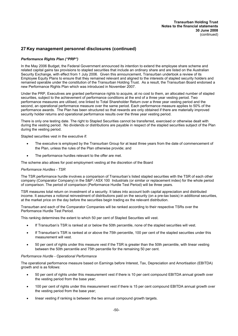## *Performance Rights Plan ("PRP")*

In the May 2006 Budget, the Federal Government announced its intention to extend the employee share scheme and related capital gains tax provisions to stapled securities that include an ordinary share and are listed on the Australian Security Exchange, with effect from 1 July 2006. Given this announcement, Transurban undertook a review of its Employee Equity Plans to ensure that they remained relevant and aligned to the interests of stapled security holders and remained operable under the constitution of the Transurban Holding Trust. As a result, the Transurban Board endorsed a new Performance Rights Plan which was introduced in November 2007.

Under the PRP, Executives are granted performance rights to acquire, at no cost to them, an allocated number of stapled securities, subject to the achievement of performance conditions at the end of a three year vesting period. Two performance measures are utilised, one linked to Total Shareholder Return over a three year vesting period and the second, an operational performance measure over the same period. Each performance measure applies to 50% of the performance awards. The Plan has been structured so that rewards are only obtained if there are materially improved security holder returns and operational performance results over the three year vesting period.

There is only one testing date. The right to Stapled Securities cannot be transferred, exercised or otherwise dealt with during the vesting period. No dividends or distributions are payable in respect of the stapled securities subject of the Plan during the vesting period.

Stapled securities vest in the executive if:

- The executive is employed by the Transurban Group for at least three years from the date of commencement of the Plan, unless the rules of the Plan otherwise provide; and
- The performance hurdles relevant to the offer are met.

The scheme also allows for post employment vesting at the discretion of the Board

### *Performance Hurdles - TSR*

The TSR performance hurdle involves a comparison of Transurban's listed stapled securities with the TSR of each other company (Comparator Company) in the S&P / ASX 100 Industrials (or similar or replacement index) for the whole period of comparison. The period of comparison (Performance Hurdle Test Period) will be three years.

TSR measures total return on investment of a security. It takes into account both capital appreciation and distributed income. It assumes a notional reinvestment of distributions paid on the security (on a pre-tax basis) in additional securities, at the market price on the day before the securities begin trading ex the relevant distribution.

Transurban and each of the Comparator Companies will be ranked according to their respective TSRs over the Performance Hurdle Test Period.

This ranking determines the extent to which 50 per cent of Stapled Securities will vest.

- If Transurban's TSR is ranked at or below the 50th percentile, none of the stapled securities will vest.
- If Transurban's TSR is ranked at or above the 75th percentile, 100 per cent of the stapled securities under this measurement will vest.
- · 50 per cent of rights under this measure vest if the TSR is greater than the 50th percentile, with linear vesting between the 50th percentile and 75th percentile for the remaining 50 per cent.

### *Performance Hurdle - Operational Performance*

The operational performance measure based on Earnings before Interest, Tax, Depreciation and Amortisation (EBITDA) growth and is as follows:

- · 50 per cent of rights under this measurement vest if there is 10 per cent compound EBITDA annual growth over the vesting period from the base year;
- · 100 per cent of rights under this measurement vest if there is 15 per cent compound EBITDA annual growth over the vesting period from the base year;
- linear vesting if ranking is between the two annual compound growth targets.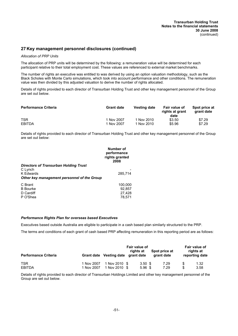### *Allocation of PRP Units*

The allocation of PRP units will be determined by the following: a remuneration value will be determined for each participant relative to their total employment cost. These values are referenced to external market benchmarks.

The number of rights an executive was entitled to was derived by using an option valuation methodology, such as the Black Scholes with Monte Carlo simulations, which took into account performance and other conditions. The remuneration value was then divided by this adjusted valuation to derive the number of rights allocated.

Details of rights provided to each director of Transurban Holding Trust and other key management personnel of the Group are set out below.

| <b>Performance Criteria</b> | <b>Grant date</b> | Vesting date | <b>Fair value of</b><br>rights at grant<br>date | Spot price at<br>grant date |
|-----------------------------|-------------------|--------------|-------------------------------------------------|-----------------------------|
| <b>TSR</b>                  | 1 Nov 2007        | 1 Nov 2010   | \$3.50                                          | \$7.29                      |
| <b>EBITDA</b>               | 1 Nov 2007        | 1 Nov 2010   | \$5.96                                          | \$7.29                      |

Details of rights provided to each director of Transurban Holding Trust and other key management personnel of the Group are set out below:

|                                                                            | Number of<br>performance<br>rights granted<br>2008 |
|----------------------------------------------------------------------------|----------------------------------------------------|
| <b>Directors of Transurban Holding Trust</b>                               |                                                    |
| C Lynch<br><b>K</b> Edwards<br>Other key management personnel of the Group | 285,714                                            |
|                                                                            |                                                    |
| C Brant                                                                    | 100,000                                            |
| <b>B</b> Bourke                                                            | 92,857                                             |
| D Cardiff                                                                  | 27,428                                             |
| P O'Shea                                                                   | 78.571                                             |

## *Performance Rights Plan for overseas based Executives*

Executives based outside Australia are eligible to participate in a cash based plan similarly structured to the PRP.

The terms and conditions of each grant of cash based PRP affecting remuneration in this reporting period are as follows:

|                             |            | Fair value of<br>Spot price at<br>rights at |                    |            |  |                             |
|-----------------------------|------------|---------------------------------------------|--------------------|------------|--|-----------------------------|
| <b>Performance Criteria</b> |            | Grant date Vesting date                     | grant date         | grant date |  | rights at<br>reporting date |
| <b>TSR</b>                  | 1 Nov 2007 | 1 Nov 2010 \$                               | $3.50 \text{ }$ \$ | 7.29       |  | 1.32                        |
| <b>EBITDA</b>               | 1 Nov 2007 | Nov 2010 \$                                 | $5.96$ \$          | 7.29       |  | 3.58                        |

Details of rights provided to each director of Transurban Holdings Limited and other key management personnel of the Group are set out below.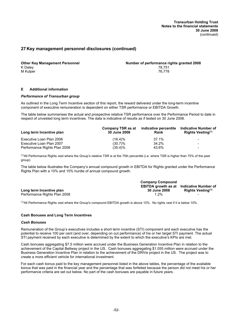K Daley 78,751 M Kulper 76,778 (1999) 1996 (1999) 1997 (1998) 1998 (1999) 1998 (1999) 1998 (1999) 1998 (1999) 1998 (1999) 199

**Other Key Management Personnel Number of performance rights granted 2008**

### **E Additional information**

### *Performance of Transurban group*

As outlined in the Long Term Incentive section of this report, the reward delivered under the long-term incentive component of executive remuneration is dependent on either TSR performance or EBITDA Growth.

The table below summarises the actual and prospective relative TSR performance over the Performance Period to date in respect of unvested long term incentives. The data is indicative of results as if tested on 30 June 2008.

| Long term Incentive plan     | Company TSR as at<br><b>30 June 2008</b> | indicative percentile<br>Rank | <b>Indicative Number of</b><br>Rights Vesting <sup>(1)</sup> |
|------------------------------|------------------------------------------|-------------------------------|--------------------------------------------------------------|
| Executive Loan Plan 2006     | $(16.4)\%$                               | 37.1%                         | -                                                            |
| Executive Loan Plan 2007     | $(30.7)\%$                               | 34.2%                         | -                                                            |
| Performance Rights Plan 2008 | $(35.4)\%$                               | 43.6%                         | $\overline{\phantom{0}}$                                     |

(1)All Performance Rights vest where the Group's relative TSR is at the 75th percentile (i.e. where TSR is higher than 75% of the peer group).

The table below illustrates the Company's annual compound growth in EBITDA for Rights granted under the Performance Rights Plan with a 10% and 15% hurdle of annual compound growth.

|                              | <b>Company Compound</b>                         |                               |
|------------------------------|-------------------------------------------------|-------------------------------|
|                              | <b>EBITDA growth as at Indicative Number of</b> |                               |
| Long term Incentive plan     | 30 June 2008                                    | Rights Vesting <sup>(1)</sup> |
| Performance Rights Plan 2008 | $1.2\%$                                         | $\overline{\phantom{0}}$      |

(1)All Performance Rights vest where the Group's compound EBITDA growth is above 15%. No rights vest if it is below 10%.

### **Cash Bonuses and Long Term Incentives**

### *Cash Bonuses*

Remuneration of the Group's executives includes a short term incentive (STI) component and each executive has the potential to receive 100 per cent (and over, depending on out performance) of his or her target STI payment. The actual STI payment received by each executive is determined by the extent to which the executive's KPIs are met.

Cash bonuses aggregating \$7.5 million were accrued under the Business Generation Incentive Plan in relation to the achievement of the Capital Beltway project in the US. Cash bonuses aggregating \$1.055 million were accrued under the Business Generation Incentive Plan in relation to the achievement of the DRIVe project in the US. The project was to create a more efficient vehicle for international investment.

For each cash bonus paid to the key management personnel listed in the above tables, the percentage of the available bonus that was paid in the financial year and the percentage that was forfeited because the person did not meet his or her performance criteria are set out below. No part of the cash bonuses are payable in future years.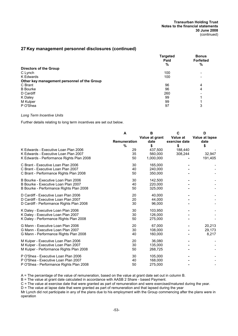|                                             | <b>Targeted</b><br>Paid<br>% | <b>Bonus</b><br><b>Forfeited</b><br>% |
|---------------------------------------------|------------------------------|---------------------------------------|
| <b>Directors of the Group</b>               |                              |                                       |
| C Lynch                                     | 100                          |                                       |
| K Edwards                                   | 100                          |                                       |
| Other key management personnel of the Group |                              |                                       |
| C Brant                                     | 96                           | 4                                     |
| <b>B</b> Bourke                             | 96                           | 4                                     |
| D Cardiff                                   | 260                          |                                       |
| K Daley                                     | 99                           |                                       |
| M Kulper                                    | 99                           |                                       |
| P O'Shea                                    | 97                           | ◠<br>د                                |

### *Long Term Incentive Units*

Further details relating to long term incentives are set out below.

|                                          | A<br><b>Remuneration</b> | B<br>Value at grant<br>date | C<br>Value at<br>exercise date | D<br>Value at lapse<br>date |
|------------------------------------------|--------------------------|-----------------------------|--------------------------------|-----------------------------|
| K Edwards - Executive Loan Plan 2006     | %<br>29                  | \$<br>437,500               | \$<br>188,440                  | \$                          |
| K Edwards - Executive Loan Plan 2007     | 35                       | 560,000                     | 308,244                        | 32,947                      |
| K Edwards - Performance Rights Plan 2008 | 50                       | 1,000,000                   |                                | 191,405                     |
| C Brant - Executive Loan Plan 2006       | 30                       | 165,000                     |                                |                             |
| C Brant - Executive Loan Plan 2007       | 40                       | 240,000                     |                                |                             |
| C Brant - Performance Rights Plan 2008   | 50                       | 350,000                     |                                |                             |
| B Bourke - Executive Loan Plan 2006      | 30                       | 142.500                     |                                |                             |
| B Bourke - Executive Loan Plan 2007      | 40                       | 220,000                     |                                |                             |
| B Bourke - Performance Rights Plan 2008  | 50                       | 325,000                     |                                |                             |
| D Cardiff - Executive Loan Plan 2006     | 20                       | 40.000                      |                                |                             |
| D Cardiff - Executive Loan Plan 2007     | 20                       | 44.000                      |                                |                             |
| D Cardiff - Performance Rights Plan 2008 | 30                       | 96.000                      |                                |                             |
| K Daley - Executive Loan Plan 2006       | 30                       | 103.950                     |                                |                             |
| K Daley - Executive Loan Plan 2007       | 30                       | 126,000                     |                                |                             |
| K Daley - Performance Rights Plan 2008   | 50                       | 275,000                     |                                |                             |
| G Mann - Executive Loan Plan 2006        | 20                       | 67,000                      |                                | 20,213                      |
| G Mann - Executive Loan Plan 2007        | 30                       | 108.000                     |                                | 29,173                      |
| G Mann - Performance Rights Plan 2008    | 40                       | 160,000                     |                                | 8,217                       |
| M Kulper - Executive Loan Plan 2006      | 20                       | 36,080                      |                                |                             |
| M Kulper - Executive Loan Plan 2007      | 30                       | 135,000                     |                                |                             |
| M Kulper - Performance Rights Plan 2008  | 50                       | 268,725                     |                                |                             |
| P O'Shea - Executive Loan Plan 2006      | 30                       | 105,000                     |                                |                             |
| P O'Shea - Executive Loan Plan 2007      | 40                       | 168.000                     |                                |                             |
| P O'Shea - Performance Rights Plan 2008  | 50                       | 275,000                     |                                |                             |

A = The percentage of the value of remuneration, based on the value at grant date set out in column B.

B = The value at grant date calculated in accordance with AASB 2 Share - based Payment.

C = The value at exercise date that were granted as part of remuneration and were exercised/matured during the year.

D = The value at lapse date that were granted as part of remuneration and that lapsed during the year

Mr Lynch did not participate in any of the plans due to his employment with the Group commencing after the plans were in operation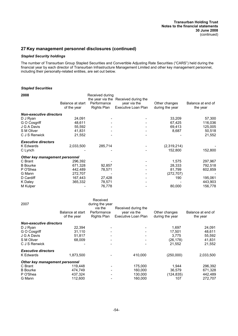## *Stapled Security holdings*

The number of Transurban Group Stapled Securities and Convertible Adjusting Rate Securities ("CARS") held during the financial year by each director of Transurban Infrastructure Management Limited and other key management personnel, including their personally-related entities, are set out below.

# *Stapled Securities*

| Balance at start               | Performance | year via the        | Other changes                                           | Balance at end of |
|--------------------------------|-------------|---------------------|---------------------------------------------------------|-------------------|
| of the year                    | Rights Plan | Executive Loan Plan | during the year                                         | the year          |
| <b>Non-executive directors</b> |             |                     |                                                         |                   |
| 24,091                         |             |                     | 33,209                                                  | 57,300            |
| 48.611                         |             |                     | 67,425                                                  | 116,036           |
| 55,592                         |             |                     | 69,413                                                  | 125,005           |
| 41,831                         |             |                     | 8,687                                                   | 50,518            |
| 21,552                         |             |                     |                                                         | 21,552            |
|                                |             |                     |                                                         |                   |
| 2,033,500                      | 285,714     |                     | (2,319,214)                                             |                   |
|                                |             |                     | 152,800                                                 | 152,800           |
| Other key management personnel |             |                     |                                                         |                   |
| 296,392                        |             |                     | 1,575                                                   | 297,967           |
| 671,328                        | 92,857      |                     | 28,333                                                  | 792,518           |
| 442,489                        | 78,571      |                     | 81,799                                                  | 602,859           |
| 272,707                        |             |                     | (272, 707)                                              |                   |
| 167,443                        | 27,428      |                     | 190                                                     | 195,061           |
| 365,332                        | 78,571      |                     |                                                         | 443,903           |
|                                | 76,778      |                     | 80,000                                                  | 156,778           |
|                                |             |                     | Received during<br>the year via the Received during the |                   |

| 2007                           | Balance at start<br>of the year | Received<br>during the year<br>via the<br>Performance<br>Rights Plan | Received during the<br>year via the<br>Executive Loan Plan | Other changes<br>during the year | Balance at end of<br>the year |
|--------------------------------|---------------------------------|----------------------------------------------------------------------|------------------------------------------------------------|----------------------------------|-------------------------------|
| <b>Non-executive directors</b> |                                 |                                                                      |                                                            |                                  |                               |
| D J Ryan                       | 22,394                          |                                                                      |                                                            | 1,697                            | 24,091                        |
| G O Cosgriff                   | 31,110                          |                                                                      |                                                            | 17,501                           | 48,611                        |
| J G A Davis                    | 51.817                          |                                                                      |                                                            | 3.775                            | 55,592                        |
| S M Oliver                     | 68,009                          |                                                                      |                                                            | (26, 178)                        | 41,831                        |
| C J S Renwick                  |                                 | ۰                                                                    |                                                            | 21,552                           | 21,552                        |
| <b>Executive directors</b>     |                                 |                                                                      |                                                            |                                  |                               |
| <b>K</b> Edwards               | 1,873,500                       |                                                                      | 410,000                                                    | (250,000)                        | 2,033,500                     |
| Other key management personnel |                                 |                                                                      |                                                            |                                  |                               |
| C Brant                        | 119,448                         |                                                                      | 175,000                                                    | 1,944                            | 296,392                       |
| <b>B</b> Bourke                | 474,749                         |                                                                      | 160,000                                                    | 36,579                           | 671,328                       |
| P O'Shea                       | 437,324                         |                                                                      | 130,000                                                    | (124, 835)                       | 442,489                       |
| G Mann                         | 112,600                         |                                                                      | 160,000                                                    | 107                              | 272,707                       |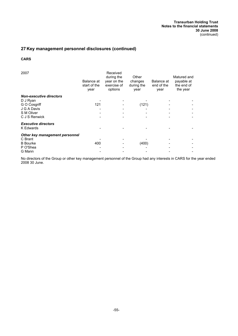# **CARS**

| 2007                                    | Balance at<br>start of the<br>year | Received<br>during the<br>year on the<br>exercise of<br>options | Other<br>changes<br>during the<br>year | Balance at<br>end of the<br>year | Matured and<br>payable at<br>the end of<br>the year |
|-----------------------------------------|------------------------------------|-----------------------------------------------------------------|----------------------------------------|----------------------------------|-----------------------------------------------------|
| <b>Non-executive directors</b>          |                                    |                                                                 |                                        |                                  |                                                     |
| D J Ryan                                |                                    |                                                                 |                                        |                                  |                                                     |
| G O Cosgriff                            | 121                                |                                                                 | (121)                                  |                                  |                                                     |
| J G A Davis                             |                                    |                                                                 |                                        |                                  |                                                     |
| S M Oliver                              |                                    |                                                                 |                                        |                                  |                                                     |
| C J S Renwick                           |                                    |                                                                 |                                        |                                  |                                                     |
| <b>Executive directors</b><br>K Edwards |                                    |                                                                 |                                        |                                  |                                                     |
| Other key management personnel          |                                    |                                                                 |                                        |                                  |                                                     |
| C Brant                                 |                                    |                                                                 |                                        |                                  |                                                     |
| <b>B</b> Bourke                         | 400                                |                                                                 | (400)                                  |                                  |                                                     |
| P O'Shea                                |                                    |                                                                 |                                        |                                  |                                                     |
| G Mann                                  |                                    |                                                                 |                                        |                                  |                                                     |

No directors of the Group or other key management personnel of the Group had any interests in CARS for the year ended 2008 30 June.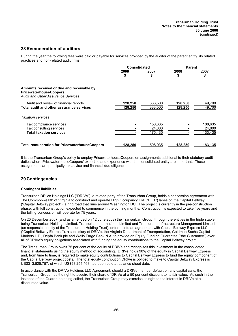## **28 Remuneration of auditors**

During the year the following fees were paid or payable for services provided by the auditor of the parent entity, its related practices and non-related audit firms:

|                                                                                                                         | <b>Consolidated</b> |                              | <b>Parent</b>      |                              |  |
|-------------------------------------------------------------------------------------------------------------------------|---------------------|------------------------------|--------------------|------------------------------|--|
|                                                                                                                         | 2008<br>\$          | 2007<br>\$                   | 2008<br>\$         | 2007<br>\$                   |  |
| Amounts received or due and receivable by<br><b>PricewaterhouseCoopers</b><br><b>Audit and Other Assurance Services</b> |                     |                              |                    |                              |  |
| Audit and review of financial reports<br>Total audit and other assurance services                                       | 128.250<br>128,250  | 333.500<br>333,500           | 128,250<br>128,250 | 49,700<br>49,700             |  |
| <b>Taxation services</b>                                                                                                |                     |                              |                    |                              |  |
| Tax compliance services<br>Tax consulting services<br><b>Total taxation services</b>                                    |                     | 150,635<br>24,800<br>175,435 |                    | 108,635<br>24,800<br>133,435 |  |
| <b>Total remuneration for PricewaterhouseCoopers</b>                                                                    | 128.250             | 508.935                      | 128.250            | 183,135                      |  |

It is the Transurban Group's policy to employ PricewaterhouseCoopers on assignments additional to their statutory audit duties where PricewaterhouseCoopers' expertise and experience with the consolidated entity are important. These assignments are principally tax advice and financial due diligence.

# **29 Contingencies**

### **Contingent liabilities**

Transurban DRIVe Holdings LLC ("DRIVe"), a related party of the Transurban Group, holds a concession agreement with The Commonwealth of Virginia to construct and operate High Occupancy Toll ("HOT") lanes on the Capital Beltway ("Capital Beltway project"), a ring road that runs around Washington DC. The project is currently in the pre-construction phase, with full construction expected to commence in the coming months. Construction is expected to take five years and the tolling concession will operate for 75 years.

On 20 December 2007 (and as amended on 12 June 2008) the Transurban Group, through the entities in the triple staple, being Transurban Holdings Limited, Transurban International Limited and Transurban Infrastructure Management Limited (as responsible entity of the Transurban Holding Trust), entered into an agreement with Capital Beltway Express LLC ("Capital Beltway Express"), a subsidiary of DRIVe, the Virginia Department of Transportation, Goldman Sachs Capital Markets L.P., Depfa Bank plc and Wells Fargo Bank N.A. to provide an Equity Funding Guarantee ("the Guarantee") over all of DRIVe's equity obligations associated with funding the equity contributions to the Capital Beltway project.

The Transurban Group owns 75 per cent of the equity of DRIVe and recognises this investment in the consolidated financial statements using the equity method of accounting. DRIVe holds 90% of the equity in Capital Beltway Express and, from time to time, is required to make equity contributions to Capital Beltway Express to fund the equity component of the Capital Beltway project costs. The total equity contribution DRIVe is obliged to make to Capital Beltway Express is US\$313,825,757, of which US\$98,254,463 had been paid at balance sheet date.

In accordance with the DRIVe Holdings LLC Agreement, should a DRIVe member default on any capital calls, the Transurban Group has the right to acquire their share of DRIVe at a 50 per cent discount to its fair value. As such in the instance of the Guarantee being called, the Transurban Group may exercise its right to the interest in DRIVe at a discounted value.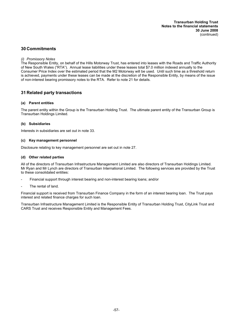# **30 Commitments**

## *(i) Promissory Notes*

The Responsible Entity, on behalf of the Hills Motorway Trust, has entered into leases with the Roads and Traffic Authority of New South Wales ("RTA"). Annual lease liabilities under these leases total \$7.0 million indexed annually to the Consumer Price Index over the estimated period that the M2 Motorway will be used. Until such time as a threshold return is achieved, payments under these leases can be made at the discretion of the Responsible Entity, by means of the issue of non-interest bearing promissory notes to the RTA. Refer to note 21 for details.

# **31 Related party transactions**

## **(a) Parent entities**

The parent entity within the Group is the Transurban Holding Trust. The ultimate parent entity of the Transurban Group is Transurban Holdings Limited.

## **(b) Subsidiaries**

Interests in subsidiaries are set out in note 33.

## **(c) Key management personnel**

Disclosure relating to key management personnel are set out in note 27.

## **(d) Other related parties**

All of the directors of Transurban Infrastructure Management Limited are also directors of Transurban Holdings Limited. Mr Ryan and Mr Lynch are directors of Transurban International Limited. The following services are provided by the Trust to these consolidated entities:

- Financial support through interest bearing and non-interest bearing loans; and/or
- The rental of land.

Financial support is received from Transurban Finance Company in the form of an interest bearing loan. The Trust pays interest and related finance charges for such loan.

Transurban Infrastructure Management Limited is the Responsible Entity of Transurban Holding Trust, CityLink Trust and CARS Trust and receives Responsible Entity and Management Fees.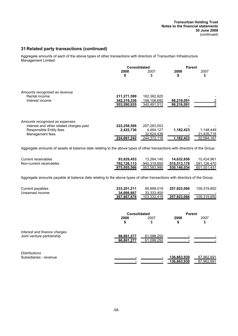# **31 Related party transactions (continued)**

Aggregate amounts of each of the above types of other transactions with directors of Transurban Infrastructure Management Limited:

|                                         | <b>Consolidated</b> |             | <b>Parent</b> |            |  |
|-----------------------------------------|---------------------|-------------|---------------|------------|--|
|                                         | 2008                | 2007        | 2008          | 2007       |  |
|                                         | \$                  | S           | \$            | \$         |  |
| Amounts recognised as revenue           |                     |             |               |            |  |
| Rental income                           | 211,271,599         | 182,382,820 |               |            |  |
| Interest income                         | 342,319,336         | 158,108,692 | 98,216,091    |            |  |
|                                         | 553,590,935         | 340,491,512 | 98,216,091    |            |  |
| Amounts recognised as expenses          |                     |             |               |            |  |
| Interest and other related charges paid | 222,258,506         | 207,283,553 |               |            |  |
| Responsible Entity fees                 | 2,422,736           | 4,464,127   | 1,182,423     | 1,148,449  |  |
| Management fees                         |                     | 32,624,436  |               | 31,435,718 |  |
|                                         | 224,681,242         | 244,372,116 | 1,182,423     | 32,584,167 |  |

Aggregate amounts of assets at balance date relating to the above types of other transactions with directors of the Group:

| Current receivables     | 93.829.453  | 13.264.140  | 14.632.858  | 10.424.961  |
|-------------------------|-------------|-------------|-------------|-------------|
| Non-current receivables | 782.126.113 | 940.319.850 | 515.513.176 | 591.126.470 |
|                         | 875.955.566 | 953.583.990 | 530.146.034 | 601.551.431 |

Aggregate amounts payable at balance date relating to the above types of other transactions with directors of the Group:

| Current payables | 233.201.211 | 69.999.019  | 257.923.066 | 109.319.850              |
|------------------|-------------|-------------|-------------|--------------------------|
| Unearned income  | 34.666.667  | 33.333.400  | -           | $\overline{\phantom{a}}$ |
|                  | 267.867.878 | 103.332.419 | 257.923.066 | 109.319.850              |

|                                                           | <b>Consolidated</b>      |                          | <b>Parent</b>              |                          |
|-----------------------------------------------------------|--------------------------|--------------------------|----------------------------|--------------------------|
|                                                           | 2008<br>\$               | 2007<br>\$               | 2008<br>\$                 | 2007<br>\$               |
| Interest and finance charges<br>Joint venture partnership | 66,861,277<br>66,861,277 | 61,098,250<br>61,098,250 |                            |                          |
| <b>Distributions</b><br>Subsidiaries - revenue            |                          |                          | 136,863,930<br>136,863,930 | 87,962,691<br>87,962,691 |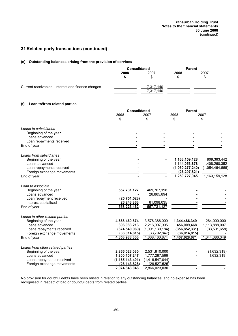# **31 Related party transactions (continued)**

# **(e) Outstanding balances arising from the provision of services**

|                                                           | Consolidated                    |                                 | <b>Parent</b>                   |                 |  |
|-----------------------------------------------------------|---------------------------------|---------------------------------|---------------------------------|-----------------|--|
|                                                           | 2008                            | 2007                            | 2008                            | 2007            |  |
|                                                           | \$                              | \$                              | \$                              | \$              |  |
| Current receivables - interest and finance charges        |                                 | 7,317,140                       |                                 |                 |  |
|                                                           |                                 | 7,317,140                       |                                 |                 |  |
| Loan to/from related parties<br>(f)                       |                                 |                                 |                                 |                 |  |
|                                                           | <b>Consolidated</b>             |                                 | <b>Parent</b>                   |                 |  |
|                                                           | 2008                            | 2007                            | 2008                            | 2007            |  |
|                                                           | \$                              | \$                              | \$                              | \$              |  |
| Loans to subsidiaries                                     |                                 |                                 |                                 |                 |  |
| Beginning of the year                                     |                                 |                                 |                                 |                 |  |
| Loans advanced                                            |                                 |                                 |                                 |                 |  |
| Loan repayments received                                  |                                 |                                 |                                 |                 |  |
| End of year                                               |                                 |                                 |                                 |                 |  |
| Loans from subsidiaries                                   |                                 |                                 |                                 |                 |  |
| Beginning of the year                                     |                                 |                                 | 1,163,159,128                   | 809,363,442     |  |
| Loans advanced                                            |                                 |                                 | 1,144,053,878                   | 1,408,260,352   |  |
| Loan repayments received                                  |                                 |                                 | (1,030,277,240)                 | (1,054,464,666) |  |
| Foreign exchange movements                                |                                 |                                 | (26, 207, 821)<br>1,250,727,945 | 1,163,159,128   |  |
| End of year                                               |                                 |                                 |                                 |                 |  |
| Loan to associate                                         |                                 |                                 |                                 |                 |  |
| Beginning of the year                                     | 557,731,127                     | 469,767,198                     |                                 |                 |  |
| Loans advanced                                            |                                 | 26,865,894                      |                                 |                 |  |
| Loan repayment received                                   | (25, 751, 528)<br>26,243,863    |                                 |                                 |                 |  |
| Interest capitalised                                      | 558,223,462                     | 61,098,035<br>557.731.127       |                                 |                 |  |
| End of year                                               |                                 |                                 |                                 |                 |  |
| Loans to other related parties                            |                                 |                                 |                                 |                 |  |
| Beginning of the year                                     | 4,668,460,874                   | 3,576,386,000                   | 1,344,486,349                   | 264,000,000     |  |
| Loans advanced                                            | 896,083,213                     | 2,216,997,905                   | 456,009,468                     | 1,113,888,007   |  |
| Loans repayments received<br>Foreign exchange movements   | (674, 540, 969)<br>(36,014,815) | (1,091,130,184)<br>(33,792,847) | (356, 852, 331)<br>(36,014,815) | (33,501,658)    |  |
| End of year                                               | 4,853,988,303                   | 4,668,460,874                   | 1,407,628,671                   | 1,344,386,349   |  |
|                                                           |                                 |                                 |                                 |                 |  |
| Loans from other related parties<br>Beginning of the year | 2,866,023,030                   | 2,531,810,000                   |                                 | (1,632,319)     |  |
| Loans advanced                                            | 1,300,107,247                   | 1,777,287,599                   |                                 | 1,632,319       |  |
| Loans repayments received                                 | (1, 165, 143, 401)              | (1,416,547,044)                 |                                 |                 |  |
| Foreign exchange movements                                | (26, 143, 828)                  | (26, 527, 525)                  |                                 |                 |  |
|                                                           | 2,974,843,048                   | 2,866,023,030                   |                                 |                 |  |

No provision for doubtful debts have been raised in relation to any outstanding balances, and no expense has been recognised in respect of bad or doubtful debts from related parties.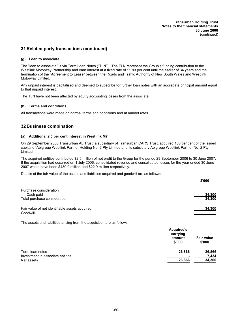# **31 Related party transactions (continued)**

## **(g) Loan to associate**

The "loan to associate" is via Term Loan Notes ("TLN"). The TLN represent the Group's funding contribution to the Westlink Motorway Partnership and earn interest at a fixed rate of 11.93 per cent until the earlier of 34 years and the termination of the "Agreement to Lease" between the Roads and Traffic Authority of New South Wales and Westlink Motorway Limited.

Any unpaid interest is capitalised and deemed to subscribe for further loan notes with an aggregate principal amount equal to that unpaid interest.

The TLN have not been affected by equity accounting losses from the associate.

## **(h) Terms and conditions**

All transactions were made on normal terms and conditions and at market rates.

# **32 Business combination**

## **(a) Additional 2.5 per cent interest in Westlink M7**

On 29 September 2006 Transurban AL Trust, a subsidiary of Transurban CARS Trust, acquired 100 per cent of the issued capital of Abigroup Westlink Partner Holding No. 2 Pty Limited and its subsidiary Abigroup Westlink Partner No. 2 Pty Limited.

The acquired entities contributed \$2.5 million of net profit to the Group for the period 29 September 2006 to 30 June 2007. If the acquisition had occurred on 1 July 2006, consolidated revenue and consolidated losses for the year ended 30 June 2007 would have been \$430.9 million and \$22.9 million respectively.

Details of the fair value of the assets and liabilities acquired and goodwill are as follows:

|                                                | \$'000 |
|------------------------------------------------|--------|
| Purchase consideration                         |        |
| Cash paid                                      | 34,300 |
| Total purchase consideration                   | 34,300 |
| Fair value of net identifiable assets acquired | 34,300 |
| Goodwill                                       |        |

The assets and liabilities arising from the acquisition are as follows:

|                                  | Acquiree's<br>carrying<br>amount<br>\$'000 | <b>Fair value</b><br>\$'000 |
|----------------------------------|--------------------------------------------|-----------------------------|
| Term loan notes                  | 26,866                                     | 26,866                      |
| Investment in associate entities |                                            | 7,434                       |
| Net assets                       | 26,866                                     | 34,300                      |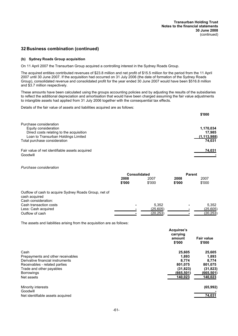# **32 Business combination (continued)**

## **(b) Sydney Roads Group acquisition**

On 11 April 2007 the Transurban Group acquired a controlling interest in the Sydney Roads Group.

The acquired entities contributed revenues of \$23.8 million and net profit of \$15.5 million for the period from the 11 April 2007 until 30 June 2007. If the acquisition had occurred on 31 July 2006 (the date of formation of the Sydney Roads Group), consolidated revenue and consolidated profit for the year ended 30 June 2007 would have been \$516.8 million and \$3.7 million respectively.

These amounts have been calculated using the groups accounting policies and by adjusting the results of the subsidiaries to reflect the additional depreciation and amortisation that would have been charged assuming the fair value adjustments to intangible assets had applied from 31 July 2006 together with the consequential tax effects.

Details of the fair value of assets and liabilities acquired are as follows:

|                                                | \$'000        |
|------------------------------------------------|---------------|
| Purchase consideration                         |               |
| Equity consideration                           | 1,170,034     |
| Direct costs relating to the acquisition       | 17,985        |
| Loan to Transurban Holdings Limited            | (1, 113, 988) |
| Total purchase consideration                   | 74,031        |
| Fair value of net identifiable assets acquired | 74,031        |
| Goodwill                                       |               |

*Purchase consideration*

|                                                                        | <b>Consolidated</b> |           | <b>Parent</b> |           |  |
|------------------------------------------------------------------------|---------------------|-----------|---------------|-----------|--|
|                                                                        | 2008<br>2007        |           | 2008          | 2007      |  |
|                                                                        | \$'000              | \$'000    | \$'000        | \$'000    |  |
| Outflow of cash to acquire Sydney Roads Group, net of<br>cash acquired |                     |           |               |           |  |
| Cash consideration:                                                    |                     |           |               |           |  |
| Cash transaction costs                                                 |                     | 5.352     |               | 5.352     |  |
| Less: Cash acquired                                                    |                     | (25.605)  |               | (25,605)  |  |
| Outflow of cash                                                        |                     | (20, 253) |               | (20, 253) |  |

The assets and liabilities arising from the acquisition are as follows:

|                                   | Acquiree's<br>carrying<br>amount<br>\$'000 | <b>Fair value</b><br>\$'000 |
|-----------------------------------|--------------------------------------------|-----------------------------|
| Cash                              | 25,605                                     | 25,605                      |
| Prepayments and other receivables | 1,893                                      | 1,893                       |
| Derivative financial instruments  | 8.774                                      | 8,774                       |
| Receivables - related parties     | 801,075                                    | 801,075                     |
| Trade and other payables          | (31, 823)                                  | (31, 823)                   |
| <b>Borrowings</b>                 | (665, 501)                                 | (665, 501)                  |
| Net assets                        | <u>140,023</u>                             | 140,023                     |
| Minority interests<br>Goodwill    |                                            | (65, 992)                   |
| Net identifiable assets acquired  |                                            | 74,031                      |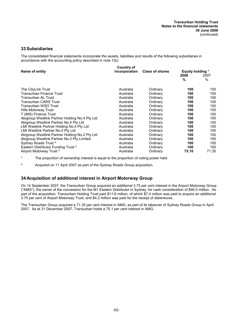# **33 Subsidiaries**

The consolidated financial statements incorporate the assets, liabilities and results of the following subsidiaries in accordance with the accounting policy described in note 1(b):

|                                                | Country of    |                        |                         |       |
|------------------------------------------------|---------------|------------------------|-------------------------|-------|
| Name of entity                                 | incorporation | <b>Class of shares</b> | <b>Equity holding *</b> |       |
|                                                |               |                        | 2008                    | 2007  |
|                                                |               |                        | $\%$                    | $\%$  |
| The CityLink Trust                             | Australia     | Ordinary               | 100                     | 100   |
| Transurban Finance Trust                       | Australia     | Ordinary               | 100                     | 100   |
| Transurban AL Trust                            | Australia     | Ordinary               | 100                     | 100   |
| Transurban CARS Trust                          | Australia     | Ordinary               | 100                     | 100   |
| Transurban WSO Trust                           | Australia     | Ordinary               | 100                     | 100   |
| Hills Motorway Trust                           | Australia     | Ordinary               | 100                     | 100   |
| T (895) Finance Trust                          | Australia     | Ordinary               | 100                     | 100   |
| Abigroup Westlink Partner Holding No.4 Pty Ltd | Australia     | Ordinary               | 100                     | 100   |
| Abigroup Westlink Partner No.4 Pty Ltd         | Australia     | Ordinary               | 100                     | 100   |
| LMI Westlink Partner Holding No.4 Pty Ltd      | Australia     | Ordinary               | 100                     | 100   |
| LMI Westlink Partner No.4 Pty Ltd              | Australia     | Ordinary               | 100                     | 100   |
| Abigroup Westlink Partner Holding No.2 Pty Ltd | Australia     | Ordinary               | 100                     | 100   |
| Abigroup Westlink Partner No.2 Pty Limited     | Australia     | Ordinary               | 100                     | 100   |
| Sydney Roads Trust ^                           | Australia     | Ordinary               | 100                     | 100   |
| Eastern Distributor Funding Trust ^            | Australia     | Ordinary               | 100                     | 100   |
| Airport Motorway Trust ^                       | Australia     | Ordinary               | 75.10                   | 71.35 |

\* The proportion of ownership interest is equal to the proportion of voting power held.

^ Acquired on 11 April 2007 as part of the Sydney Roads Group acquisition.

# **34 Acquisition of additional interest in Airport Motorway Group**

On 14 September 2007, the Transurban Group acquired an additional 3.75 per cent interest in the Airport Motorway Group ("AMG"), the owner of the concession for the M1 Eastern Distributor in Sydney, for cash consideration of \$46.5 million. As part of the acquisition, Transurban Holding Trust paid \$11.6 million, of which \$7.4 million was paid to acquire an additional 3.75 per cent of Airport Motorway Trust, and \$4.2 million was paid for the receipt of debentures.

The Transurban Group acquired a 71.35 per cent interest in AMG, as part of its takeover of Sydney Roads Group in April 2007. As at 31 December 2007, Transurban holds a 75.1 per cent interest in AMG.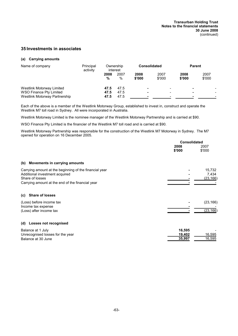# **35 Investments in associates**

## **(a) Carrying amounts**

| Name of company                                          | Principal<br>activity |              | Ownership<br>interest | <b>Consolidated</b> |                |                | <b>Parent</b>  |
|----------------------------------------------------------|-----------------------|--------------|-----------------------|---------------------|----------------|----------------|----------------|
|                                                          |                       | 2008<br>%    | 2007<br>%             | 2008<br>\$'000      | 2007<br>\$'000 | 2008<br>\$'000 | 2007<br>\$'000 |
| Westlink Motorway Limited                                |                       | 47.5         | 47.5                  | ٠                   | -              |                |                |
| WSO Finance Pty Limited<br>Westlink Motorway Partnership |                       | 47.5<br>47.5 | 47.5<br>47.5          | $\blacksquare$      | -              | -              |                |

Each of the above is a member of the Westlink Motorway Group, established to invest in, construct and operate the Westlink M7 toll road in Sydney. All were incorporated in Australia.

Westlink Motorway Limited is the nominee manager of the Westlink Motorway Partnership and is carried at \$90.

WSO Finance Pty Limited is the financier of the Westlink M7 toll road and is carried at \$90.

Westlink Motorway Partnership was responsible for the construction of the Westlink M7 Motorway in Sydney. The M7 opened for operation on 16 December 2005.

|                                                                                                                                                                 | <b>Consolidated</b>        |                              |
|-----------------------------------------------------------------------------------------------------------------------------------------------------------------|----------------------------|------------------------------|
|                                                                                                                                                                 | 2008<br>\$'000             | 2007<br>\$'000               |
| <b>Movements in carrying amounts</b><br>(b)                                                                                                                     |                            |                              |
| Carrying amount at the beginning of the financial year<br>Additional investment acquired<br>Share of losses<br>Carrying amount at the end of the financial year |                            | 15,732<br>7,434<br>(23, 166) |
| <b>Share of losses</b><br>(c)                                                                                                                                   |                            |                              |
| (Loss) before income tax<br>Income tax expense<br>(Loss) after income tax                                                                                       |                            | (23, 166)<br>(23, 166)       |
| Losses not recognised<br>(d)                                                                                                                                    |                            |                              |
| Balance at 1 July<br>Unrecognised losses for the year<br>Balance at 30 June                                                                                     | 16,595<br>19,402<br>35,997 | 16,595<br>16,595             |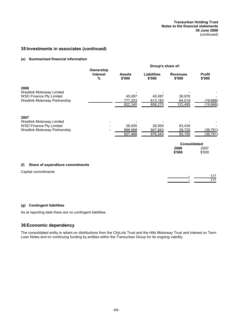# **35 Investments in associates (continued)**

## **(e) Summarised financial information**

|                                                                                                      |                                   | Group's share of:                   |                              |                                       |                                    |  |
|------------------------------------------------------------------------------------------------------|-----------------------------------|-------------------------------------|------------------------------|---------------------------------------|------------------------------------|--|
|                                                                                                      | Ownership<br><b>Interest</b><br>% | <b>Assets</b><br>\$'000             | <b>Liabilities</b><br>\$'000 | <b>Revenues</b><br>\$'000             | <b>Profit</b><br>\$'000            |  |
| 2008<br>Westlink Motorway Limited<br><b>WSO Finance Pty Limited</b><br>Westlink Motorway Partnership |                                   | 45,087<br><u>777,253</u><br>822,340 | 45,087<br>813,183<br>858,270 | 58,976<br>64,519<br><u>123,495</u>    | (19,666)<br>(19,666)               |  |
| 2007<br>Westlink Motorway Limited<br><b>WSO Finance Pty Limited</b><br>Westlink Motorway Partnership |                                   | 28,500<br>898,968<br>927,468        | 28,500<br>947,843<br>976,343 | 63,430<br>29,720<br>93,150            | <u>(39,761)</u><br><u>(39,761)</u> |  |
|                                                                                                      |                                   |                                     |                              | <b>Consolidated</b><br>2008<br>\$'000 | 2007<br>\$'000                     |  |
| (f)<br>Share of expenditure commitments                                                              |                                   |                                     |                              |                                       |                                    |  |

Capital commitments

**-** 177 **-** 177

# **(g) Contingent liabilities**

As at reporting date there are no contingent liabilities.

# **36 Economic dependency**

The consolidated entity is reliant on distributions from the CityLink Trust and the Hills Motorway Trust and interest on Term Loan Notes and on continuing funding by entities within the Transurban Group for its ongoing viability.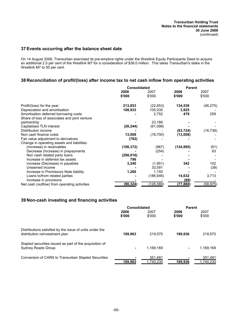# **37 Events occurring after the balance sheet date**

On 14 August 2008, Transurban exercised its pre-emptive rights under the Westlink Equity Participants Deed to acquire an additional 2.5 per cent of the Westlink M7 for a consideration of \$38.0 million. This takes Transurban's stake in the Westlink M7 to 50 per cent.

# **38 Reconciliation of profit/(loss) after income tax to net cash inflow from operating activities**

|                                               | Consolidated |            | <b>Parent</b> |           |  |
|-----------------------------------------------|--------------|------------|---------------|-----------|--|
|                                               | 2008         | 2007       | 2008          | 2007      |  |
|                                               | \$'000       | \$'000     | \$'000        | \$'000    |  |
| Profit/(loss) for the year                    | 213,853      | (22, 653)  | 134,538       | (46, 275) |  |
| Depreciation and amortisation                 | 108,933      | 105,030    | 3,925         |           |  |
| Amortisation deferred borrowing costs         |              | 2,752      | 479           | 259       |  |
| Share of loss of associates and joint venture |              |            |               |           |  |
| partnership                                   |              | 23,166     |               |           |  |
| Capitalised TLN interest                      | (26, 244)    | (61,098)   |               |           |  |
| Distribution income                           |              |            | (93, 724)     | (16, 738) |  |
| Non cash finance costs                        | 13,008       | (18, 700)  | (13,008)      |           |  |
| Fair value adjustment to derivatives          | (782)        |            |               |           |  |
| Change in operating assets and liabilities    |              |            |               |           |  |
| (Increase) in receivables                     | (106, 372)   | (967)      | (124, 995)    | (81)      |  |
| Decrease (Increase) in prepayments            |              | (254)      |               | 83        |  |
| Non cash related party loans                  | (298, 016)   |            |               |           |  |
| Increase in deferred tax assets               | 796          |            |               |           |  |
| increase (Decrease) in payables               | 3,240        | (1,951)    | 342           | 102       |  |
| Unearned income                               |              | 33,591     |               | (38)      |  |
| Increase in Promissory Note liability         | 1,260        | 1,150      |               |           |  |
| Loans to/from related parties                 |              | (186, 646) | 14,632        | 3,713     |  |
| Increase in provisions                        |              |            | (69)          |           |  |
| Net cash (outflow) from operating activities  | (90, 324)    | (126, 580) | (77, 880)     | (58, 975) |  |

# **39 Non-cash investing and financing activities**

|                                                                                           | <b>Consolidated</b> |                      | <b>Parent</b>  |                      |
|-------------------------------------------------------------------------------------------|---------------------|----------------------|----------------|----------------------|
|                                                                                           | 2008<br>\$'000      | 2007<br>\$'000       | 2008<br>\$'000 | 2007<br>\$'000       |
| Distributions satisfied by the issue of units under the<br>distribution reinvestment plan | 189,963             | 219.570              | 189.936        | 219.570              |
| Stapled securities issued as part of the acquisition of<br>Sydney Roads Group             | ۰                   | 1.169.169            |                | 1,169,169            |
| Conversion of CARS to Transurban Stapled Securities                                       | 189,963             | 351,491<br>1,740,230 | 189,936        | 351,491<br>1,740,230 |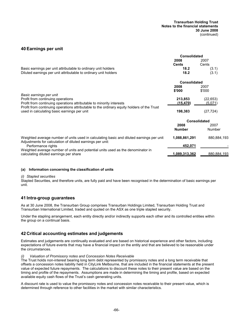# **40 Earnings per unit**

|                                                                                                                                                       | <b>Consolidated</b> |                     |  |
|-------------------------------------------------------------------------------------------------------------------------------------------------------|---------------------|---------------------|--|
|                                                                                                                                                       | 2008                | 2007                |  |
|                                                                                                                                                       | <b>Cents</b>        | Cents               |  |
| Basic earnings per unit attributable to ordinary unit holders                                                                                         | 18.2                | (3.1)               |  |
| Diluted earnings per unit attributable to ordinary unit holders                                                                                       | 18.2                | (3.1)               |  |
|                                                                                                                                                       | <b>Consolidated</b> |                     |  |
|                                                                                                                                                       | 2008                | 2007                |  |
|                                                                                                                                                       | \$'000              | \$'000              |  |
| Basic earnings per unit                                                                                                                               |                     |                     |  |
| Profit from continuing operations                                                                                                                     | 213,853             | (22, 653)           |  |
| Profit from continuing operations attributable to minority interests                                                                                  | (15, 470)           | (5,071)             |  |
| Profit from continuing operations attributable to the ordinary equity holders of the Trust                                                            |                     |                     |  |
| used in calculating basic earnings per unit                                                                                                           | 198,383             | (27, 724)           |  |
|                                                                                                                                                       |                     | <b>Consolidated</b> |  |
|                                                                                                                                                       | 2008                | 2007                |  |
|                                                                                                                                                       | <b>Number</b>       | Number              |  |
| Weighted average number of units used in calculating basic and diluted earnings per unit<br>Adjustments for calculation of diluted earnings per unit: | 1,088,861,291       | 880,884,193         |  |
| Performance rights                                                                                                                                    | 452,071             |                     |  |
| Weighted average number of units and potential units used as the denominator in                                                                       |                     |                     |  |
| calculating diluted earnings per share                                                                                                                | 1,089,313,362       | 880,884,193         |  |

### **(a) Information concerning the classification of units**

### *(i) Stapled securities*

Stapled Securities, and therefore units, are fully paid and have been recognised in the determination of basic earnings per unit.

## **41 Intra-group guarantees**

As at 30 June 2008, the Transurban Group comprises Transurban Holdings Limited, Transurban Holding Trust and Transurban International Limited, traded and quoted on the ASX as one triple stapled security.

Under the stapling arrangement, each entity directly and/or indirectly supports each other and its controlled entities within the group on a continual basis.

## **42 Critical accounting estimates and judgements**

Estimates and judgements are continually evaluated and are based on historical experience and other factors, including expectations of future events that may have a financial impact on the entity and that are believed to be reasonable under the circumstances.

### *(i) Valuation of Promissory notes and Concession Notes Receivable*

The Trust holds non-interest bearing long term debt represented by promissory notes and a long term receivable that offsets a concession notes liability held in CityLink Melbourne, that are included in the financial statements at the present value of expected future repayments. The calculations to discount these notes to their present value are based on the timing and profile of the repayments. Assumptions are made in determining the timing and profile, based on expected available equity cash flows of the Trust's cash generating units.

A discount rate is used to value the promissory notes and concession notes receivable to their present value, which is determined through reference to other facilities in the market with similar characteristics.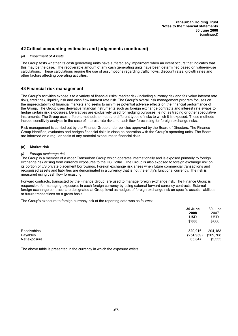# **42 Critical accounting estimates and judgements (continued)**

### *(ii) Impairment of Assets*

The Group tests whether its cash generating units have suffered any impairment when an event occurs that indicates that this may be the case. The recoverable amount of any cash generating units have been determined based on value-in-use calculations. These calculations require the use of assumptions regarding traffic flows, discount rates, growth rates and other factors affecting operating activities.

## **43 Financial risk management**

The Group's activities expose it to a variety of financial risks: market risk (including currency risk and fair value interest rate risk), credit risk, liquidity risk and cash flow interest rate risk. The Group's overall risk management program focuses on the unpredictability of financial markets and seeks to minimise potential adverse effects on the financial performance of the Group. The Group uses derivative financial instruments such as foreign exchange contracts and interest rate swaps to hedge certain risk exposures. Derivatives are exclusively used for hedging purposes, ie not as trading or other speculative instruments. The Group uses different methods to measure different types of risks to which it is exposed. These methods include sensitivity analysis in the case of interest rate risk and cash flow forecasting for foreign exchange risks.

Risk management is carried out by the Finance Group under policies approved by the Board of Directors. The Finance Group identifies, evaluates and hedges financial risks in close co-operation with the Group's operating units. The Board are informed on a regular basis of any material exposures to financial risks.

### **(a) Market risk**

### *(i) Foreign exchange risk*

The Group is a member of a wider Transurban Group which operates internationally and is exposed primarily to foreign exchange risk arising from currency exposures to the US Dollar. The Group is also exposed to foreign exchange risk on its portion of US private placement borrowings. Foreign exchange risk arises when future commercial transactions and recognised assets and liabilities are denominated in a currency that is not the entity's functional currency. The risk is measured using cash flow forecasting.

Forward contracts, transacted by the Finance Group, are used to manage foreign exchange risk. The Finance Group is responsible for managing exposures in each foreign currency by using external forward currency contracts. External foreign exchange contracts are designated at Group level as hedges of foreign exchange risk on specific assets, liabilities or future transactions on a gross basis.

The Group's exposure to foreign currency risk at the reporting date was as follows:

|              | 30 June<br>2008<br><b>USD</b><br>\$'000 | 30 June<br>2007<br><b>USD</b><br>\$'000 |
|--------------|-----------------------------------------|-----------------------------------------|
| Receivables  | 320,016                                 | 204,153                                 |
| Payables     | (254, 969)                              | (209, 708)                              |
| Net exposure | 65,047                                  | (5, 555)                                |

The above table is presented in the currency in which the exposure exists.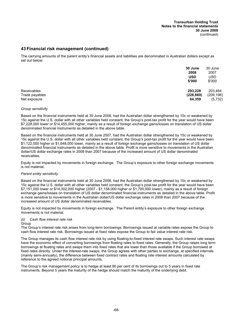# **43 Financial risk management (continued)**

The carrying amounts of the parent entity's financial assets and liabilities are denominated in Australian dollars except as set out below:

|                | 30 June    | 30 June    |
|----------------|------------|------------|
|                | 2008       | 2007       |
|                | <b>USD</b> | <b>USD</b> |
|                | \$'000     | \$'000     |
| Receivables    | 293,228    | 203,464    |
| Trade payables | (228, 869) | (209, 196) |
| Net exposure   | 64,359     | (5, 732)   |

### *Group sensitivity*

Based on the financial instruments held at 30 June 2008, had the Australian dollar strengthened by 10c or weakened by 15c against the U.S. dollar with all other variables held constant, the Group's post-tax profit for the year would have been \$7,228,000 lower or \$14,455,000 higher, mainly as a result of foreign exchange gains/losses on translation of US dollar denominated financial instruments as detailed in the above table.

Based on the financial instruments held at 30 June 2007, had the Australian dollar strengthened by 15c or weakened by 15c against the U.S. dollar with all other variables held constant, the Group's post-tax profit for the year would have been \$1,122,000 higher or \$1,648,000 lower, mainly as a result of foreign exchange gains/losses on translation of US dollar denominated financial instruments as detailed in the above table. Profit is more sensitive to movements in the Australian dollar/US dollar exchange rates in 2008 than 2007 because of the increased amount of US dollar denominated receivables.

Equity is not impacted by movements in foreign exchange. The Group's exposure to other foreign exchange movements is not material.

### *Parent entity sensitivity*

Based on the financial instruments held at 30 June 2008, had the Australian dollar strengthened by 10c or weakened by 15c against the U.S. dollar with all other variables held constant, the Group's post-tax profit for the year would have been \$7,151,000 lower or \$14,302,000 higher (2007 - \$1,158,000 higher or \$1,700,000 lower), mainly as a result of foreign exchange gains/losses on translation of US dollar denominated financial instruments as detailed in the above table. Profit is more sensitive to movements in the Australian dollar/US dollar exchange rates in 2008 than 2007 because of the increased amount of US dollar denominated receivables.

Equity is not impacted by movements in foreign exchange. The Parent entity's exposure to other foreign exchange movements is not material.

### *(ii) Cash flow interest rate risk*

### Group

The Group's interest rate risk arises from long-term borrowings. Borrowings issued at variable rates expose the Group to cash flow interest rate risk. Borrowings issued at fixed rates expose the Group to fair value interest rate risk.

The Group manages its cash flow interest rate risk by using floating-to-fixed interest rate swaps. Such interest rate swaps have the economic effect of converting borrowings from floating rates to fixed rates. Generally, the Group raises long term borrowings at floating rates and swaps them into fixed rates that are lower than those available if the Group borrowed at fixed rates directly. Under the interest-rate swaps, the Group agrees with other parties to exchange, at specified intervals (mainly semi-annually), the difference between fixed contract rates and floating rate interest amounts calculated by reference to the agreed notional principal amounts.

The Group's risk management policy is to hedge at least 80 per cent of its borrowings out to 5 years in fixed rate instruments. Beyond 5 years the maturity of the hedge should match the maturity of the underlying debt.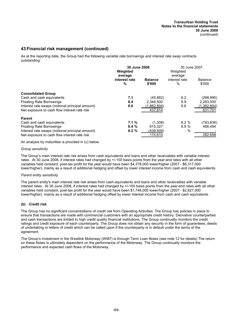# **43 Financial risk management (continued)**

As at the reporting date, the Group had the following variable rate borrowings and interest rate swap contracts outstanding:

|                                                 | 30 June 2008<br>Weighted      |                          | 30 June 2007<br>Weighted      |                          |  |
|-------------------------------------------------|-------------------------------|--------------------------|-------------------------------|--------------------------|--|
|                                                 | average<br>interest rate<br>% | <b>Balance</b><br>\$'000 | average<br>interest rate<br>℅ | <b>Balance</b><br>\$'000 |  |
| <b>Consolidated Group</b>                       |                               |                          |                               |                          |  |
| Cash and cash equivalents                       | 7.1                           | (45, 882)                | 6.2                           | (268, 995)               |  |
| <b>Floating Rate Borrowings</b>                 | 8.4                           | 2,346,500                | 6.9                           | 2,283,500                |  |
| Interest rate swaps (notional principal amount) | 8.0                           | (1.862, 804)             | 6.6                           | (1,382,804)              |  |
| Net exposure to cash flow interest rate risk    |                               | 437.814                  |                               | 631,701                  |  |
| <b>Parent</b>                                   |                               |                          |                               |                          |  |
| Cash and cash equivalents                       | 7.1%                          | (1,308)                  | 6.2%                          | (183, 836)               |  |
| <b>Floating Rate Borrowings</b>                 | 8.4%                          | 615,327                  | 6.9%                          | 466.494                  |  |
| Interest rate swaps (notional principal amount) | 8.2%                          | (439, 409)               | $-$ %                         |                          |  |
| Net exposure to cash flow interest rate risk    |                               | 174,610                  |                               | 282,658                  |  |

An analysis by maturities is provided in (c) below.

### *Group sensitivity*

The Group's main interest rate risk arises from cash equivalents and loans and other receivables with variable interest rates. At 30 June 2008, if interest rates had changed by +/-100 basis points from the year-end rates with all other variables held constant, post-tax profit for the year would have been \$4,378,000 lower/higher (2007 - \$6,317,000 lower/higher), mainly as a result of additional hedging and offset by lower interest income from cash and cash equivalents.

## *Parent entity sensitivity*

The parent entity's main interest rate risk arises from cash equivalents and loans and other receivables with variable interest rates. At 30 June 2008, if interest rates had changed by +/-100 basis points from the year-end rates with all other variables held constant, post-tax profit for the year would have been \$1,746,000 lower/higher (2007 - \$2,827,000 lower/higher), mainly as a result of additional hedging offset by lower interest income from cash and cash equivalents.

### **(b) Credit risk**

The Group has no significant concentrations of credit risk from Operating Activities. The Group has policies in place to ensure that transactions are made with commercial customers with an appropriate credit history. Derivative counterparties and cash transactions are limited to high credit quality financial institutions. The Group continually monitors the credit ratings and credit exposure of each counterparty. The Group does not obtain any security in the form of guarantees, deeds of undertaking or letters of credit which can be called upon if the counterparty is in default under the terms of the agreement.

The Group's investment in the Westlink Motorway (WM7) is through Term Loan Notes (see note 12 for details) The return on these Notes is ultimately dependent on the performance of the Motorway. The Group continually monitors the performance and expected cash flows of the Motorway.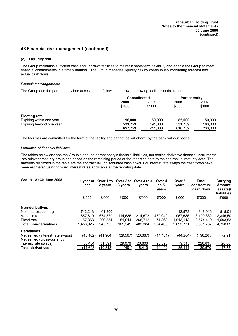# **43 Financial risk management (continued)**

## **(c) Liquidity risk**

The Group maintains sufficient cash and undrawn facilities to maintain short-term flexibility and enable the Group to meet financial commitments in a timely manner. The Group manages liquidity risk by continuously monitoring forecast and actual cash flows.

### *Financing arrangements*

The Group and the parent entity had access to the following undrawn borrowing facilities at the reporting date:

|                          | <b>Consolidated</b> |         | <b>Parent entity</b> |         |
|--------------------------|---------------------|---------|----------------------|---------|
|                          | 2008                | 2007    | 2008                 | 2007    |
|                          | \$'000              | \$'000  | \$'000               | \$'000  |
| <b>Floating rate</b>     |                     |         |                      |         |
| Expiring within one year | 96.000              | 50,000  | 85,000               | 50,000  |
| Expiring beyond one year | 531,759             | 194.000 | 531,759              | 183,000 |
|                          | 627,759             | 244,000 | 616,759              | 233,000 |

The facilities are committed for the term of the facility and cannot be withdrawn by the bank without notice.

### *Maturities of financial liabilities*

The tables below analyse the Group's and the parent entity's financial liabilities, net settled derivative financial instruments into relevant maturity groupings based on the remaining period at the reporting date to the contractual maturity date. The amounts disclosed in the table are the contractual undiscounted cash flows. For interest rate swaps the cash flows have been estimated using forward interest rates applicable at the reporting date.

| Group - At 30 June 2008                                          | 1 year or<br>less | Over 1 to<br>2 years | 3 years   | Over 2 to Over 3 to 4<br>years | Over 4<br>to $5$<br>years | Over 5<br>vears | Total<br>contractual<br>cash flows | Carrying<br>Amount<br>(assets)/<br><b>liabilities</b> |
|------------------------------------------------------------------|-------------------|----------------------|-----------|--------------------------------|---------------------------|-----------------|------------------------------------|-------------------------------------------------------|
|                                                                  | \$'000            | \$'000               | \$'000    | \$'000                         | \$'000                    | \$'000          | \$'000                             | \$'000                                                |
| Non-derivatives                                                  |                   |                      |           |                                |                           |                 |                                    |                                                       |
| Non-interest bearing                                             | 743,243           | 61.800               |           |                                |                           | 12.973          | 818.016                            | 818,01                                                |
| Variable rate                                                    | 657.819           | 674.579              | 114.535   | 214.672                        | 480,042                   | 967.685         | 3,109,332                          | 2,346,50                                              |
| Fixed rate                                                       | 57,863            | 209,354              | 51,014    | 268,712                        | 74,363                    | 1,913,113       | 2,574,419                          | 1,593,53                                              |
| <b>Total non-derivatives</b>                                     | 1,458,925         | 945,733              | 165,549   | 483,384                        | 554,405                   | 2,893,771       | 6,501,767                          | 4,758,05                                              |
| <b>Derivatives</b>                                               |                   |                      |           |                                |                           |                 |                                    |                                                       |
| Net settled (interest rate swaps)<br>Net settled (cross-currency | (48, 102)         | (41, 904)            | (29, 567) | (20, 387)                      | (14, 101)                 | (44, 204)       | (198, 265)                         | (2, 91)                                               |
| interest rate swaps)                                             | 33.454            | 31,591               | 29,076    | 26,806                         | 28,593                    | 79,315          | 228,835                            | 20,66                                                 |
| <b>Total derivatives</b>                                         | (14,648)          | (10, 313)            | (491      | 6,419                          | 14,492                    | 35,111          | 30,570                             | 17,75.                                                |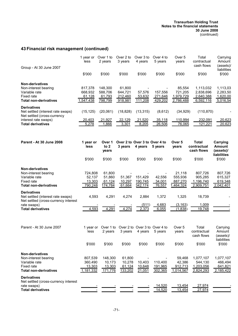#### **Transurban Holding Trust Notes to the financial statements 30 June 2008** (continued)

# **43 Financial risk management (continued)**

| Group - At 30 June 2007                                          | 1 year or<br>less | Over 1 to<br>2 years | Over 2 to<br>3 years | Over 3 to<br>4 years | Over 4 to<br>5 years | Over 5<br>years | Total<br>contractual<br>cash flows | Carrying<br>Amount<br>(assets)/<br>liabilities |
|------------------------------------------------------------------|-------------------|----------------------|----------------------|----------------------|----------------------|-----------------|------------------------------------|------------------------------------------------|
|                                                                  | \$'000            | \$'000               | \$'000               | \$'000               | \$'000               | \$'000          | \$'000                             | \$'000                                         |
| <b>Non-derivatives</b>                                           |                   |                      |                      |                      |                      |                 |                                    |                                                |
| Non-interest bearing                                             | 817.378           | 148,300              | 61.800               |                      |                      | 85,554          | 1.113.032                          | 1,113,03                                       |
| Variable rate                                                    | 668,932           | 588,706              | 644,721              | 57,576               | 157,556              | 721,205         | 2,838,696                          | 2,283,50                                       |
| Fixed rate                                                       | 61,128            | 61,793               | 212,460              | 53,632               | 271,646              | 1,979,729       | 2,640,388                          | 1,620,00                                       |
| <b>Total non-derivatives</b>                                     | 1,547,438         | 798,799              | 918,981              | 111,208              | 429,202              | 2,786,488       | 6,592,116                          | 5,016,54                                       |
| <b>Derivatives</b>                                               |                   |                      |                      |                      |                      |                 |                                    |                                                |
| Net settled (interest rate swaps)<br>Net settled (cross-currency | (15, 125)         | (20,061)             | (18, 828)            | (13, 315)            | (8,612)              | (34, 929)       | (110, 870)                         |                                                |
| interest rate swaps)                                             | 20,403            | 21,927               | 22,129               | 21,520               | 35,118               | 110,994         | 232,091                            | 20,623                                         |
| <b>Total derivatives</b>                                         | 5,278             | 1,866                | 3,301                | 8,205                | 26,506               | 76,065          | 121,221                            | 20,623                                         |

| <b>Parent - At 30 June 2008</b>                                            | 1 year or<br>less | Over 1<br>to $2$<br>years | 3 years | Over 2 to Over 3 to Over 4 to<br>4 years | 5 years | Over <sub>5</sub><br>years | Total<br>contractual<br>cash flows | Carrying<br>Amount<br>(assets)/<br><b>liabilities</b> |
|----------------------------------------------------------------------------|-------------------|---------------------------|---------|------------------------------------------|---------|----------------------------|------------------------------------|-------------------------------------------------------|
|                                                                            | \$'000            | \$'000                    | \$'000  | \$'000                                   | \$'000  | \$'000                     | \$'000                             | \$'000                                                |
| <b>Non-derivatives</b>                                                     |                   |                           |         |                                          |         |                            |                                    |                                                       |
| Non-interest bearing                                                       | 724,808           | 61,800                    |         |                                          |         | 21.118                     | 807,726                            | 807,726                                               |
| Variable rate                                                              | 52.137            | 51.860                    | 51.367  | 151,429                                  | 42.556  | 555,936                    | 905.285                            | 615.327                                               |
| Fixed rate                                                                 | 13.303            | 61,124                    | 10,297  | 190,745                                  | 34,001  | 887,270                    | 1,196,740                          | 619,348                                               |
| <b>Total non-derivatives</b>                                               | 790.248           | 174,784                   | 61,664  | 342,174                                  | 76,557  | 1,464,324                  | 2,909,751                          | 2,042,401                                             |
| <b>Derivatives</b>                                                         |                   |                           |         |                                          |         |                            |                                    |                                                       |
| Net settled (interest rate swaps)<br>Net settled (cross-currency interest) | 4,593             | 4.291                     | 4.274   | 2.884                                    | 1,372   | 1.325                      | 18,739                             |                                                       |
| rate swaps)                                                                |                   |                           |         | (511)                                    | 4,683   | (3, 163)                   | 1,009                              |                                                       |
| <b>Total derivatives</b>                                                   | 4,593             | 4,291                     | 4,274   | 2,373                                    | 6.055   | (1,838)                    | 19,748                             |                                                       |

| Parent - At 30 June 2007                                   | 1 year or<br>less | Over 1 to<br>2 years | 3 years | Over 2 to Over 3 to Over 4 to<br>4 years | 5 years        | Over 5<br>vears | Total<br>contractual<br>cash flows | Carrying<br>Amount<br>(assets)/<br>liabilities |
|------------------------------------------------------------|-------------------|----------------------|---------|------------------------------------------|----------------|-----------------|------------------------------------|------------------------------------------------|
|                                                            | \$'000            | \$'000               | \$'000  | \$'000                                   | \$'000         | \$'000          | \$'000                             | \$'000                                         |
| <b>Non-derivatives</b>                                     |                   |                      |         |                                          |                |                 |                                    |                                                |
| Non-interest bearing                                       | 807.539           | 148.300              | 61.800  |                                          |                | 59.468          | 1.077.107                          | 1,077,107                                      |
| Variable rate                                              | 360.490           | 10.173               | 10.278  | 10.403                                   | 110.400        | 42,386          | 544.130                            | 466,494                                        |
| Fixed rate                                                 | 13,303            | 13,303               | 61,124  | 10,648                                   | <u>191,965</u> | 912,713         | 1,203,056                          | 641,821                                        |
| <b>Total non-derivatives</b>                               | 1,181,332         | 171,776              | 133,202 | 21,051                                   | 302,365        | 1,014,567       | 2,824,293                          | 2,185,422                                      |
| <b>Derivatives</b><br>Net settled (cross-currency interest |                   |                      |         |                                          |                |                 |                                    |                                                |
| rate swaps)                                                |                   |                      |         |                                          | 14,520         | 13,454          | 27,974                             |                                                |
| <b>Total derivatives</b>                                   |                   |                      |         |                                          | 14,520         | 13,454          | 27,974                             |                                                |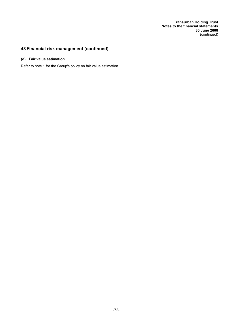**Transurban Holding Trust Notes to the financial statements 30 June 2008** (continued)

# **43 Financial risk management (continued)**

## **(d) Fair value estimation**

Refer to note 1 for the Group's policy on fair value estimation.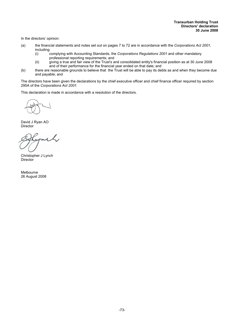In the directors' opinion:

- (a) the financial statements and notes set out on pages 7 to 72 are in accordance with the *Corporations Act 2001,* including:<br>(i) c
	- (i) complying with Accounting Standards, the *Corporations Regulations 2001* and other mandatory professional reporting requirements; and
	- (ii) giving a true and fair view of the Trust's and consolidated entity's financial position as at 30 June 2008 and of their performance for the financial year ended on that date; and
- (b) there are reasonable grounds to believe that the Trust will be able to pay its debts as and when they become due and payable; and

The directors have been given the declarations by the chief executive officer and chief finance officer required by section 295A of the *Corporations Act 2001.*

This declaration is made in accordance with a resolution of the directors.

David J Ryan AO Director

 $\overline{1}$ 

Christopher J Lynch **Director** 

Melbourne 26 August 2008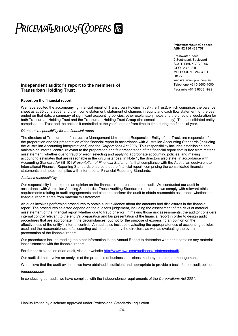# PriceWaT<sub>E</sub>RhousE(copers | @

#### **PricewaterhouseCoopers ABN 52 780 433 757**

Freshwater Place 2 Southbank Boulevard SOUTHBANK VIC 3006 GPO Box 1331L MELBOURNE VIC 3001 DX 77 website: www.pwc.com/au<br>Telephone +61 3 8603 1000

## **Independent auditor's report to the members of** Transmuck Telephone +61 3 8603 1000<br>Transurban Holding Trust Trust Trust Transurban Holding Trust **Transurban Holding Trust**

#### **Report on the financial report**

We have audited the accompanying financial report of Transurban Holding Trust (the Trust), which comprises the balance sheet as at 30 June 2008, and the income statement, statement of changes in equity and cash flow statement for the year ended on that date, a summary of significant accounting policies, other explanatory notes and the directors' declaration for both Transurban Holding Trust and the Transurban Holding Trust Group (the consolidated entity). The consolidated entity comprises the Trust and the entities it controlled at the year's end or from time to time during the financial year.

#### *Directors' responsibility for the financial report*

The directors of Transurban Infrastructure Management Limited, the Responsible Entity of the Trust, are responsible for the preparation and fair presentation of the financial report in accordance with Australian Accounting Standards (including the Australian Accounting Interpretations) and the *Corporations Act 2001*. This responsibility includes establishing and maintaining internal control relevant to the preparation and fair presentation of the financial report that is free from material misstatement, whether due to fraud or error; selecting and applying appropriate accounting policies; and making accounting estimates that are reasonable in the circumstances. In Note 1, the directors also state, in accordance with Accounting Standard AASB 101 *Presentation of Financial Statements*, that compliance with the Australian equivalent to International Financial Reporting Standards ensures that the financial report, comprising the consolidated financial statements and notes, complies with International Financial Reporting Standards.

#### *Auditor's responsibility*

Our responsibility is to express an opinion on the financial report based on our audit. We conducted our audit in accordance with Australian Auditing Standards. These Auditing Standards require that we comply with relevant ethical requirements relating to audit engagements and plan and perform the audit to obtain reasonable assurance whether the financial report is free from material misstatement.

An audit involves performing procedures to obtain audit evidence about the amounts and disclosures in the financial report. The procedures selected depend on the auditor's judgement, including the assessment of the risks of material misstatement of the financial report whether due to fraud or error. In making those risk assessments, the auditor considers internal control relevant to the entity's preparation and fair presentation of the financial report in order to design audit procedures that are appropriate in the circumstances, but not for the purpose of expressing an opinion on the effectiveness of the entity's internal control. An audit also includes evaluating the appropriateness of accounting policies used and the reasonableness of accounting estimates made by the directors, as well as evaluating the overall presentation of the financial report.

Our procedures include reading the other information in the Annual Report to determine whether it contains any material inconsistencies with the financial report.

For further explanation of an audit, visit our website http://www.pwc.com/au/financialstatementaudit.

Our audit did not involve an analysis of the prudence of business decisions made by directors or management.

We believe that the audit evidence we have obtained is sufficient and appropriate to provide a basis for our audit opinion.

#### *Independence*

In conducting our audit, we have complied with the independence requirements of the *Corporations Act 2001.*

Liability limited by a scheme approved under Professional Standards Legislation